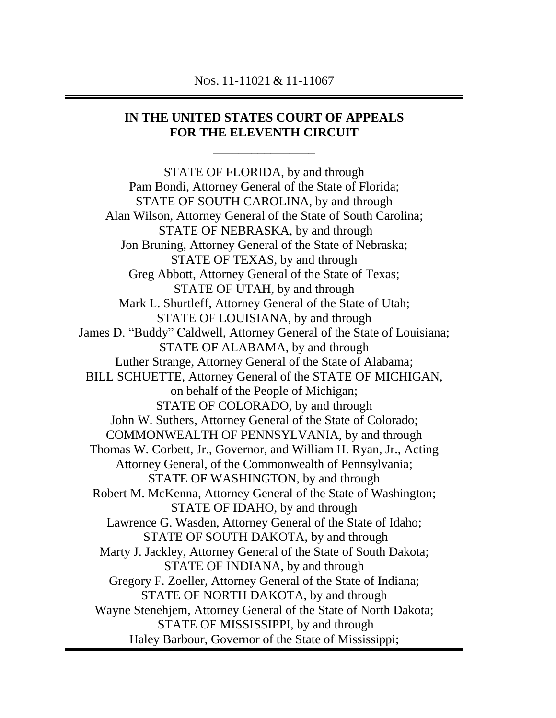### NOS. 11-11021 & 11-11067

## **IN THE UNITED STATES COURT OF APPEALS FOR THE ELEVENTH CIRCUIT**

 $\overline{\phantom{a}}$  , where  $\overline{\phantom{a}}$ 

STATE OF FLORIDA, by and through Pam Bondi, Attorney General of the State of Florida; STATE OF SOUTH CAROLINA, by and through Alan Wilson, Attorney General of the State of South Carolina; STATE OF NEBRASKA, by and through Jon Bruning, Attorney General of the State of Nebraska; STATE OF TEXAS, by and through Greg Abbott, Attorney General of the State of Texas; STATE OF UTAH, by and through Mark L. Shurtleff, Attorney General of the State of Utah; STATE OF LOUISIANA, by and through James D. "Buddy" Caldwell, Attorney General of the State of Louisiana; STATE OF ALABAMA, by and through Luther Strange, Attorney General of the State of Alabama; BILL SCHUETTE, Attorney General of the STATE OF MICHIGAN, on behalf of the People of Michigan; STATE OF COLORADO, by and through John W. Suthers, Attorney General of the State of Colorado; COMMONWEALTH OF PENNSYLVANIA, by and through Thomas W. Corbett, Jr., Governor, and William H. Ryan, Jr., Acting Attorney General, of the Commonwealth of Pennsylvania; STATE OF WASHINGTON, by and through Robert M. McKenna, Attorney General of the State of Washington; STATE OF IDAHO, by and through Lawrence G. Wasden, Attorney General of the State of Idaho; STATE OF SOUTH DAKOTA, by and through Marty J. Jackley, Attorney General of the State of South Dakota; STATE OF INDIANA, by and through Gregory F. Zoeller, Attorney General of the State of Indiana; STATE OF NORTH DAKOTA, by and through Wayne Stenehjem, Attorney General of the State of North Dakota; STATE OF MISSISSIPPI, by and through Haley Barbour, Governor of the State of Mississippi;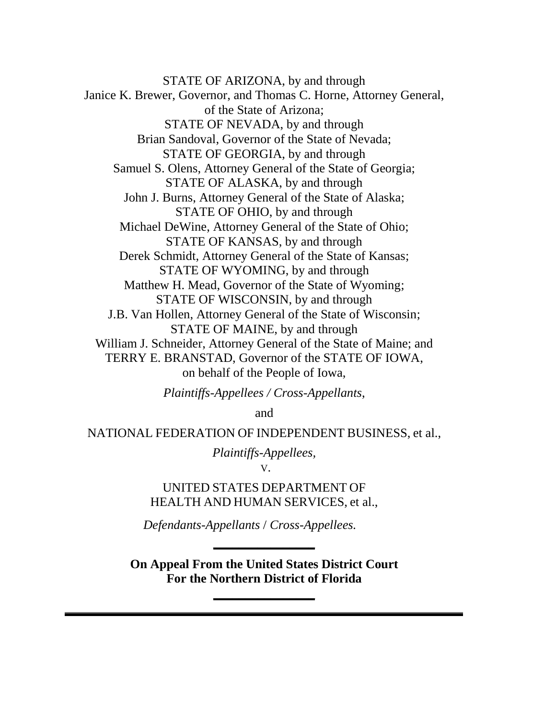STATE OF ARIZONA, by and through Janice K. Brewer, Governor, and Thomas C. Horne, Attorney General, of the State of Arizona; STATE OF NEVADA, by and through Brian Sandoval, Governor of the State of Nevada; STATE OF GEORGIA, by and through Samuel S. Olens, Attorney General of the State of Georgia; STATE OF ALASKA, by and through John J. Burns, Attorney General of the State of Alaska; STATE OF OHIO, by and through Michael DeWine, Attorney General of the State of Ohio; STATE OF KANSAS, by and through Derek Schmidt, Attorney General of the State of Kansas; STATE OF WYOMING, by and through Matthew H. Mead, Governor of the State of Wyoming; STATE OF WISCONSIN, by and through J.B. Van Hollen, Attorney General of the State of Wisconsin; STATE OF MAINE, by and through William J. Schneider, Attorney General of the State of Maine; and TERRY E. BRANSTAD, Governor of the STATE OF IOWA, on behalf of the People of Iowa,

*Plaintiffs-Appellees / Cross-Appellants*,

and

NATIONAL FEDERATION OF INDEPENDENT BUSINESS, et al.,

*Plaintiffs-Appellees,* V.

UNITED STATES DEPARTMENT OF HEALTH AND HUMAN SERVICES, et al.,

*Defendants-Appellants* / *Cross-Appellees.*

**On Appeal From the United States District Court For the Northern District of Florida**

**\_\_\_\_\_\_\_\_\_\_\_\_\_\_\_\_**

**\_\_\_\_\_\_\_\_\_\_\_\_\_\_\_\_**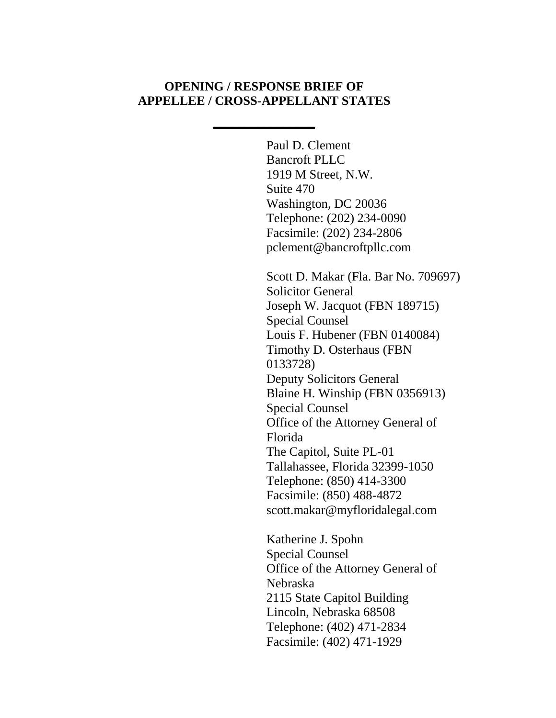## **OPENING / RESPONSE BRIEF OF APPELLEE / CROSS-APPELLANT STATES**

**\_\_\_\_\_\_\_\_\_\_\_\_\_\_\_\_**

Paul D. Clement Bancroft PLLC 1919 M Street, N.W. Suite 470 Washington, DC 20036 Telephone: (202) 234-0090 Facsimile: (202) 234-2806 pclement@bancroftpllc.com Scott D. Makar (Fla. Bar No. 709697) Solicitor General Joseph W. Jacquot (FBN 189715) Special Counsel Louis F. Hubener (FBN 0140084) Timothy D. Osterhaus (FBN 0133728) Deputy Solicitors General Blaine H. Winship (FBN 0356913) Special Counsel Office of the Attorney General of Florida The Capitol, Suite PL-01 Tallahassee, Florida 32399-1050 Telephone: (850) 414-3300 Facsimile: (850) 488-4872 scott.makar@myfloridalegal.com

Katherine J. Spohn Special Counsel Office of the Attorney General of Nebraska 2115 State Capitol Building Lincoln, Nebraska 68508 Telephone: (402) 471-2834 Facsimile: (402) 471-1929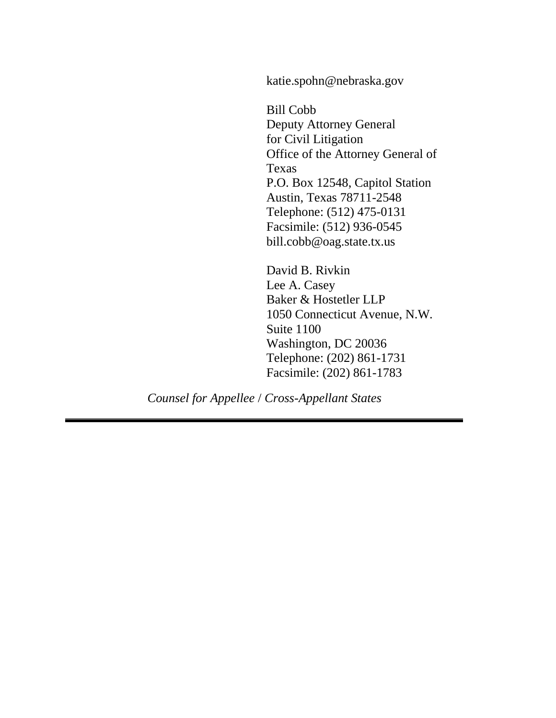katie.spohn@nebraska.gov

Bill Cobb Deputy Attorney General for Civil Litigation Office of the Attorney General of Texas P.O. Box 12548, Capitol Station Austin, Texas 78711-2548 Telephone: (512) 475-0131 Facsimile: (512) 936-0545 bill.cobb@oag.state.tx.us

David B. Rivkin Lee A. Casey Baker & Hostetler LLP 1050 Connecticut Avenue, N.W. Suite 1100 Washington, DC 20036 Telephone: (202) 861-1731 Facsimile: (202) 861-1783

*Counsel for Appellee* / *Cross-Appellant States*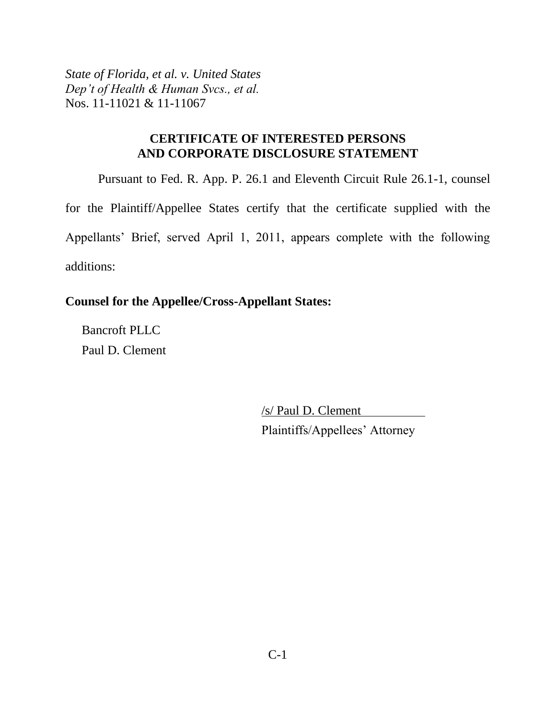*State of Florida, et al. v. United States Dep't of Health & Human Svcs., et al.* Nos. 11-11021 & 11-11067

## **CERTIFICATE OF INTERESTED PERSONS AND CORPORATE DISCLOSURE STATEMENT**

Pursuant to Fed. R. App. P. 26.1 and Eleventh Circuit Rule 26.1-1, counsel for the Plaintiff/Appellee States certify that the certificate supplied with the Appellants' Brief, served April 1, 2011, appears complete with the following additions:

## **Counsel for the Appellee/Cross-Appellant States:**

Bancroft PLLC Paul D. Clement

> /s/ Paul D. Clement Plaintiffs/Appellees' Attorney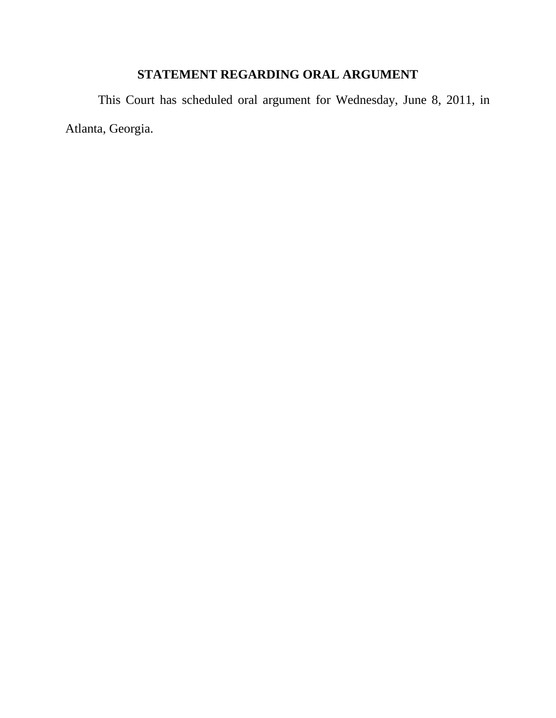# **STATEMENT REGARDING ORAL ARGUMENT**

This Court has scheduled oral argument for Wednesday, June 8, 2011, in Atlanta, Georgia.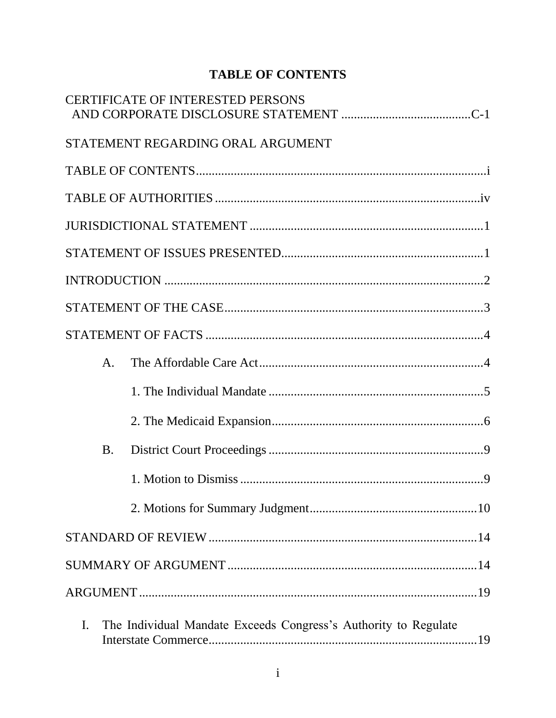# **TABLE OF CONTENTS**

|    |                | <b>CERTIFICATE OF INTERESTED PERSONS</b>                        |
|----|----------------|-----------------------------------------------------------------|
|    |                | STATEMENT REGARDING ORAL ARGUMENT                               |
|    |                |                                                                 |
|    |                |                                                                 |
|    |                |                                                                 |
|    |                |                                                                 |
|    |                |                                                                 |
|    |                |                                                                 |
|    |                |                                                                 |
|    | $\mathsf{A}$ . |                                                                 |
|    |                |                                                                 |
|    |                |                                                                 |
|    | <b>B.</b>      |                                                                 |
|    |                |                                                                 |
|    |                |                                                                 |
|    |                |                                                                 |
|    |                |                                                                 |
|    |                |                                                                 |
| I. |                | The Individual Mandate Exceeds Congress's Authority to Regulate |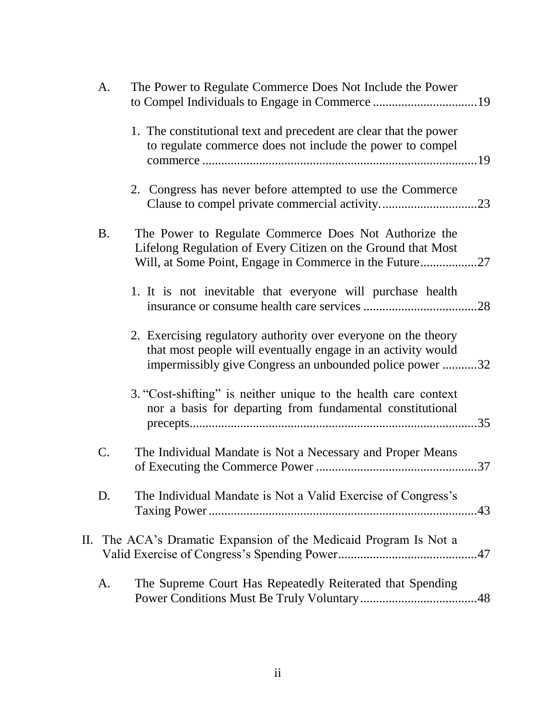|    | A.        | The Power to Regulate Commerce Does Not Include the Power                                                                                                                                  |  |
|----|-----------|--------------------------------------------------------------------------------------------------------------------------------------------------------------------------------------------|--|
|    |           | 1. The constitutional text and precedent are clear that the power<br>to regulate commerce does not include the power to compel                                                             |  |
|    |           | 2. Congress has never before attempted to use the Commerce                                                                                                                                 |  |
|    | <b>B.</b> | The Power to Regulate Commerce Does Not Authorize the<br>Lifelong Regulation of Every Citizen on the Ground that Most<br>Will, at Some Point, Engage in Commerce in the Future27           |  |
|    |           | 1. It is not inevitable that everyone will purchase health                                                                                                                                 |  |
|    |           | 2. Exercising regulatory authority over everyone on the theory<br>that most people will eventually engage in an activity would<br>impermissibly give Congress an unbounded police power 32 |  |
|    |           | 3. "Cost-shifting" is neither unique to the health care context<br>nor a basis for departing from fundamental constitutional                                                               |  |
|    | C.        | The Individual Mandate is Not a Necessary and Proper Means                                                                                                                                 |  |
|    | D.        | The Individual Mandate is Not a Valid Exercise of Congress's                                                                                                                               |  |
| П. |           | The ACA's Dramatic Expansion of the Medicaid Program Is Not a                                                                                                                              |  |
|    | A.        | The Supreme Court Has Repeatedly Reiterated that Spending                                                                                                                                  |  |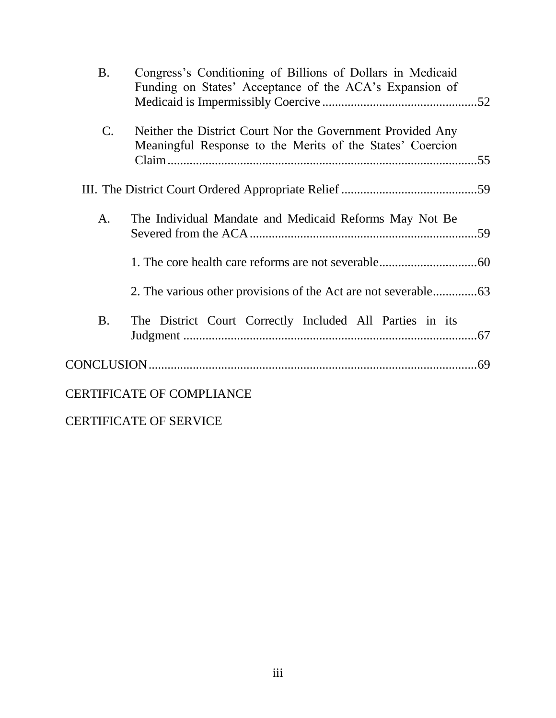| <b>B.</b>      | Congress's Conditioning of Billions of Dollars in Medicaid<br>Funding on States' Acceptance of the ACA's Expansion of   |
|----------------|-------------------------------------------------------------------------------------------------------------------------|
| $\mathbf{C}$ . | Neither the District Court Nor the Government Provided Any<br>Meaningful Response to the Merits of the States' Coercion |
|                |                                                                                                                         |
| A.             | The Individual Mandate and Medicaid Reforms May Not Be                                                                  |
|                |                                                                                                                         |
|                |                                                                                                                         |
| <b>B.</b>      | The District Court Correctly Included All Parties in its                                                                |
|                |                                                                                                                         |
|                | <b>CERTIFICATE OF COMPLIANCE</b>                                                                                        |
|                |                                                                                                                         |

CERTIFICATE OF SERVICE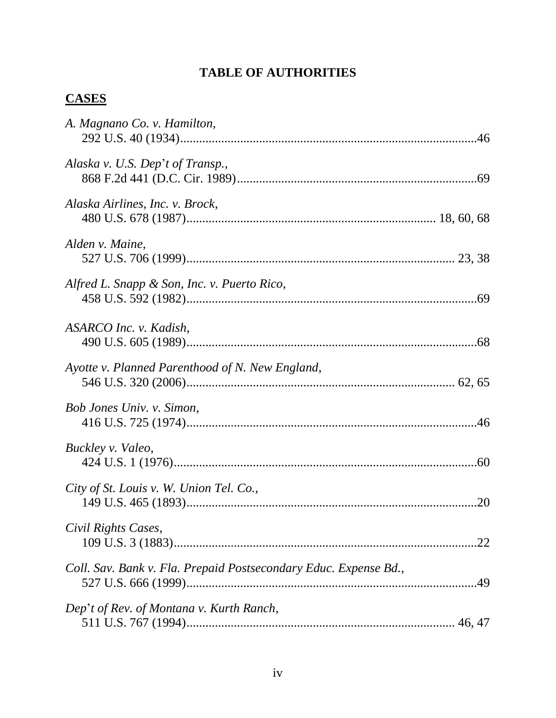# **TABLE OF AUTHORITIES**

# **CASES**

| A. Magnano Co. v. Hamilton,                                      |  |
|------------------------------------------------------------------|--|
| Alaska v. U.S. Dep't of Transp.,                                 |  |
| Alaska Airlines, Inc. v. Brock,                                  |  |
| Alden v. Maine,                                                  |  |
| Alfred L. Snapp & Son, Inc. v. Puerto Rico,                      |  |
| ASARCO Inc. v. Kadish,                                           |  |
| Ayotte v. Planned Parenthood of N. New England,                  |  |
| Bob Jones Univ. v. Simon,                                        |  |
| Buckley v. Valeo,                                                |  |
| City of St. Louis v. W. Union Tel. Co.,                          |  |
| Civil Rights Cases,                                              |  |
| Coll. Sav. Bank v. Fla. Prepaid Postsecondary Educ. Expense Bd., |  |
| Dep't of Rev. of Montana v. Kurth Ranch,                         |  |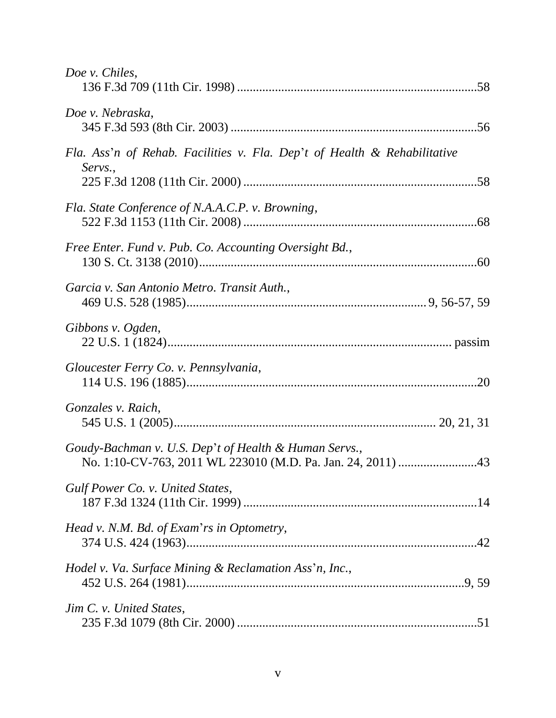| Doe v. Chiles,                                                                      |
|-------------------------------------------------------------------------------------|
| Doe v. Nebraska,                                                                    |
| Fla. Ass'n of Rehab. Facilities v. Fla. Dep't of Health & Rehabilitative<br>Servs., |
| Fla. State Conference of N.A.A.C.P. v. Browning,                                    |
| Free Enter. Fund v. Pub. Co. Accounting Oversight Bd.,                              |
| Garcia v. San Antonio Metro. Transit Auth.,                                         |
| Gibbons v. Ogden,                                                                   |
| Gloucester Ferry Co. v. Pennsylvania,                                               |
| Gonzales v. Raich,                                                                  |
| Goudy-Bachman v. U.S. Dep't of Health & Human Servs.,                               |
| Gulf Power Co. v. United States,                                                    |
| Head v. N.M. Bd. of Exam'rs in Optometry,                                           |
| Hodel v. Va. Surface Mining & Reclamation Ass'n, Inc.,                              |
| Jim C. v. United States,                                                            |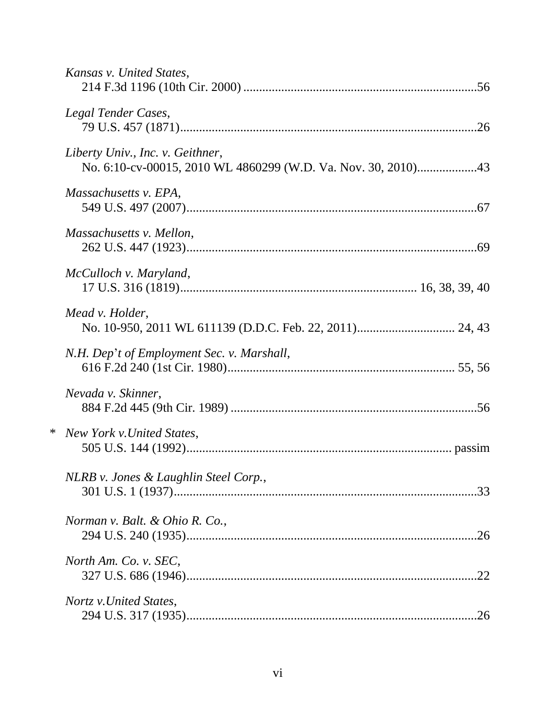|        | Kansas v. United States,                   |
|--------|--------------------------------------------|
|        | Legal Tender Cases,                        |
|        | Liberty Univ., Inc. v. Geithner,           |
|        | Massachusetts v. EPA,                      |
|        | Massachusetts v. Mellon,                   |
|        | McCulloch v. Maryland,                     |
|        | Mead v. Holder,                            |
|        | N.H. Dep't of Employment Sec. v. Marshall, |
|        | Nevada v. Skinner,                         |
| $\ast$ | New York v. United States,                 |
|        | NLRB v. Jones & Laughlin Steel Corp.,      |
|        | Norman v. Balt. & Ohio R. Co.,             |
|        | North Am. Co. v. SEC,                      |
|        | Nortz v. United States,                    |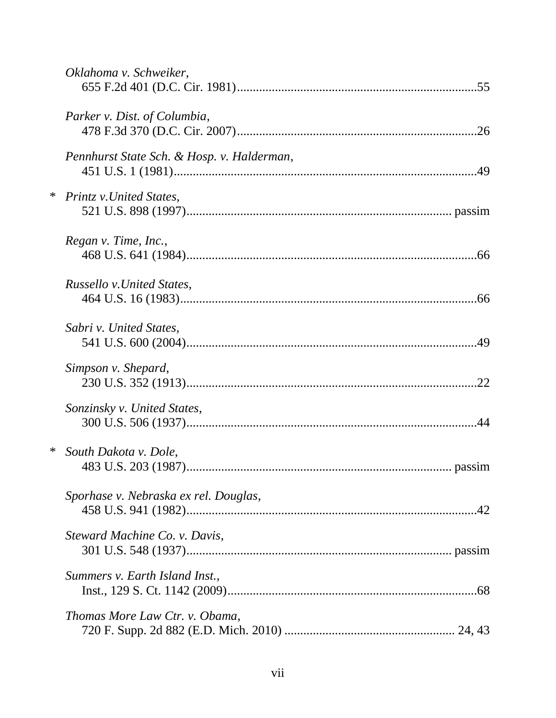|   | Oklahoma v. Schweiker,                     |
|---|--------------------------------------------|
|   | Parker v. Dist. of Columbia,               |
|   | Pennhurst State Sch. & Hosp. v. Halderman, |
|   | Printz v. United States,                   |
|   | Regan v. Time, Inc.,                       |
|   | Russello v. United States,                 |
|   | Sabri v. United States,                    |
|   | Simpson v. Shepard,                        |
|   | Sonzinsky v. United States,                |
| ∗ | South Dakota v. Dole,                      |
|   | Sporhase v. Nebraska ex rel. Douglas,      |
|   | Steward Machine Co. v. Davis,              |
|   | Summers v. Earth Island Inst.,             |
|   | Thomas More Law Ctr. v. Obama,             |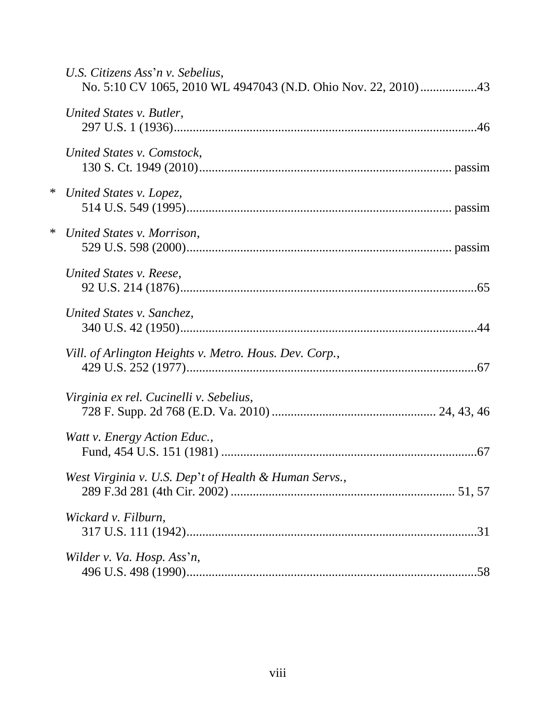|        | U.S. Citizens Ass'n v. Sebelius,<br>No. 5:10 CV 1065, 2010 WL 4947043 (N.D. Ohio Nov. 22, 2010)43 |
|--------|---------------------------------------------------------------------------------------------------|
|        | United States v. Butler,                                                                          |
|        | United States v. Comstock,                                                                        |
| ∗      | United States v. Lopez,                                                                           |
| $\ast$ | United States v. Morrison,                                                                        |
|        | United States v. Reese.                                                                           |
|        | United States v. Sanchez,                                                                         |
|        | Vill. of Arlington Heights v. Metro. Hous. Dev. Corp.,                                            |
|        | Virginia ex rel. Cucinelli v. Sebelius,                                                           |
|        | Watt v. Energy Action Educ.,                                                                      |
|        | West Virginia v. U.S. Dep't of Health & Human Servs.,                                             |
|        | Wickard v. Filburn,                                                                               |
|        | Wilder v. Va. Hosp. Ass'n,                                                                        |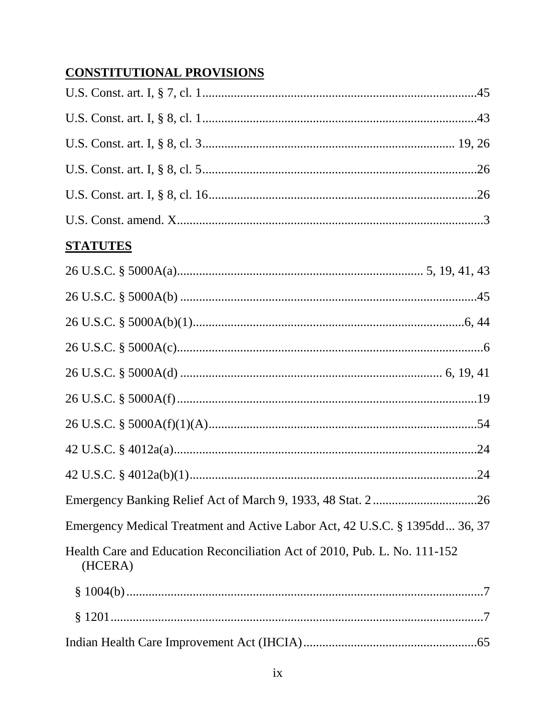# **CONSTITUTIONAL PROVISIONS**

| <b>STATUTES</b>                                                                      |
|--------------------------------------------------------------------------------------|
|                                                                                      |
|                                                                                      |
|                                                                                      |
|                                                                                      |
|                                                                                      |
|                                                                                      |
|                                                                                      |
|                                                                                      |
|                                                                                      |
|                                                                                      |
| Emergency Medical Treatment and Active Labor Act, 42 U.S.C. § 1395dd 36, 37          |
| Health Care and Education Reconciliation Act of 2010, Pub. L. No. 111-152<br>(HCERA) |
|                                                                                      |
|                                                                                      |
|                                                                                      |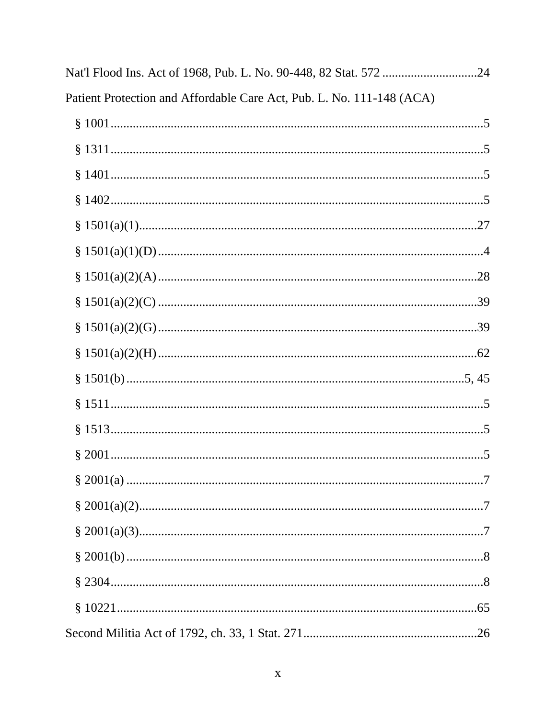| Patient Protection and Affordable Care Act, Pub. L. No. 111-148 (ACA) |  |
|-----------------------------------------------------------------------|--|
|                                                                       |  |
|                                                                       |  |
|                                                                       |  |
|                                                                       |  |
|                                                                       |  |
|                                                                       |  |
|                                                                       |  |
|                                                                       |  |
|                                                                       |  |
|                                                                       |  |
|                                                                       |  |
|                                                                       |  |
|                                                                       |  |
|                                                                       |  |
|                                                                       |  |
|                                                                       |  |
|                                                                       |  |
|                                                                       |  |
|                                                                       |  |
|                                                                       |  |
|                                                                       |  |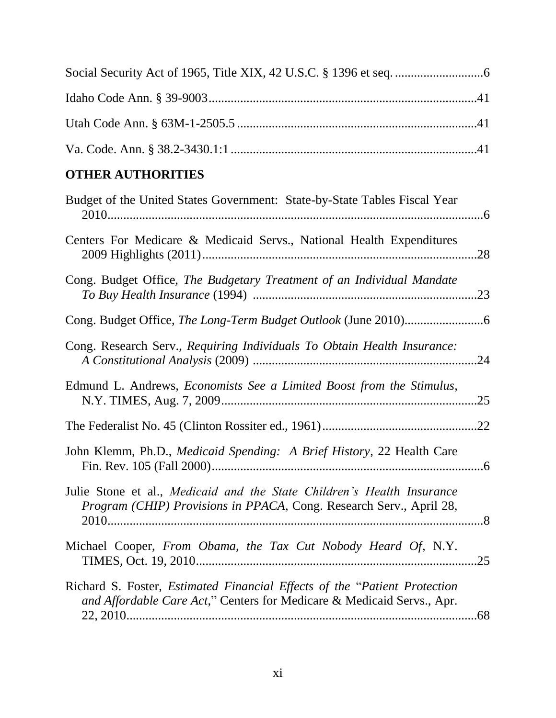# **OTHER AUTHORITIES**

| Budget of the United States Government: State-by-State Tables Fiscal Year                                                                           |     |
|-----------------------------------------------------------------------------------------------------------------------------------------------------|-----|
| Centers For Medicare & Medicaid Servs., National Health Expenditures                                                                                | .28 |
| Cong. Budget Office, The Budgetary Treatment of an Individual Mandate                                                                               | .23 |
|                                                                                                                                                     |     |
| Cong. Research Serv., Requiring Individuals To Obtain Health Insurance:                                                                             |     |
| Edmund L. Andrews, Economists See a Limited Boost from the Stimulus,                                                                                | .25 |
|                                                                                                                                                     |     |
| John Klemm, Ph.D., Medicaid Spending: A Brief History, 22 Health Care                                                                               |     |
| Julie Stone et al., Medicaid and the State Children's Health Insurance<br>Program (CHIP) Provisions in PPACA, Cong. Research Serv., April 28,       |     |
| Michael Cooper, From Obama, the Tax Cut Nobody Heard Of, N.Y.                                                                                       | .25 |
| Richard S. Foster, Estimated Financial Effects of the "Patient Protection<br>and Affordable Care Act," Centers for Medicare & Medicaid Servs., Apr. |     |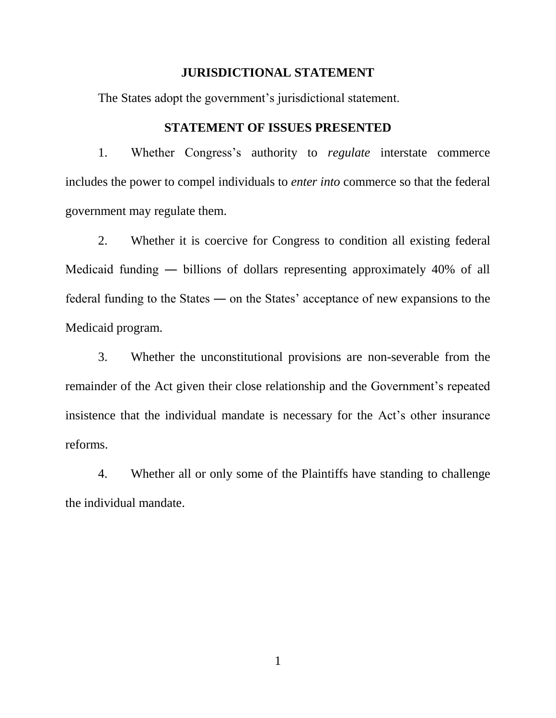#### **JURISDICTIONAL STATEMENT**

The States adopt the government's jurisdictional statement.

## **STATEMENT OF ISSUES PRESENTED**

1. Whether Congress's authority to *regulate* interstate commerce includes the power to compel individuals to *enter into* commerce so that the federal government may regulate them.

2. Whether it is coercive for Congress to condition all existing federal Medicaid funding ― billions of dollars representing approximately 40% of all federal funding to the States ― on the States' acceptance of new expansions to the Medicaid program.

3. Whether the unconstitutional provisions are non-severable from the remainder of the Act given their close relationship and the Government's repeated insistence that the individual mandate is necessary for the Act's other insurance reforms.

4. Whether all or only some of the Plaintiffs have standing to challenge the individual mandate.

1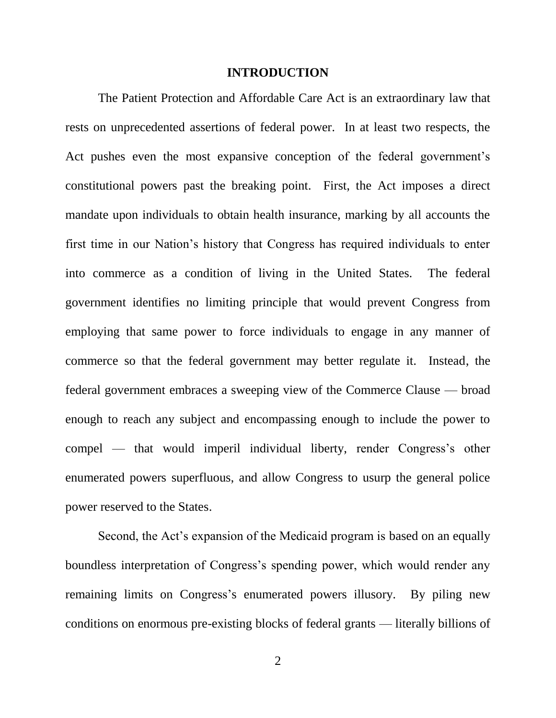#### **INTRODUCTION**

The Patient Protection and Affordable Care Act is an extraordinary law that rests on unprecedented assertions of federal power. In at least two respects, the Act pushes even the most expansive conception of the federal government's constitutional powers past the breaking point. First, the Act imposes a direct mandate upon individuals to obtain health insurance, marking by all accounts the first time in our Nation's history that Congress has required individuals to enter into commerce as a condition of living in the United States. The federal government identifies no limiting principle that would prevent Congress from employing that same power to force individuals to engage in any manner of commerce so that the federal government may better regulate it. Instead, the federal government embraces a sweeping view of the Commerce Clause — broad enough to reach any subject and encompassing enough to include the power to compel — that would imperil individual liberty, render Congress's other enumerated powers superfluous, and allow Congress to usurp the general police power reserved to the States.

Second, the Act's expansion of the Medicaid program is based on an equally boundless interpretation of Congress's spending power, which would render any remaining limits on Congress's enumerated powers illusory. By piling new conditions on enormous pre-existing blocks of federal grants — literally billions of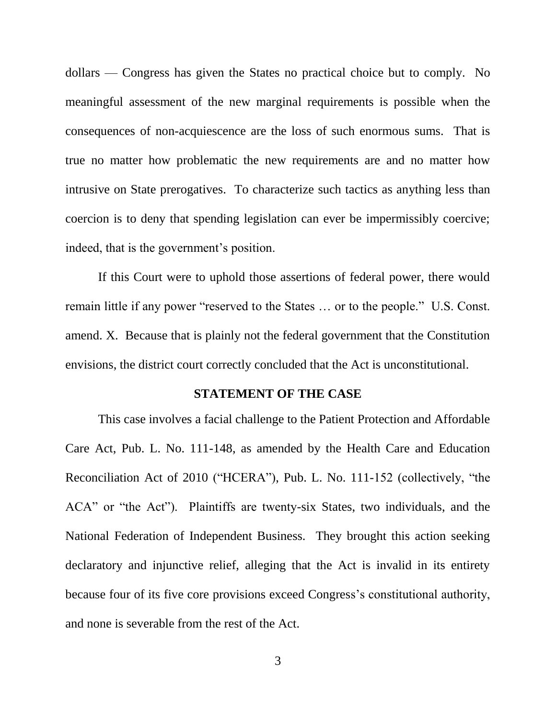dollars — Congress has given the States no practical choice but to comply. No meaningful assessment of the new marginal requirements is possible when the consequences of non-acquiescence are the loss of such enormous sums. That is true no matter how problematic the new requirements are and no matter how intrusive on State prerogatives. To characterize such tactics as anything less than coercion is to deny that spending legislation can ever be impermissibly coercive; indeed, that is the government's position.

If this Court were to uphold those assertions of federal power, there would remain little if any power "reserved to the States ... or to the people." U.S. Const. amend. X. Because that is plainly not the federal government that the Constitution envisions, the district court correctly concluded that the Act is unconstitutional.

#### **STATEMENT OF THE CASE**

This case involves a facial challenge to the Patient Protection and Affordable Care Act, Pub. L. No. 111-148, as amended by the Health Care and Education Reconciliation Act of 2010 ("HCERA"), Pub. L. No. 111-152 (collectively, "the ACA" or "the Act"). Plaintiffs are twenty-six States, two individuals, and the National Federation of Independent Business. They brought this action seeking declaratory and injunctive relief, alleging that the Act is invalid in its entirety because four of its five core provisions exceed Congress's constitutional authority, and none is severable from the rest of the Act.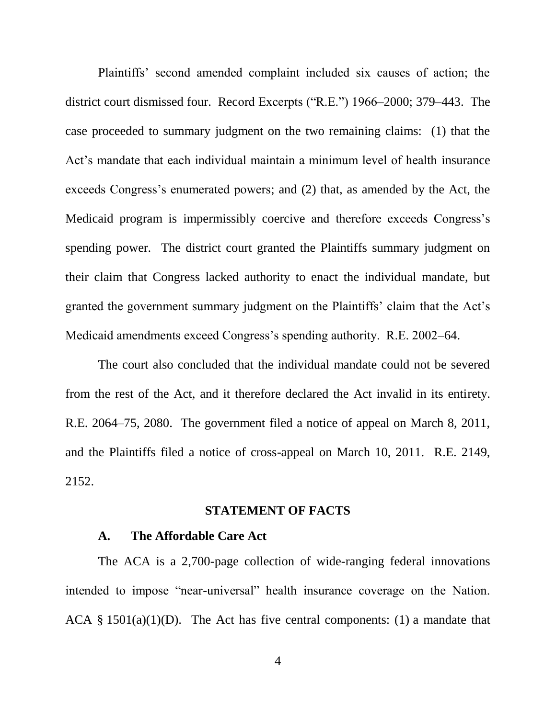Plaintiffs' second amended complaint included six causes of action; the district court dismissed four. Record Excerpts ("R.E.") 1966–2000; 379–443. The case proceeded to summary judgment on the two remaining claims: (1) that the Act's mandate that each individual maintain a minimum level of health insurance exceeds Congress's enumerated powers; and (2) that, as amended by the Act, the Medicaid program is impermissibly coercive and therefore exceeds Congress's spending power. The district court granted the Plaintiffs summary judgment on their claim that Congress lacked authority to enact the individual mandate, but granted the government summary judgment on the Plaintiffs' claim that the Act's Medicaid amendments exceed Congress's spending authority. R.E. 2002–64.

The court also concluded that the individual mandate could not be severed from the rest of the Act, and it therefore declared the Act invalid in its entirety. R.E. 2064–75, 2080. The government filed a notice of appeal on March 8, 2011, and the Plaintiffs filed a notice of cross-appeal on March 10, 2011. R.E. 2149, 2152.

### **STATEMENT OF FACTS**

## **A. The Affordable Care Act**

The ACA is a 2,700-page collection of wide-ranging federal innovations intended to impose "near-universal" health insurance coverage on the Nation. ACA § 1501(a)(1)(D). The Act has five central components: (1) a mandate that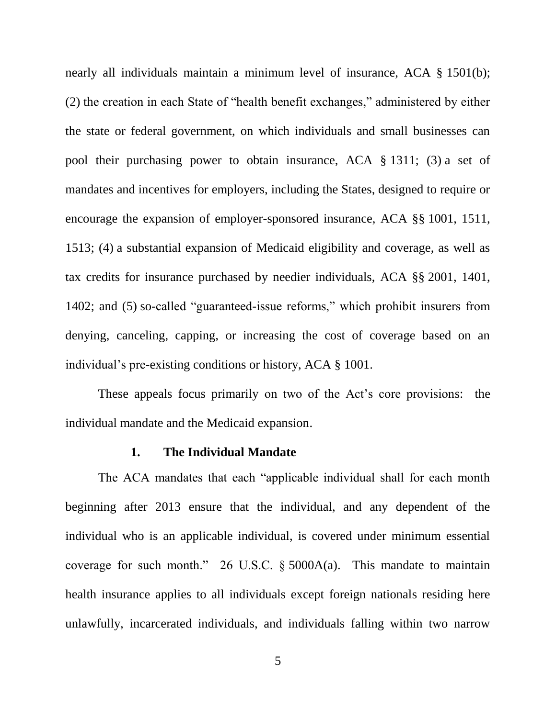nearly all individuals maintain a minimum level of insurance, ACA § 1501(b); (2) the creation in each State of "health benefit exchanges," administered by either the state or federal government, on which individuals and small businesses can pool their purchasing power to obtain insurance, ACA § 1311; (3) a set of mandates and incentives for employers, including the States, designed to require or encourage the expansion of employer-sponsored insurance, ACA §§ 1001, 1511, 1513; (4) a substantial expansion of Medicaid eligibility and coverage, as well as tax credits for insurance purchased by needier individuals, ACA §§ 2001, 1401, 1402; and (5) so-called "guaranteed-issue reforms," which prohibit insurers from denying, canceling, capping, or increasing the cost of coverage based on an individual's pre-existing conditions or history, ACA § 1001.

These appeals focus primarily on two of the Act's core provisions: the individual mandate and the Medicaid expansion.

#### **1. The Individual Mandate**

The ACA mandates that each "applicable individual shall for each month beginning after 2013 ensure that the individual, and any dependent of the individual who is an applicable individual, is covered under minimum essential coverage for such month." 26 U.S.C.  $\S$  5000A(a). This mandate to maintain health insurance applies to all individuals except foreign nationals residing here unlawfully, incarcerated individuals, and individuals falling within two narrow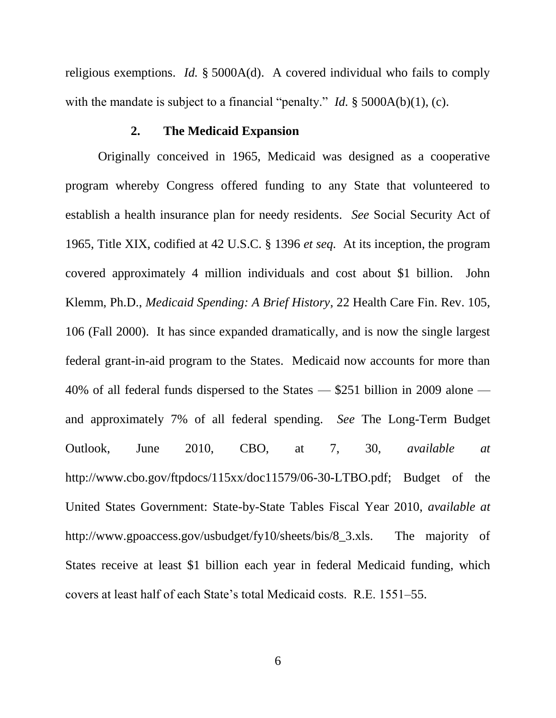religious exemptions. *Id.* § 5000A(d). A covered individual who fails to comply with the mandate is subject to a financial "penalty." *Id.*  $\S$  5000A(b)(1), (c).

### **2. The Medicaid Expansion**

Originally conceived in 1965, Medicaid was designed as a cooperative program whereby Congress offered funding to any State that volunteered to establish a health insurance plan for needy residents. *See* Social Security Act of 1965, Title XIX, codified at 42 U.S.C. § 1396 *et seq.* At its inception, the program covered approximately 4 million individuals and cost about \$1 billion. John Klemm, Ph.D., *Medicaid Spending: A Brief History*, 22 Health Care Fin. Rev. 105, 106 (Fall 2000). It has since expanded dramatically, and is now the single largest federal grant-in-aid program to the States. Medicaid now accounts for more than 40% of all federal funds dispersed to the States — \$251 billion in 2009 alone and approximately 7% of all federal spending. *See* The Long-Term Budget Outlook, June 2010, CBO, at 7, 30, *available at* http://www.cbo.gov/ftpdocs/115xx/doc11579/06-30-LTBO.pdf; Budget of the United States Government: State-by-State Tables Fiscal Year 2010, *available at* http://www.gpoaccess.gov/usbudget/fy10/sheets/bis/8\_3.xls. The majority of States receive at least \$1 billion each year in federal Medicaid funding, which covers at least half of each State's total Medicaid costs. R.E. 1551–55.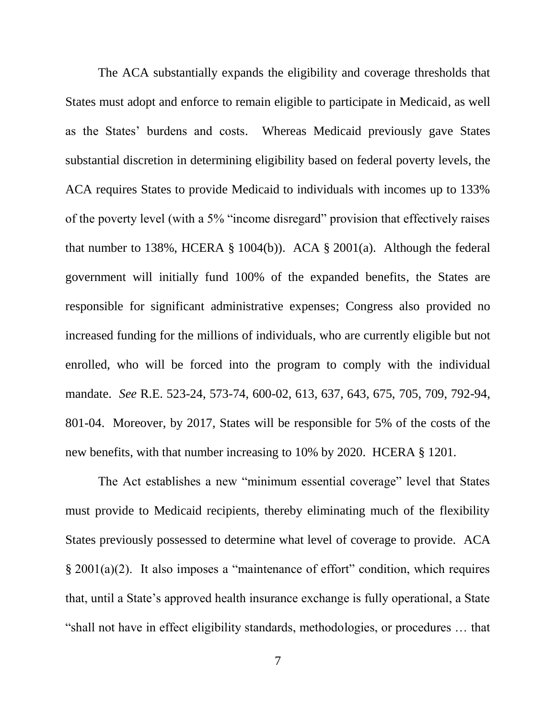The ACA substantially expands the eligibility and coverage thresholds that States must adopt and enforce to remain eligible to participate in Medicaid, as well as the States' burdens and costs. Whereas Medicaid previously gave States substantial discretion in determining eligibility based on federal poverty levels, the ACA requires States to provide Medicaid to individuals with incomes up to 133% of the poverty level (with a 5% "income disregard" provision that effectively raises that number to 138%, HCERA § 1004(b)). ACA § 2001(a). Although the federal government will initially fund 100% of the expanded benefits, the States are responsible for significant administrative expenses; Congress also provided no increased funding for the millions of individuals, who are currently eligible but not enrolled, who will be forced into the program to comply with the individual mandate. *See* R.E. 523-24, 573-74, 600-02, 613, 637, 643, 675, 705, 709, 792-94, 801-04. Moreover, by 2017, States will be responsible for 5% of the costs of the new benefits, with that number increasing to 10% by 2020. HCERA § 1201*.*

The Act establishes a new "minimum essential coverage" level that States must provide to Medicaid recipients, thereby eliminating much of the flexibility States previously possessed to determine what level of coverage to provide. ACA  $§ 2001(a)(2)$ . It also imposes a "maintenance of effort" condition, which requires that, until a State's approved health insurance exchange is fully operational, a State ―shall not have in effect eligibility standards, methodologies, or procedures … that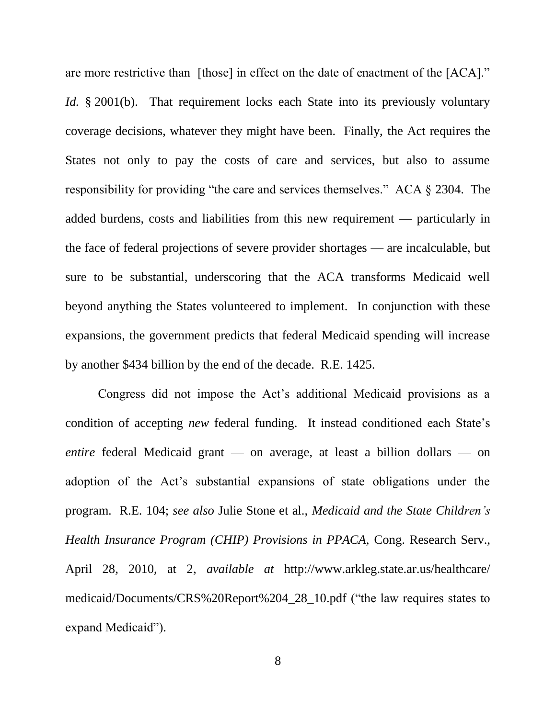are more restrictive than [those] in effect on the date of enactment of the [ACA]." *Id.* § 2001(b). That requirement locks each State into its previously voluntary coverage decisions, whatever they might have been. Finally, the Act requires the States not only to pay the costs of care and services, but also to assume responsibility for providing "the care and services themselves." ACA  $\S$  2304. The added burdens, costs and liabilities from this new requirement — particularly in the face of federal projections of severe provider shortages — are incalculable, but sure to be substantial, underscoring that the ACA transforms Medicaid well beyond anything the States volunteered to implement. In conjunction with these expansions, the government predicts that federal Medicaid spending will increase by another \$434 billion by the end of the decade. R.E. 1425.

Congress did not impose the Act's additional Medicaid provisions as a condition of accepting *new* federal funding. It instead conditioned each State's *entire* federal Medicaid grant — on average, at least a billion dollars — on adoption of the Act's substantial expansions of state obligations under the program. R.E. 104; *see also* Julie Stone et al., *Medicaid and the State Children's Health Insurance Program (CHIP) Provisions in PPACA,* Cong. Research Serv., April 28, 2010, at 2, *available at* http://www.arkleg.state.ar.us/healthcare/ medicaid/Documents/CRS%20Report%204\_28\_10.pdf ("the law requires states to expand Medicaid").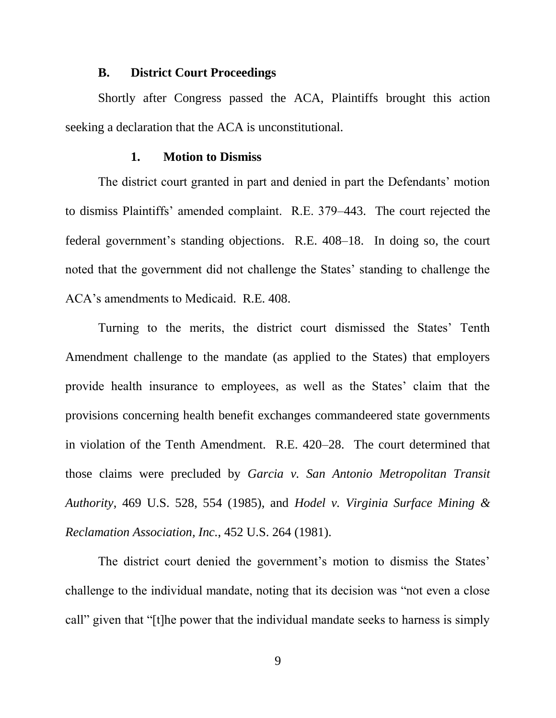#### **B. District Court Proceedings**

Shortly after Congress passed the ACA, Plaintiffs brought this action seeking a declaration that the ACA is unconstitutional.

#### **1. Motion to Dismiss**

The district court granted in part and denied in part the Defendants' motion to dismiss Plaintiffs' amended complaint. R.E. 379–443. The court rejected the federal government's standing objections. R.E. 408–18. In doing so, the court noted that the government did not challenge the States' standing to challenge the ACA's amendments to Medicaid. R.E. 408.

Turning to the merits, the district court dismissed the States' Tenth Amendment challenge to the mandate (as applied to the States) that employers provide health insurance to employees, as well as the States' claim that the provisions concerning health benefit exchanges commandeered state governments in violation of the Tenth Amendment. R.E. 420–28. The court determined that those claims were precluded by *Garcia v. San Antonio Metropolitan Transit Authority*, 469 U.S. 528, 554 (1985), and *Hodel v. Virginia Surface Mining & Reclamation Association, Inc.*, 452 U.S. 264 (1981).

The district court denied the government's motion to dismiss the States' challenge to the individual mandate, noting that its decision was "not even a close" call" given that "[t]he power that the individual mandate seeks to harness is simply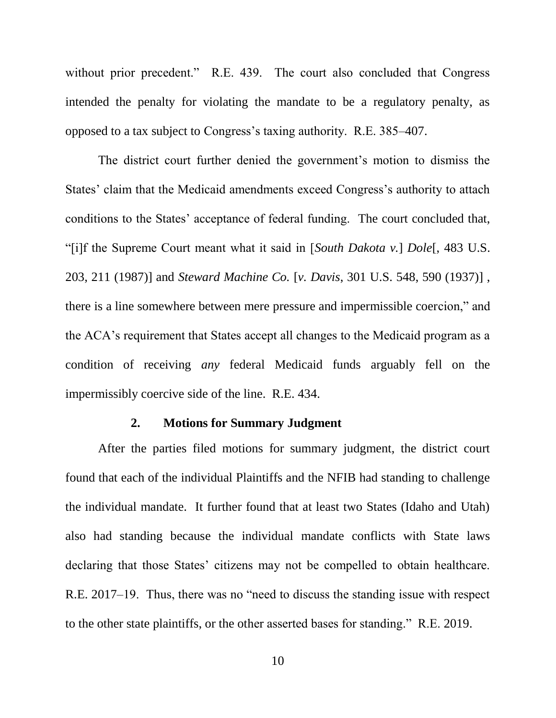without prior precedent." R.E. 439. The court also concluded that Congress intended the penalty for violating the mandate to be a regulatory penalty, as opposed to a tax subject to Congress's taxing authority. R.E. 385–407.

The district court further denied the government's motion to dismiss the States' claim that the Medicaid amendments exceed Congress's authority to attach conditions to the States' acceptance of federal funding. The court concluded that, ―[i]f the Supreme Court meant what it said in [*South Dakota v.*] *Dole*[, 483 U.S. 203, 211 (1987)] and *Steward Machine Co.* [*v. Davis*, 301 U.S. 548, 590 (1937)] , there is a line somewhere between mere pressure and impermissible coercion," and the ACA's requirement that States accept all changes to the Medicaid program as a condition of receiving *any* federal Medicaid funds arguably fell on the impermissibly coercive side of the line. R.E. 434.

#### **2. Motions for Summary Judgment**

After the parties filed motions for summary judgment, the district court found that each of the individual Plaintiffs and the NFIB had standing to challenge the individual mandate. It further found that at least two States (Idaho and Utah) also had standing because the individual mandate conflicts with State laws declaring that those States' citizens may not be compelled to obtain healthcare. R.E. 2017–19. Thus, there was no "need to discuss the standing issue with respect to the other state plaintiffs, or the other asserted bases for standing." R.E. 2019.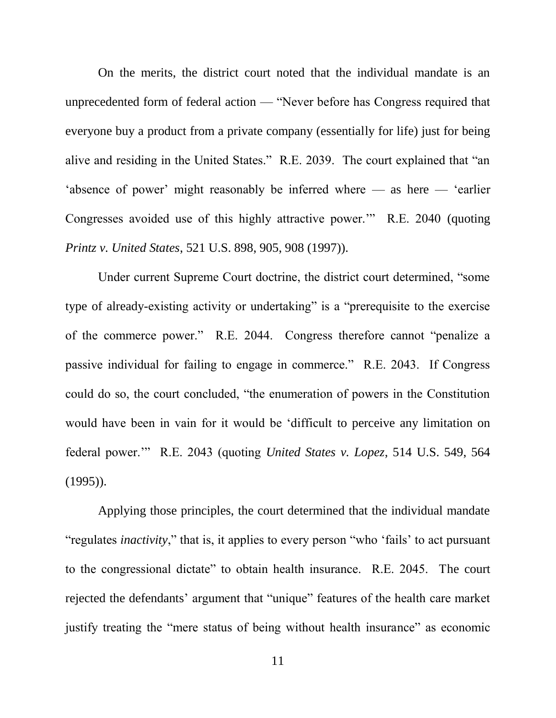On the merits, the district court noted that the individual mandate is an unprecedented form of federal action  $-$  "Never before has Congress required that everyone buy a product from a private company (essentially for life) just for being alive and residing in the United States." R.E. 2039. The court explained that "an 'absence of power' might reasonably be inferred where  $-$  as here  $-$  'earlier Congresses avoided use of this highly attractive power.'" R.E. 2040 (quoting *Printz v. United States*, 521 U.S. 898, 905, 908 (1997)).

Under current Supreme Court doctrine, the district court determined, "some type of already-existing activity or undertaking" is a "prerequisite to the exercise of the commerce power." R.E. 2044. Congress therefore cannot "penalize a passive individual for failing to engage in commerce." R.E. 2043. If Congress could do so, the court concluded, "the enumeration of powers in the Constitution would have been in vain for it would be 'difficult to perceive any limitation on federal power." R.E. 2043 (quoting *United States v. Lopez*, 514 U.S. 549, 564 (1995)).

Applying those principles, the court determined that the individual mandate "regulates *inactivity*," that is, it applies to every person "who 'fails' to act pursuant to the congressional dictate" to obtain health insurance. R.E. 2045. The court rejected the defendants' argument that "unique" features of the health care market justify treating the "mere status of being without health insurance" as economic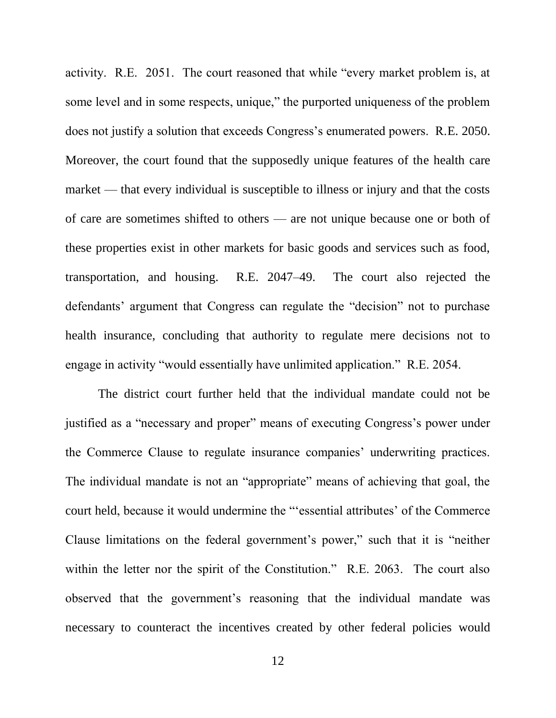activity. R.E. 2051. The court reasoned that while "every market problem is, at some level and in some respects, unique," the purported uniqueness of the problem does not justify a solution that exceeds Congress's enumerated powers. R.E. 2050. Moreover, the court found that the supposedly unique features of the health care market — that every individual is susceptible to illness or injury and that the costs of care are sometimes shifted to others — are not unique because one or both of these properties exist in other markets for basic goods and services such as food, transportation, and housing. R.E. 2047–49. The court also rejected the defendants' argument that Congress can regulate the "decision" not to purchase health insurance, concluding that authority to regulate mere decisions not to engage in activity "would essentially have unlimited application." R.E. 2054.

The district court further held that the individual mandate could not be justified as a "necessary and proper" means of executing Congress's power under the Commerce Clause to regulate insurance companies' underwriting practices. The individual mandate is not an "appropriate" means of achieving that goal, the court held, because it would undermine the "essential attributes' of the Commerce Clause limitations on the federal government's power," such that it is "neither within the letter nor the spirit of the Constitution." R.E. 2063. The court also observed that the government's reasoning that the individual mandate was necessary to counteract the incentives created by other federal policies would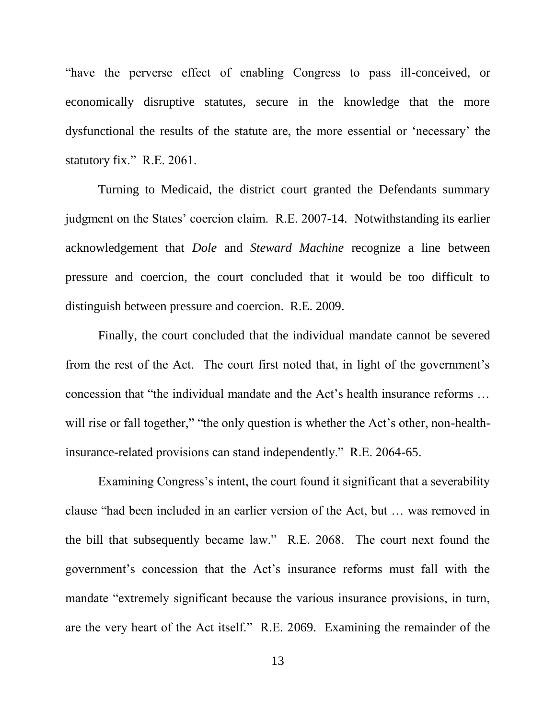―have the perverse effect of enabling Congress to pass ill-conceived, or economically disruptive statutes, secure in the knowledge that the more dysfunctional the results of the statute are, the more essential or 'necessary' the statutory fix."  $R.E. 2061$ .

Turning to Medicaid, the district court granted the Defendants summary judgment on the States' coercion claim. R.E. 2007-14. Notwithstanding its earlier acknowledgement that *Dole* and *Steward Machine* recognize a line between pressure and coercion, the court concluded that it would be too difficult to distinguish between pressure and coercion. R.E. 2009.

Finally, the court concluded that the individual mandate cannot be severed from the rest of the Act. The court first noted that, in light of the government's concession that "the individual mandate and the Act's health insurance reforms ... will rise or fall together," "the only question is whether the Act's other, non-healthinsurance-related provisions can stand independently." R.E. 2064-65.

Examining Congress's intent, the court found it significant that a severability clause "had been included in an earlier version of the Act, but ... was removed in the bill that subsequently became law.‖ R.E. 2068. The court next found the government's concession that the Act's insurance reforms must fall with the mandate "extremely significant because the various insurance provisions, in turn, are the very heart of the Act itself." R.E. 2069. Examining the remainder of the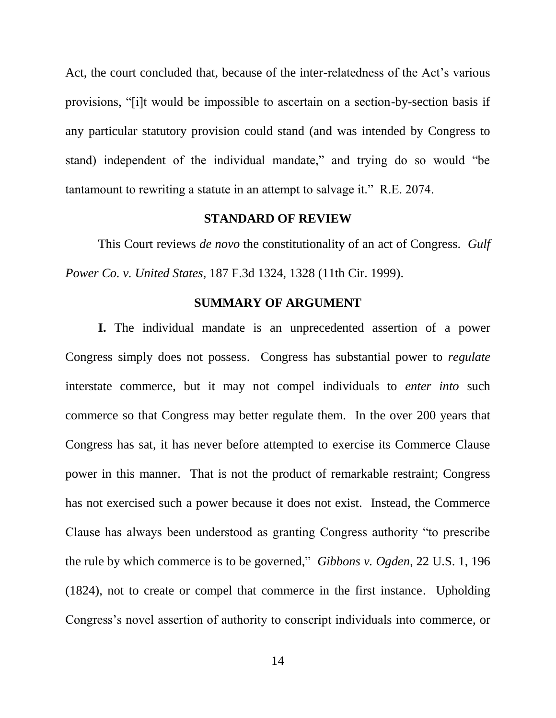Act, the court concluded that, because of the inter-relatedness of the Act's various provisions, "[i]t would be impossible to ascertain on a section-by-section basis if any particular statutory provision could stand (and was intended by Congress to stand) independent of the individual mandate," and trying do so would "be tantamount to rewriting a statute in an attempt to salvage it." R.E. 2074.

#### **STANDARD OF REVIEW**

This Court reviews *de novo* the constitutionality of an act of Congress. *Gulf Power Co. v. United States*, 187 F.3d 1324, 1328 (11th Cir. 1999).

### **SUMMARY OF ARGUMENT**

**I.** The individual mandate is an unprecedented assertion of a power Congress simply does not possess. Congress has substantial power to *regulate*  interstate commerce, but it may not compel individuals to *enter into* such commerce so that Congress may better regulate them. In the over 200 years that Congress has sat, it has never before attempted to exercise its Commerce Clause power in this manner. That is not the product of remarkable restraint; Congress has not exercised such a power because it does not exist. Instead, the Commerce Clause has always been understood as granting Congress authority "to prescribe" the rule by which commerce is to be governed," *Gibbons v. Ogden*, 22 U.S. 1, 196 (1824), not to create or compel that commerce in the first instance. Upholding Congress's novel assertion of authority to conscript individuals into commerce, or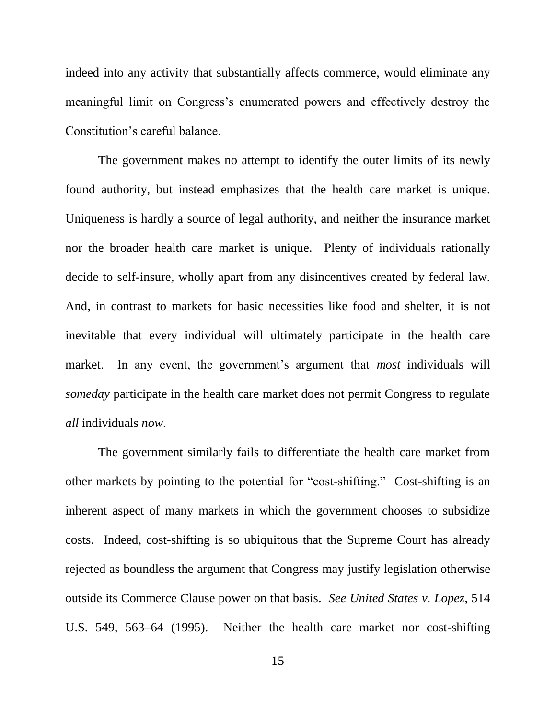indeed into any activity that substantially affects commerce, would eliminate any meaningful limit on Congress's enumerated powers and effectively destroy the Constitution's careful balance.

The government makes no attempt to identify the outer limits of its newly found authority, but instead emphasizes that the health care market is unique. Uniqueness is hardly a source of legal authority, and neither the insurance market nor the broader health care market is unique. Plenty of individuals rationally decide to self-insure, wholly apart from any disincentives created by federal law. And, in contrast to markets for basic necessities like food and shelter, it is not inevitable that every individual will ultimately participate in the health care market. In any event, the government's argument that *most* individuals will *someday* participate in the health care market does not permit Congress to regulate *all* individuals *now*.

The government similarly fails to differentiate the health care market from other markets by pointing to the potential for "cost-shifting." Cost-shifting is an inherent aspect of many markets in which the government chooses to subsidize costs. Indeed, cost-shifting is so ubiquitous that the Supreme Court has already rejected as boundless the argument that Congress may justify legislation otherwise outside its Commerce Clause power on that basis. *See United States v. Lopez*, 514 U.S. 549, 563–64 (1995). Neither the health care market nor cost-shifting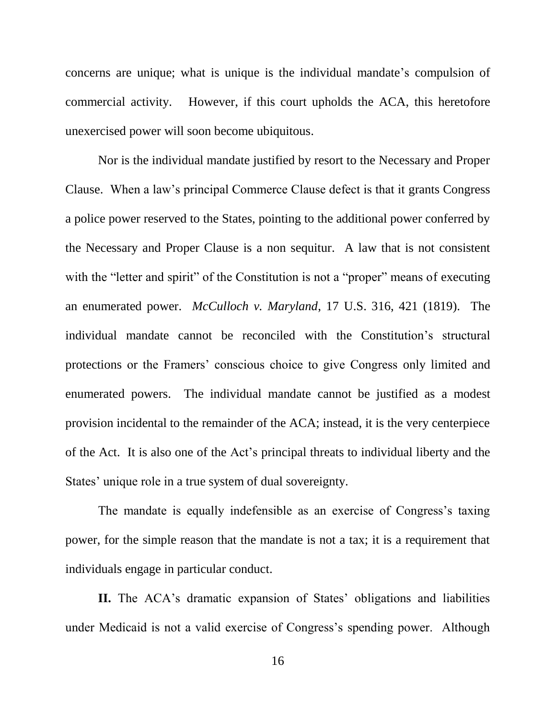concerns are unique; what is unique is the individual mandate's compulsion of commercial activity. However, if this court upholds the ACA, this heretofore unexercised power will soon become ubiquitous.

Nor is the individual mandate justified by resort to the Necessary and Proper Clause. When a law's principal Commerce Clause defect is that it grants Congress a police power reserved to the States, pointing to the additional power conferred by the Necessary and Proper Clause is a non sequitur. A law that is not consistent with the "letter and spirit" of the Constitution is not a "proper" means of executing an enumerated power. *McCulloch v. Maryland*, 17 U.S. 316, 421 (1819). The individual mandate cannot be reconciled with the Constitution's structural protections or the Framers' conscious choice to give Congress only limited and enumerated powers. The individual mandate cannot be justified as a modest provision incidental to the remainder of the ACA; instead, it is the very centerpiece of the Act. It is also one of the Act's principal threats to individual liberty and the States' unique role in a true system of dual sovereignty.

The mandate is equally indefensible as an exercise of Congress's taxing power, for the simple reason that the mandate is not a tax; it is a requirement that individuals engage in particular conduct.

**II.** The ACA's dramatic expansion of States' obligations and liabilities under Medicaid is not a valid exercise of Congress's spending power. Although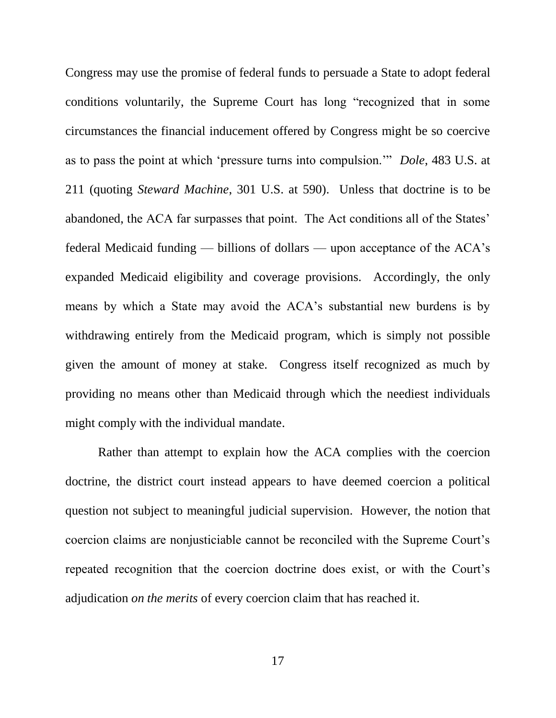Congress may use the promise of federal funds to persuade a State to adopt federal conditions voluntarily, the Supreme Court has long "recognized that in some circumstances the financial inducement offered by Congress might be so coercive as to pass the point at which 'pressure turns into compulsion.'" *Dole*, 483 U.S. at 211 (quoting *Steward Machine*, 301 U.S. at 590). Unless that doctrine is to be abandoned, the ACA far surpasses that point. The Act conditions all of the States' federal Medicaid funding — billions of dollars — upon acceptance of the ACA's expanded Medicaid eligibility and coverage provisions. Accordingly, the only means by which a State may avoid the ACA's substantial new burdens is by withdrawing entirely from the Medicaid program, which is simply not possible given the amount of money at stake. Congress itself recognized as much by providing no means other than Medicaid through which the neediest individuals might comply with the individual mandate.

Rather than attempt to explain how the ACA complies with the coercion doctrine, the district court instead appears to have deemed coercion a political question not subject to meaningful judicial supervision. However, the notion that coercion claims are nonjusticiable cannot be reconciled with the Supreme Court's repeated recognition that the coercion doctrine does exist, or with the Court's adjudication *on the merits* of every coercion claim that has reached it.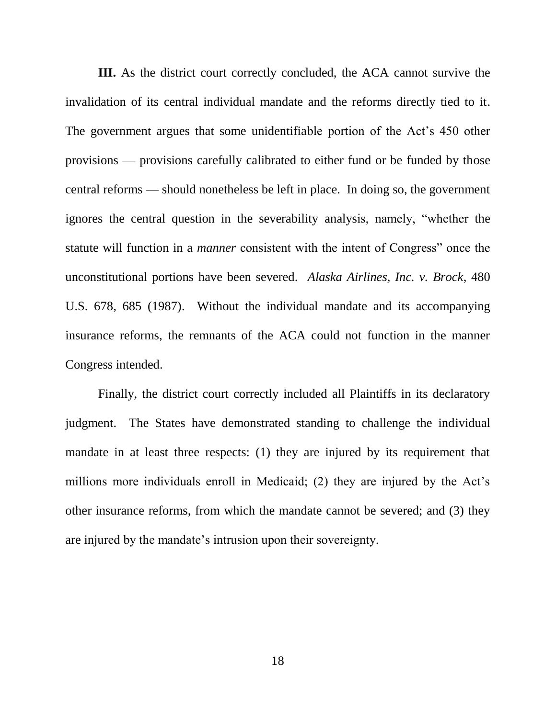**III.** As the district court correctly concluded, the ACA cannot survive the invalidation of its central individual mandate and the reforms directly tied to it. The government argues that some unidentifiable portion of the Act's 450 other provisions — provisions carefully calibrated to either fund or be funded by those central reforms — should nonetheless be left in place. In doing so, the government ignores the central question in the severability analysis, namely, "whether the statute will function in a *manner* consistent with the intent of Congress" once the unconstitutional portions have been severed. *Alaska Airlines, Inc. v. Brock*, 480 U.S. 678, 685 (1987). Without the individual mandate and its accompanying insurance reforms, the remnants of the ACA could not function in the manner Congress intended.

Finally, the district court correctly included all Plaintiffs in its declaratory judgment. The States have demonstrated standing to challenge the individual mandate in at least three respects: (1) they are injured by its requirement that millions more individuals enroll in Medicaid; (2) they are injured by the Act's other insurance reforms, from which the mandate cannot be severed; and (3) they are injured by the mandate's intrusion upon their sovereignty.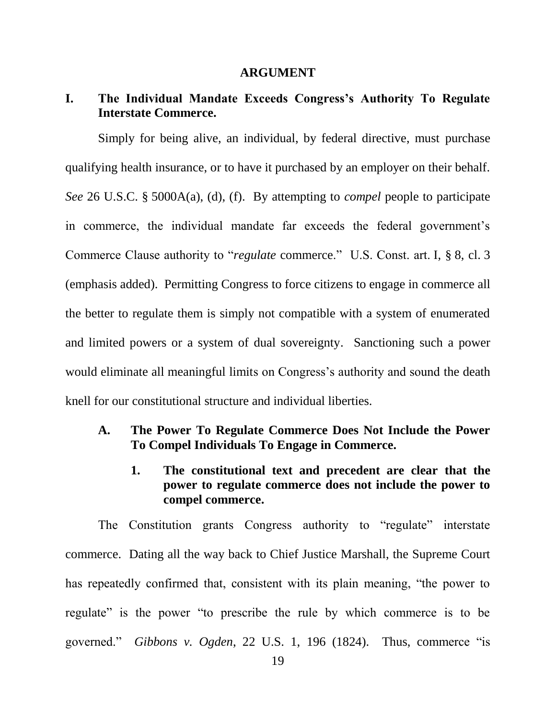#### **ARGUMENT**

## **I. The Individual Mandate Exceeds Congress's Authority To Regulate Interstate Commerce.**

Simply for being alive, an individual, by federal directive, must purchase qualifying health insurance, or to have it purchased by an employer on their behalf. *See* 26 U.S.C. § 5000A(a), (d), (f). By attempting to *compel* people to participate in commerce, the individual mandate far exceeds the federal government's Commerce Clause authority to "*regulate* commerce." U.S. Const. art. I, § 8, cl. 3 (emphasis added). Permitting Congress to force citizens to engage in commerce all the better to regulate them is simply not compatible with a system of enumerated and limited powers or a system of dual sovereignty. Sanctioning such a power would eliminate all meaningful limits on Congress's authority and sound the death knell for our constitutional structure and individual liberties.

- **A. The Power To Regulate Commerce Does Not Include the Power To Compel Individuals To Engage in Commerce.**
	- **1. The constitutional text and precedent are clear that the power to regulate commerce does not include the power to compel commerce.**

The Constitution grants Congress authority to "regulate" interstate commerce. Dating all the way back to Chief Justice Marshall, the Supreme Court has repeatedly confirmed that, consistent with its plain meaning, "the power to regulate" is the power "to prescribe the rule by which commerce is to be governed." *Gibbons v. Ogden*, 22 U.S. 1, 196 (1824). Thus, commerce "is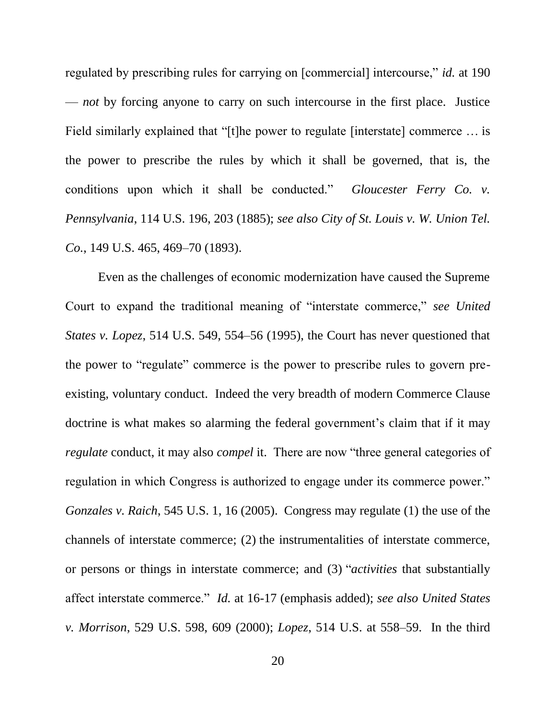regulated by prescribing rules for carrying on [commercial] intercourse," *id.* at 190 — *not* by forcing anyone to carry on such intercourse in the first place. Justice Field similarly explained that "[t]he power to regulate [interstate] commerce ... is the power to prescribe the rules by which it shall be governed, that is, the conditions upon which it shall be conducted." *Gloucester Ferry Co. v. Pennsylvania*, 114 U.S. 196, 203 (1885); *see also City of St. Louis v. W. Union Tel. Co.*, 149 U.S. 465, 469–70 (1893).

Even as the challenges of economic modernization have caused the Supreme Court to expand the traditional meaning of "interstate commerce," see United *States v. Lopez*, 514 U.S. 549, 554–56 (1995), the Court has never questioned that the power to "regulate" commerce is the power to prescribe rules to govern preexisting, voluntary conduct. Indeed the very breadth of modern Commerce Clause doctrine is what makes so alarming the federal government's claim that if it may *regulate* conduct, it may also *compel* it. There are now "three general categories of regulation in which Congress is authorized to engage under its commerce power." *Gonzales v. Raich*, 545 U.S. 1, 16 (2005). Congress may regulate (1) the use of the channels of interstate commerce; (2) the instrumentalities of interstate commerce, or persons or things in interstate commerce; and (3) "*activities* that substantially affect interstate commerce.‖ *Id.* at 16-17 (emphasis added); *see also United States v. Morrison*, 529 U.S. 598, 609 (2000); *Lopez*, 514 U.S. at 558–59. In the third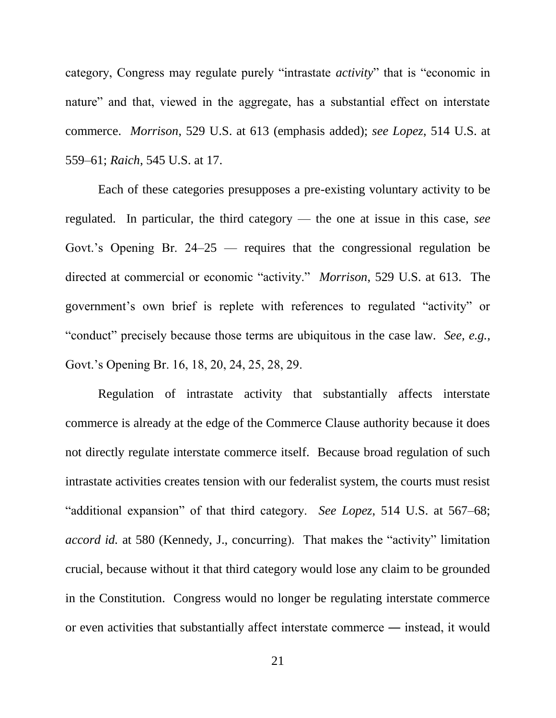category, Congress may regulate purely "intrastate *activity*" that is "economic in nature" and that, viewed in the aggregate, has a substantial effect on interstate commerce. *Morrison*, 529 U.S. at 613 (emphasis added); *see Lopez*, 514 U.S. at 559–61; *Raich*, 545 U.S. at 17.

Each of these categories presupposes a pre-existing voluntary activity to be regulated. In particular, the third category — the one at issue in this case, *see* Govt.'s Opening Br. 24–25 — requires that the congressional regulation be directed at commercial or economic "activity." *Morrison*, 529 U.S. at 613. The government's own brief is replete with references to regulated "activity" or ―conduct‖ precisely because those terms are ubiquitous in the case law. *See, e.g.*, Govt.'s Opening Br. 16, 18, 20, 24, 25, 28, 29.

Regulation of intrastate activity that substantially affects interstate commerce is already at the edge of the Commerce Clause authority because it does not directly regulate interstate commerce itself. Because broad regulation of such intrastate activities creates tension with our federalist system, the courts must resist "additional expansion" of that third category. *See Lopez*, 514 U.S. at 567-68; *accord id.* at 580 (Kennedy, J., concurring). That makes the "activity" limitation crucial, because without it that third category would lose any claim to be grounded in the Constitution. Congress would no longer be regulating interstate commerce or even activities that substantially affect interstate commerce ― instead, it would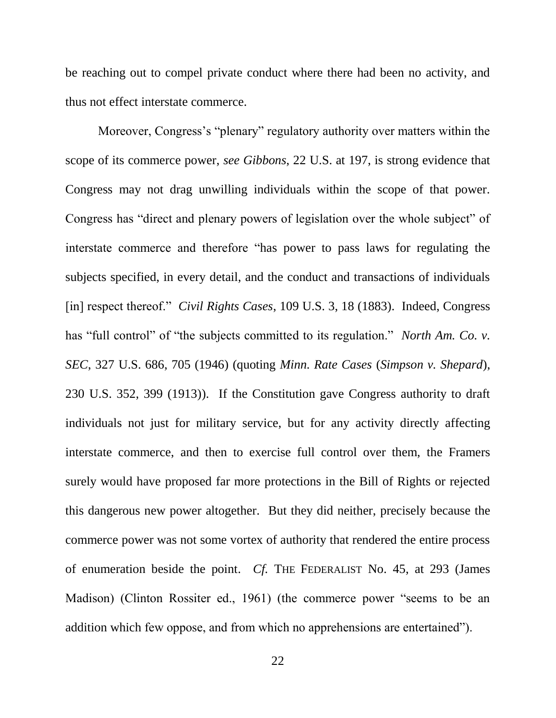be reaching out to compel private conduct where there had been no activity, and thus not effect interstate commerce.

Moreover, Congress's "plenary" regulatory authority over matters within the scope of its commerce power, *see Gibbons*, 22 U.S. at 197, is strong evidence that Congress may not drag unwilling individuals within the scope of that power. Congress has "direct and plenary powers of legislation over the whole subject" of interstate commerce and therefore "has power to pass laws for regulating the subjects specified, in every detail, and the conduct and transactions of individuals [in] respect thereof." *Civil Rights Cases*, 109 U.S. 3, 18 (1883). Indeed, Congress has "full control" of "the subjects committed to its regulation." *North Am. Co. v. SEC*, 327 U.S. 686, 705 (1946) (quoting *Minn. Rate Cases* (*Simpson v. Shepard*), 230 U.S. 352, 399 (1913)). If the Constitution gave Congress authority to draft individuals not just for military service, but for any activity directly affecting interstate commerce, and then to exercise full control over them, the Framers surely would have proposed far more protections in the Bill of Rights or rejected this dangerous new power altogether. But they did neither, precisely because the commerce power was not some vortex of authority that rendered the entire process of enumeration beside the point. *Cf.* THE FEDERALIST No. 45, at 293 (James Madison) (Clinton Rossiter ed., 1961) (the commerce power "seems to be an addition which few oppose, and from which no apprehensions are entertained").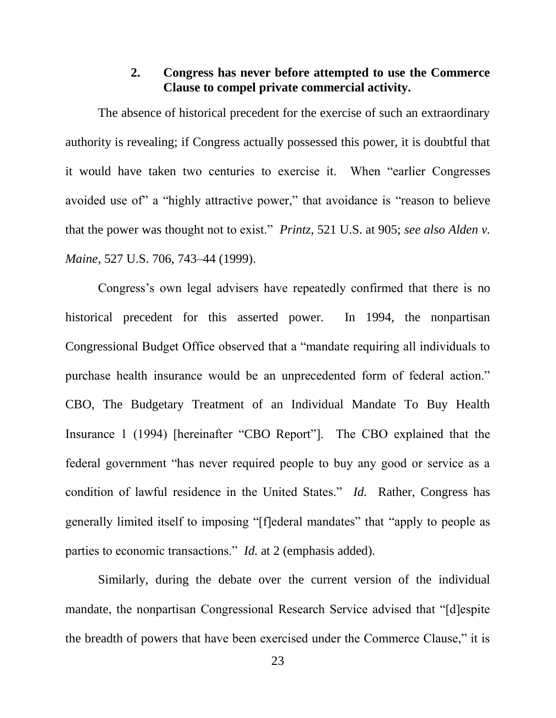### **2. Congress has never before attempted to use the Commerce Clause to compel private commercial activity.**

The absence of historical precedent for the exercise of such an extraordinary authority is revealing; if Congress actually possessed this power, it is doubtful that it would have taken two centuries to exercise it. When "earlier Congresses" avoided use of a "highly attractive power," that avoidance is "reason to believe that the power was thought not to exist." *Printz*, 521 U.S. at 905; *see also Alden v. Maine*, 527 U.S. 706, 743–44 (1999).

Congress's own legal advisers have repeatedly confirmed that there is no historical precedent for this asserted power. In 1994, the nonpartisan Congressional Budget Office observed that a "mandate requiring all individuals to purchase health insurance would be an unprecedented form of federal action." CBO, The Budgetary Treatment of an Individual Mandate To Buy Health Insurance 1 (1994) [hereinafter "CBO Report"]. The CBO explained that the federal government "has never required people to buy any good or service as a condition of lawful residence in the United States." *Id.* Rather, Congress has generally limited itself to imposing "[f]ederal mandates" that "apply to people as parties to economic transactions." *Id.* at 2 (emphasis added).

Similarly, during the debate over the current version of the individual mandate, the nonpartisan Congressional Research Service advised that "[d]espite the breadth of powers that have been exercised under the Commerce Clause," it is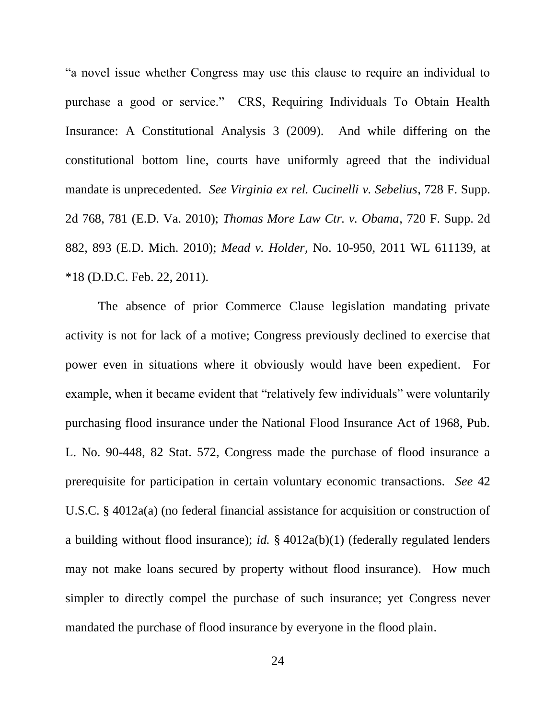―a novel issue whether Congress may use this clause to require an individual to purchase a good or service." CRS, Requiring Individuals To Obtain Health Insurance: A Constitutional Analysis 3 (2009). And while differing on the constitutional bottom line, courts have uniformly agreed that the individual mandate is unprecedented. *See Virginia ex rel. Cucinelli v. Sebelius*, 728 F. Supp. 2d 768, 781 (E.D. Va. 2010); *Thomas More Law Ctr. v. Obama*, 720 F. Supp. 2d 882, 893 (E.D. Mich. 2010); *Mead v. Holder*, No. 10-950, 2011 WL 611139, at \*18 (D.D.C. Feb. 22, 2011).

The absence of prior Commerce Clause legislation mandating private activity is not for lack of a motive; Congress previously declined to exercise that power even in situations where it obviously would have been expedient. For example, when it became evident that "relatively few individuals" were voluntarily purchasing flood insurance under the National Flood Insurance Act of 1968, Pub. L. No. 90-448, 82 Stat. 572, Congress made the purchase of flood insurance a prerequisite for participation in certain voluntary economic transactions. *See* 42 U.S.C. § 4012a(a) (no federal financial assistance for acquisition or construction of a building without flood insurance); *id.* § 4012a(b)(1) (federally regulated lenders may not make loans secured by property without flood insurance). How much simpler to directly compel the purchase of such insurance; yet Congress never mandated the purchase of flood insurance by everyone in the flood plain.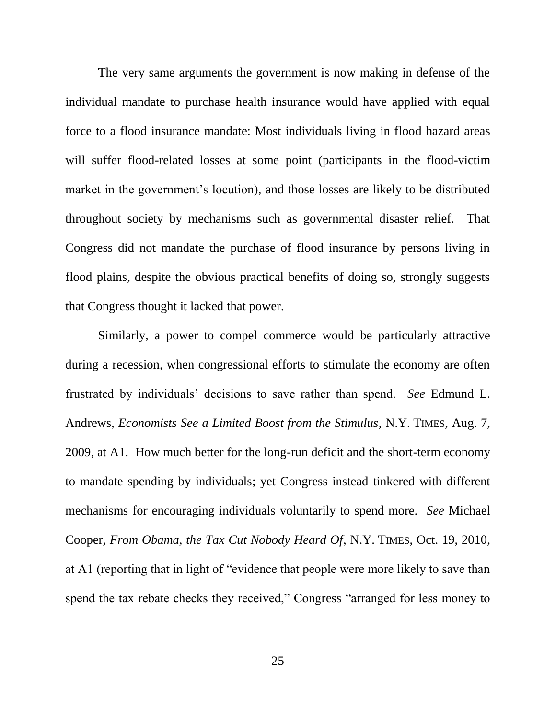The very same arguments the government is now making in defense of the individual mandate to purchase health insurance would have applied with equal force to a flood insurance mandate: Most individuals living in flood hazard areas will suffer flood-related losses at some point (participants in the flood-victim market in the government's locution), and those losses are likely to be distributed throughout society by mechanisms such as governmental disaster relief. That Congress did not mandate the purchase of flood insurance by persons living in flood plains, despite the obvious practical benefits of doing so, strongly suggests that Congress thought it lacked that power.

Similarly, a power to compel commerce would be particularly attractive during a recession, when congressional efforts to stimulate the economy are often frustrated by individuals' decisions to save rather than spend. *See* Edmund L. Andrews, *Economists See a Limited Boost from the Stimulus*, N.Y. TIMES, Aug. 7, 2009, at A1. How much better for the long-run deficit and the short-term economy to mandate spending by individuals; yet Congress instead tinkered with different mechanisms for encouraging individuals voluntarily to spend more. *See* Michael Cooper, *From Obama, the Tax Cut Nobody Heard Of*, N.Y. TIMES, Oct. 19, 2010, at A1 (reporting that in light of "evidence that people were more likely to save than spend the tax rebate checks they received," Congress "arranged for less money to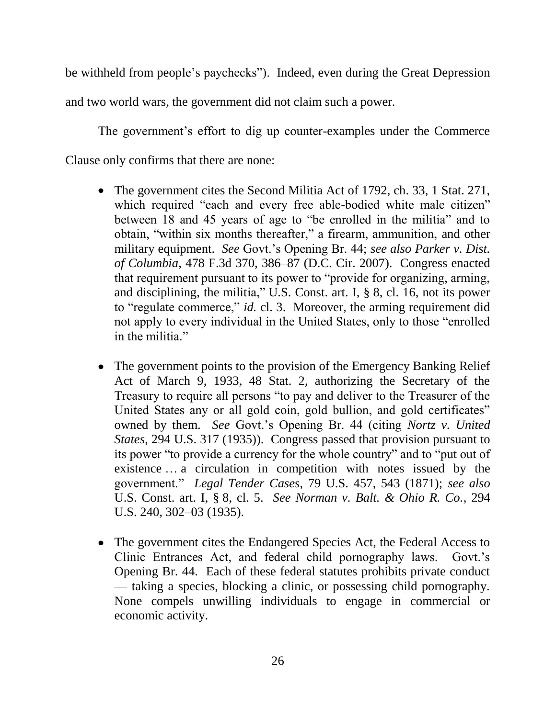be withheld from people's paychecks"). Indeed, even during the Great Depression and two world wars, the government did not claim such a power.

The government's effort to dig up counter-examples under the Commerce Clause only confirms that there are none:

- The government cites the Second Militia Act of 1792, ch. 33, 1 Stat. 271, which required "each and every free able-bodied white male citizen" between 18 and 45 years of age to "be enrolled in the militia" and to obtain, "within six months thereafter," a firearm, ammunition, and other military equipment. *See* Govt.'s Opening Br. 44; *see also Parker v. Dist. of Columbia*, 478 F.3d 370, 386–87 (D.C. Cir. 2007). Congress enacted that requirement pursuant to its power to "provide for organizing, arming, and disciplining, the militia," U.S. Const. art. I,  $\S$  8, cl. 16, not its power to "regulate commerce," *id.* cl. 3. Moreover, the arming requirement did not apply to every individual in the United States, only to those "enrolled" in the militia."
- The government points to the provision of the Emergency Banking Relief Act of March 9, 1933, 48 Stat. 2, authorizing the Secretary of the Treasury to require all persons "to pay and deliver to the Treasurer of the United States any or all gold coin, gold bullion, and gold certificates" owned by them. *See* Govt.'s Opening Br. 44 (citing *Nortz v. United States*, 294 U.S. 317 (1935)). Congress passed that provision pursuant to its power "to provide a currency for the whole country" and to "put out of existence … a circulation in competition with notes issued by the government.‖ *Legal Tender Cases*, 79 U.S. 457, 543 (1871); *see also* U.S. Const. art. I, § 8, cl. 5. *See Norman v. Balt. & Ohio R. Co.*, 294 U.S. 240, 302–03 (1935).
- The government cites the Endangered Species Act, the Federal Access to Clinic Entrances Act, and federal child pornography laws. Govt.'s Opening Br. 44. Each of these federal statutes prohibits private conduct — taking a species, blocking a clinic, or possessing child pornography. None compels unwilling individuals to engage in commercial or economic activity.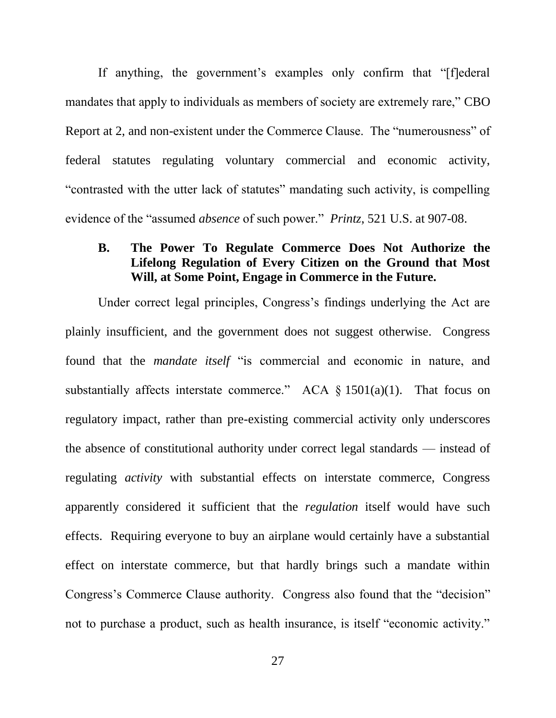If anything, the government's examples only confirm that "[f]ederal mandates that apply to individuals as members of society are extremely rare," CBO Report at 2, and non-existent under the Commerce Clause. The "numerousness" of federal statutes regulating voluntary commercial and economic activity, "contrasted with the utter lack of statutes" mandating such activity, is compelling evidence of the "assumed *absence* of such power." *Printz*, 521 U.S. at 907-08.

### **B. The Power To Regulate Commerce Does Not Authorize the Lifelong Regulation of Every Citizen on the Ground that Most Will, at Some Point, Engage in Commerce in the Future.**

Under correct legal principles, Congress's findings underlying the Act are plainly insufficient, and the government does not suggest otherwise. Congress found that the *mandate itself* "is commercial and economic in nature, and substantially affects interstate commerce." ACA  $\S$  1501(a)(1). That focus on regulatory impact, rather than pre-existing commercial activity only underscores the absence of constitutional authority under correct legal standards — instead of regulating *activity* with substantial effects on interstate commerce, Congress apparently considered it sufficient that the *regulation* itself would have such effects. Requiring everyone to buy an airplane would certainly have a substantial effect on interstate commerce, but that hardly brings such a mandate within Congress's Commerce Clause authority. Congress also found that the "decision" not to purchase a product, such as health insurance, is itself "economic activity."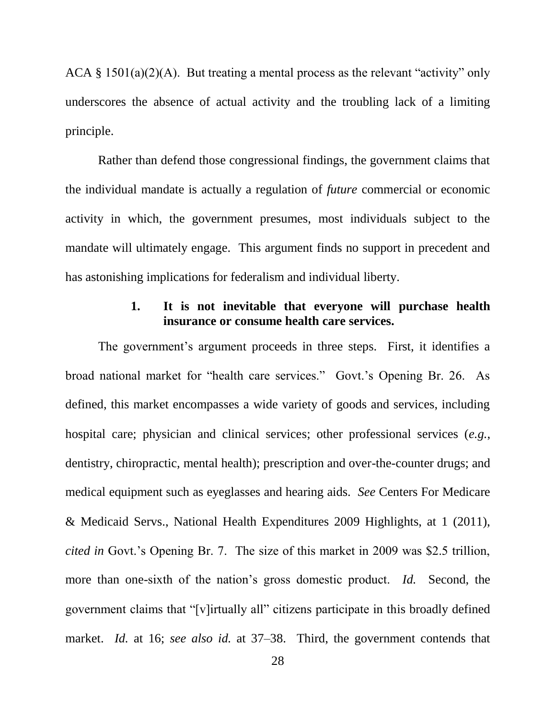ACA § 1501(a)(2)(A). But treating a mental process as the relevant "activity" only underscores the absence of actual activity and the troubling lack of a limiting principle.

Rather than defend those congressional findings, the government claims that the individual mandate is actually a regulation of *future* commercial or economic activity in which, the government presumes, most individuals subject to the mandate will ultimately engage. This argument finds no support in precedent and has astonishing implications for federalism and individual liberty.

### **1. It is not inevitable that everyone will purchase health insurance or consume health care services.**

The government's argument proceeds in three steps. First, it identifies a broad national market for "health care services." Govt.'s Opening Br. 26. As defined, this market encompasses a wide variety of goods and services, including hospital care; physician and clinical services; other professional services (*e.g.*, dentistry, chiropractic, mental health); prescription and over-the-counter drugs; and medical equipment such as eyeglasses and hearing aids. *See* Centers For Medicare & Medicaid Servs., National Health Expenditures 2009 Highlights, at 1 (2011), *cited in* Govt.'s Opening Br. 7. The size of this market in 2009 was \$2.5 trillion, more than one-sixth of the nation's gross domestic product. *Id.* Second, the government claims that "[v]irtually all" citizens participate in this broadly defined market. *Id.* at 16; *see also id.* at 37–38. Third, the government contends that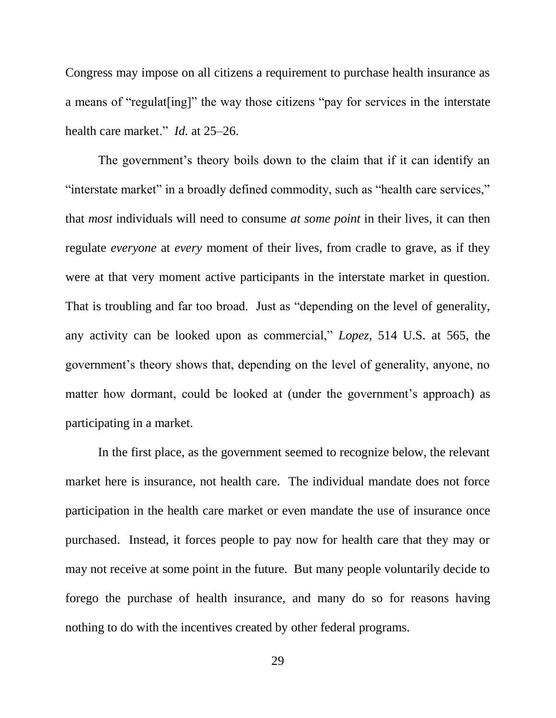Congress may impose on all citizens a requirement to purchase health insurance as a means of "regulat [ing]" the way those citizens "pay for services in the interstate health care market." *Id.* at 25–26.

The government's theory boils down to the claim that if it can identify an "interstate market" in a broadly defined commodity, such as "health care services," that *most* individuals will need to consume *at some point* in their lives, it can then regulate *everyone* at *every* moment of their lives, from cradle to grave, as if they were at that very moment active participants in the interstate market in question. That is troubling and far too broad. Just as "depending on the level of generality, any activity can be looked upon as commercial," *Lopez*, 514 U.S. at 565, the government's theory shows that, depending on the level of generality, anyone, no matter how dormant, could be looked at (under the government's approach) as participating in a market.

In the first place, as the government seemed to recognize below, the relevant market here is insurance, not health care. The individual mandate does not force participation in the health care market or even mandate the use of insurance once purchased. Instead, it forces people to pay now for health care that they may or may not receive at some point in the future. But many people voluntarily decide to forego the purchase of health insurance, and many do so for reasons having nothing to do with the incentives created by other federal programs.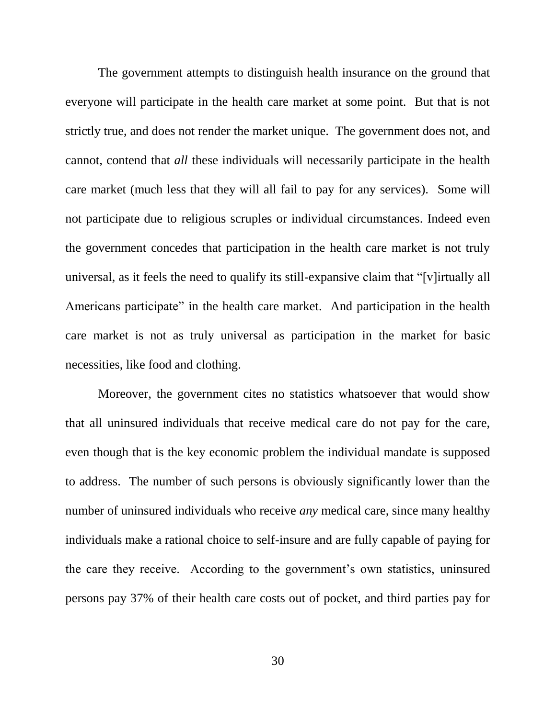The government attempts to distinguish health insurance on the ground that everyone will participate in the health care market at some point. But that is not strictly true, and does not render the market unique. The government does not, and cannot, contend that *all* these individuals will necessarily participate in the health care market (much less that they will all fail to pay for any services). Some will not participate due to religious scruples or individual circumstances. Indeed even the government concedes that participation in the health care market is not truly universal, as it feels the need to qualify its still-expansive claim that "[v]irtually all Americans participate" in the health care market. And participation in the health care market is not as truly universal as participation in the market for basic necessities, like food and clothing.

Moreover, the government cites no statistics whatsoever that would show that all uninsured individuals that receive medical care do not pay for the care, even though that is the key economic problem the individual mandate is supposed to address. The number of such persons is obviously significantly lower than the number of uninsured individuals who receive *any* medical care, since many healthy individuals make a rational choice to self-insure and are fully capable of paying for the care they receive. According to the government's own statistics, uninsured persons pay 37% of their health care costs out of pocket, and third parties pay for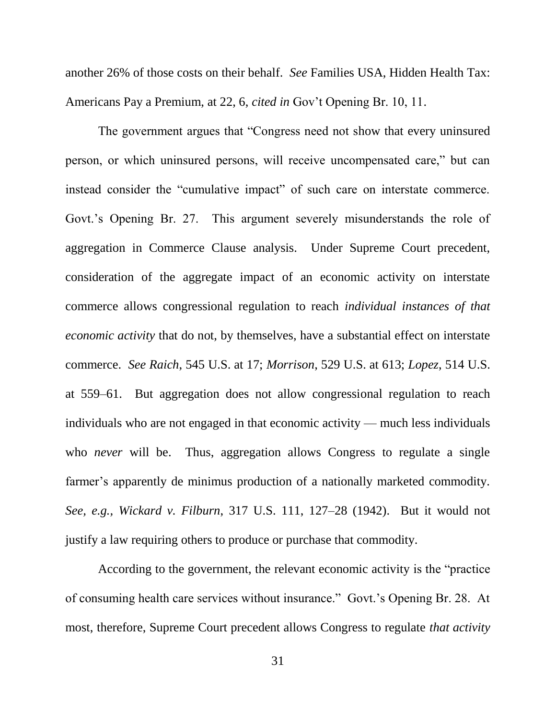another 26% of those costs on their behalf. *See* Families USA, Hidden Health Tax: Americans Pay a Premium, at 22, 6, *cited in* Gov't Opening Br. 10, 11.

The government argues that "Congress need not show that every uninsured person, or which uninsured persons, will receive uncompensated care," but can instead consider the "cumulative impact" of such care on interstate commerce. Govt.'s Opening Br. 27. This argument severely misunderstands the role of aggregation in Commerce Clause analysis. Under Supreme Court precedent, consideration of the aggregate impact of an economic activity on interstate commerce allows congressional regulation to reach *individual instances of that economic activity* that do not, by themselves, have a substantial effect on interstate commerce. *See Raich*, 545 U.S. at 17; *Morrison*, 529 U.S. at 613; *Lopez*, 514 U.S. at 559–61. But aggregation does not allow congressional regulation to reach individuals who are not engaged in that economic activity — much less individuals who *never* will be. Thus, aggregation allows Congress to regulate a single farmer's apparently de minimus production of a nationally marketed commodity. *See, e.g., Wickard v. Filburn*, 317 U.S. 111, 127–28 (1942). But it would not justify a law requiring others to produce or purchase that commodity.

According to the government, the relevant economic activity is the "practice" of consuming health care services without insurance.‖ Govt.'s Opening Br. 28. At most, therefore, Supreme Court precedent allows Congress to regulate *that activity*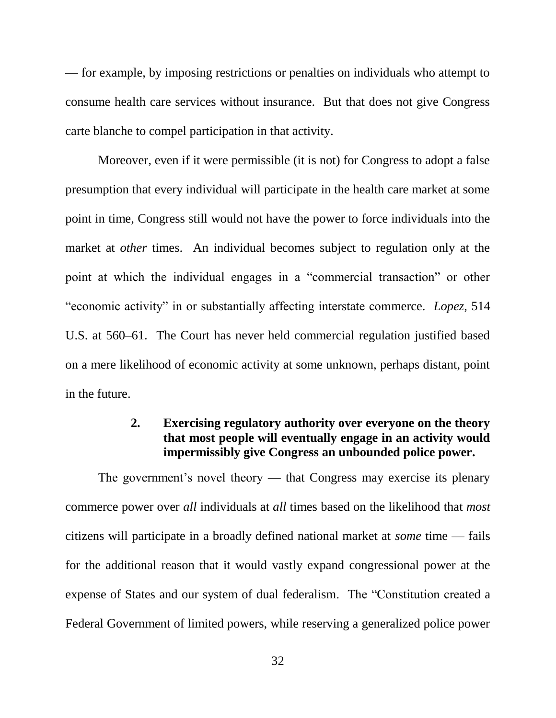— for example, by imposing restrictions or penalties on individuals who attempt to consume health care services without insurance. But that does not give Congress carte blanche to compel participation in that activity.

Moreover, even if it were permissible (it is not) for Congress to adopt a false presumption that every individual will participate in the health care market at some point in time, Congress still would not have the power to force individuals into the market at *other* times. An individual becomes subject to regulation only at the point at which the individual engages in a "commercial transaction" or other "economic activity" in or substantially affecting interstate commerce. *Lopez*, 514 U.S. at 560–61. The Court has never held commercial regulation justified based on a mere likelihood of economic activity at some unknown, perhaps distant, point in the future.

#### **2. Exercising regulatory authority over everyone on the theory that most people will eventually engage in an activity would impermissibly give Congress an unbounded police power.**

The government's novel theory — that Congress may exercise its plenary commerce power over *all* individuals at *all* times based on the likelihood that *most* citizens will participate in a broadly defined national market at *some* time — fails for the additional reason that it would vastly expand congressional power at the expense of States and our system of dual federalism. The "Constitution created a Federal Government of limited powers, while reserving a generalized police power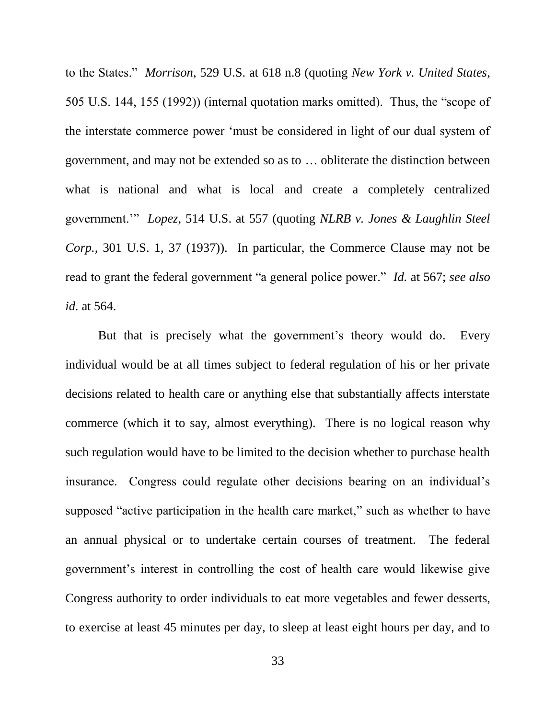to the States.‖ *Morrison*, 529 U.S. at 618 n.8 (quoting *New York v. United States*, 505 U.S. 144, 155 (1992)) (internal quotation marks omitted). Thus, the "scope of the interstate commerce power ‗must be considered in light of our dual system of government, and may not be extended so as to … obliterate the distinction between what is national and what is local and create a completely centralized government.'‖ *Lopez*, 514 U.S. at 557 (quoting *NLRB v. Jones & Laughlin Steel Corp.*, 301 U.S. 1, 37 (1937)). In particular, the Commerce Clause may not be read to grant the federal government "a general police power." *Id.* at 567; see also *id.* at 564.

But that is precisely what the government's theory would do. Every individual would be at all times subject to federal regulation of his or her private decisions related to health care or anything else that substantially affects interstate commerce (which it to say, almost everything). There is no logical reason why such regulation would have to be limited to the decision whether to purchase health insurance. Congress could regulate other decisions bearing on an individual's supposed "active participation in the health care market," such as whether to have an annual physical or to undertake certain courses of treatment. The federal government's interest in controlling the cost of health care would likewise give Congress authority to order individuals to eat more vegetables and fewer desserts, to exercise at least 45 minutes per day, to sleep at least eight hours per day, and to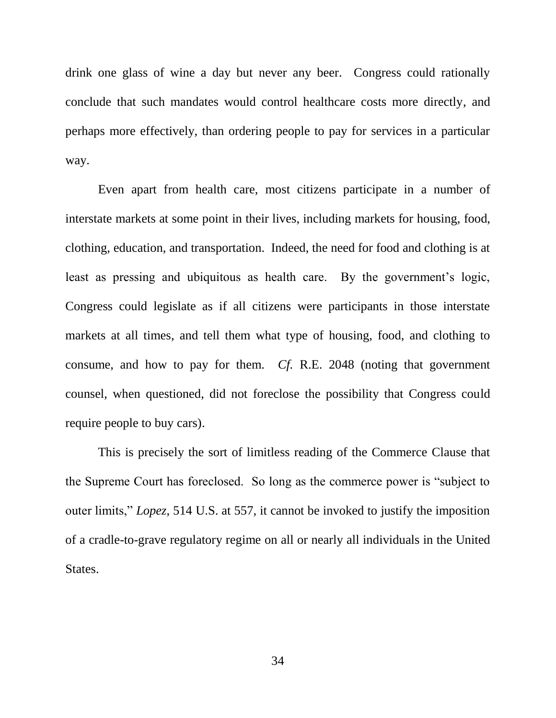drink one glass of wine a day but never any beer. Congress could rationally conclude that such mandates would control healthcare costs more directly, and perhaps more effectively, than ordering people to pay for services in a particular way.

Even apart from health care, most citizens participate in a number of interstate markets at some point in their lives, including markets for housing, food, clothing, education, and transportation. Indeed, the need for food and clothing is at least as pressing and ubiquitous as health care. By the government's logic, Congress could legislate as if all citizens were participants in those interstate markets at all times, and tell them what type of housing, food, and clothing to consume, and how to pay for them. *Cf.* R.E. 2048 (noting that government counsel, when questioned, did not foreclose the possibility that Congress could require people to buy cars).

This is precisely the sort of limitless reading of the Commerce Clause that the Supreme Court has foreclosed. So long as the commerce power is "subject to" outer limits," *Lopez*, 514 U.S. at 557, it cannot be invoked to justify the imposition of a cradle-to-grave regulatory regime on all or nearly all individuals in the United States.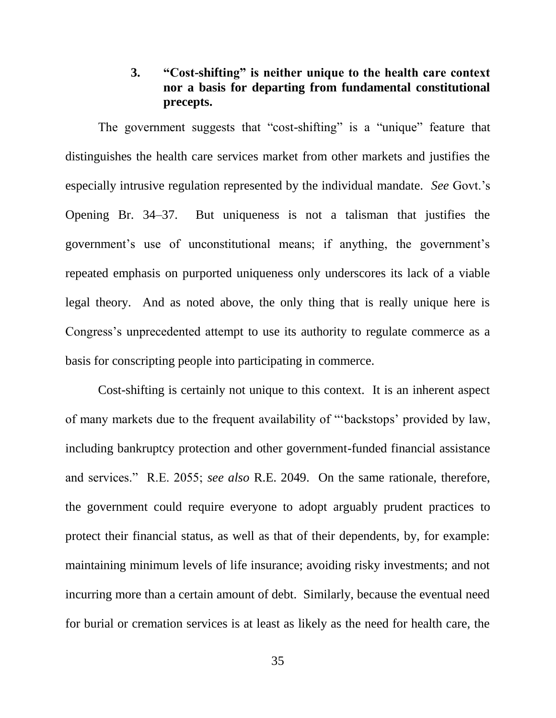# **3. "Cost-shifting" is neither unique to the health care context nor a basis for departing from fundamental constitutional precepts.**

The government suggests that "cost-shifting" is a "unique" feature that distinguishes the health care services market from other markets and justifies the especially intrusive regulation represented by the individual mandate. *See* Govt.'s Opening Br. 34–37. But uniqueness is not a talisman that justifies the government's use of unconstitutional means; if anything, the government's repeated emphasis on purported uniqueness only underscores its lack of a viable legal theory. And as noted above, the only thing that is really unique here is Congress's unprecedented attempt to use its authority to regulate commerce as a basis for conscripting people into participating in commerce.

Cost-shifting is certainly not unique to this context. It is an inherent aspect of many markets due to the frequent availability of "backstops' provided by law, including bankruptcy protection and other government-funded financial assistance and services.‖ R.E. 2055; *see also* R.E. 2049. On the same rationale, therefore, the government could require everyone to adopt arguably prudent practices to protect their financial status, as well as that of their dependents, by, for example: maintaining minimum levels of life insurance; avoiding risky investments; and not incurring more than a certain amount of debt. Similarly, because the eventual need for burial or cremation services is at least as likely as the need for health care, the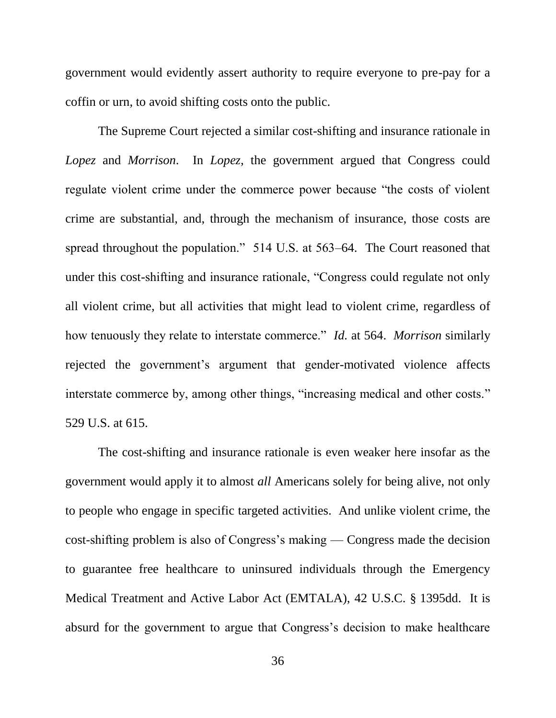government would evidently assert authority to require everyone to pre-pay for a coffin or urn, to avoid shifting costs onto the public.

The Supreme Court rejected a similar cost-shifting and insurance rationale in *Lopez* and *Morrison*. In *Lopez*, the government argued that Congress could regulate violent crime under the commerce power because "the costs of violent crime are substantial, and, through the mechanism of insurance, those costs are spread throughout the population." 514 U.S. at 563–64. The Court reasoned that under this cost-shifting and insurance rationale, "Congress could regulate not only all violent crime, but all activities that might lead to violent crime, regardless of how tenuously they relate to interstate commerce." *Id.* at 564. *Morrison* similarly rejected the government's argument that gender-motivated violence affects interstate commerce by, among other things, "increasing medical and other costs." 529 U.S. at 615.

The cost-shifting and insurance rationale is even weaker here insofar as the government would apply it to almost *all* Americans solely for being alive, not only to people who engage in specific targeted activities. And unlike violent crime, the cost-shifting problem is also of Congress's making — Congress made the decision to guarantee free healthcare to uninsured individuals through the Emergency Medical Treatment and Active Labor Act (EMTALA), 42 U.S.C. § 1395dd. It is absurd for the government to argue that Congress's decision to make healthcare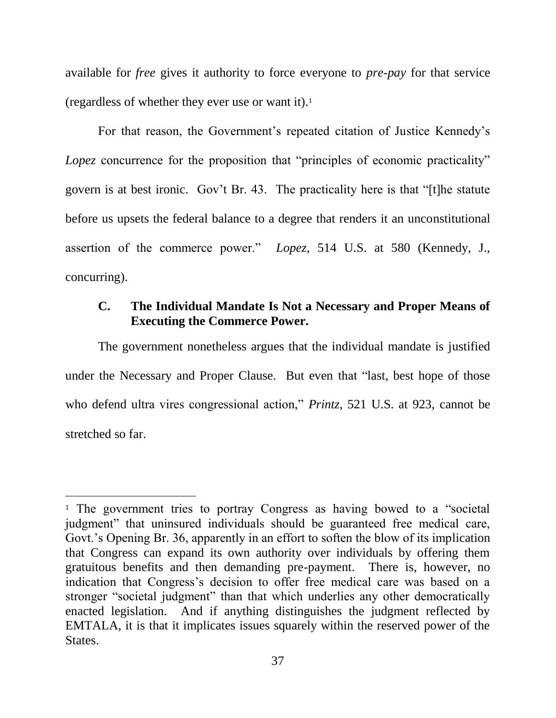available for *free* gives it authority to force everyone to *pre-pay* for that service (regardless of whether they ever use or want it).<sup>1</sup>

For that reason, the Government's repeated citation of Justice Kennedy's *Lopez* concurrence for the proposition that "principles of economic practicality" govern is at best ironic. Gov't Br. 43. The practicality here is that "[t]he statute before us upsets the federal balance to a degree that renders it an unconstitutional assertion of the commerce power." *Lopez*, 514 U.S. at 580 (Kennedy, J., concurring).

### **C. The Individual Mandate Is Not a Necessary and Proper Means of Executing the Commerce Power.**

The government nonetheless argues that the individual mandate is justified under the Necessary and Proper Clause. But even that "last, best hope of those who defend ultra vires congressional action," *Printz*, 521 U.S. at 923, cannot be stretched so far.

 $\overline{a}$ 

<sup>&</sup>lt;sup>1</sup> The government tries to portray Congress as having bowed to a "societal" judgment" that uninsured individuals should be guaranteed free medical care, Govt.'s Opening Br. 36, apparently in an effort to soften the blow of its implication that Congress can expand its own authority over individuals by offering them gratuitous benefits and then demanding pre-payment. There is, however, no indication that Congress's decision to offer free medical care was based on a stronger "societal judgment" than that which underlies any other democratically enacted legislation. And if anything distinguishes the judgment reflected by EMTALA, it is that it implicates issues squarely within the reserved power of the States.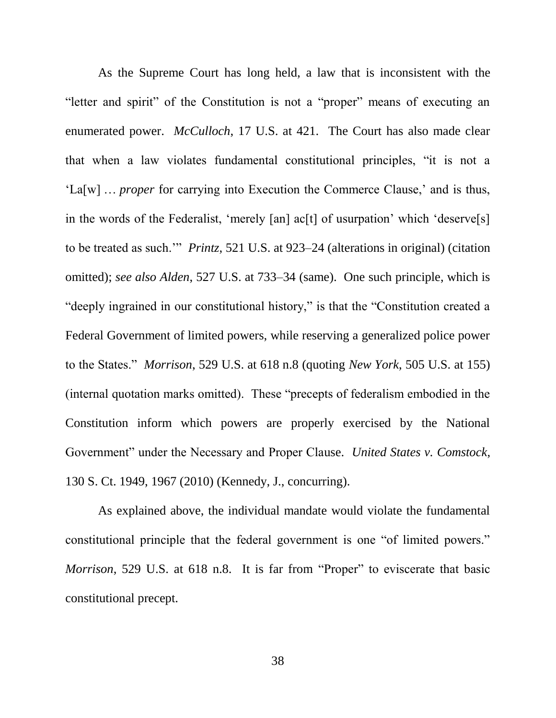As the Supreme Court has long held, a law that is inconsistent with the "letter and spirit" of the Constitution is not a "proper" means of executing an enumerated power. *McCulloch*, 17 U.S. at 421. The Court has also made clear that when a law violates fundamental constitutional principles, "it is not a ‗La[w] … *proper* for carrying into Execution the Commerce Clause,' and is thus, in the words of the Federalist, 'merely  $\lceil \text{an} \rceil$  ac $\lceil \text{t} \rceil$  of usurpation' which 'deserve $\lceil \text{s} \rceil$ to be treated as such." *Printz*, 521 U.S. at 923–24 (alterations in original) (citation omitted); *see also Alden*, 527 U.S. at 733–34 (same). One such principle, which is "deeply ingrained in our constitutional history," is that the "Constitution created a Federal Government of limited powers, while reserving a generalized police power to the States.‖ *Morrison*, 529 U.S. at 618 n.8 (quoting *New York*, 505 U.S. at 155) (internal quotation marks omitted). These "precepts of federalism embodied in the Constitution inform which powers are properly exercised by the National Government" under the Necessary and Proper Clause. *United States v. Comstock*, 130 S. Ct. 1949, 1967 (2010) (Kennedy, J., concurring).

As explained above, the individual mandate would violate the fundamental constitutional principle that the federal government is one "of limited powers." *Morrison*, 529 U.S. at 618 n.8. It is far from "Proper" to eviscerate that basic constitutional precept.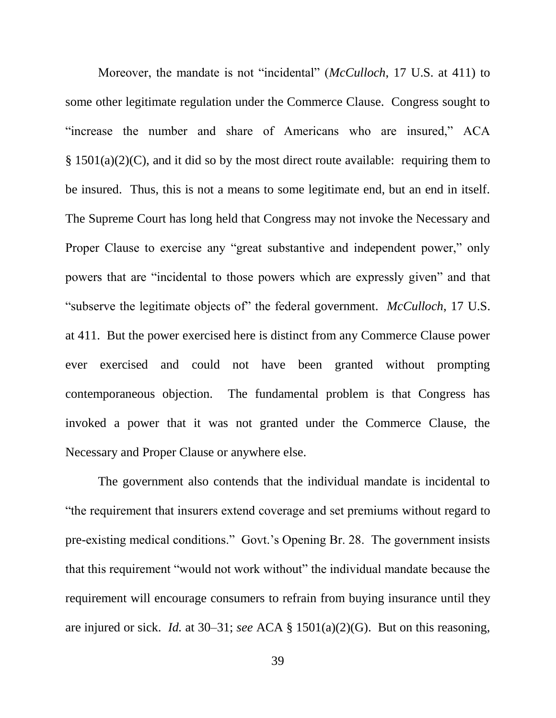Moreover, the mandate is not "incidental" (*McCulloch*, 17 U.S. at 411) to some other legitimate regulation under the Commerce Clause. Congress sought to "increase the number and share of Americans who are insured," ACA  $§ 1501(a)(2)(C)$ , and it did so by the most direct route available: requiring them to be insured. Thus, this is not a means to some legitimate end, but an end in itself. The Supreme Court has long held that Congress may not invoke the Necessary and Proper Clause to exercise any "great substantive and independent power," only powers that are "incidental to those powers which are expressly given" and that ―subserve the legitimate objects of‖ the federal government. *McCulloch*, 17 U.S. at 411. But the power exercised here is distinct from any Commerce Clause power ever exercised and could not have been granted without prompting contemporaneous objection. The fundamental problem is that Congress has invoked a power that it was not granted under the Commerce Clause, the Necessary and Proper Clause or anywhere else.

The government also contends that the individual mandate is incidental to "the requirement that insurers extend coverage and set premiums without regard to pre-existing medical conditions." Govt.'s Opening Br. 28. The government insists that this requirement "would not work without" the individual mandate because the requirement will encourage consumers to refrain from buying insurance until they are injured or sick. *Id.* at 30–31; *see* ACA § 1501(a)(2)(G). But on this reasoning,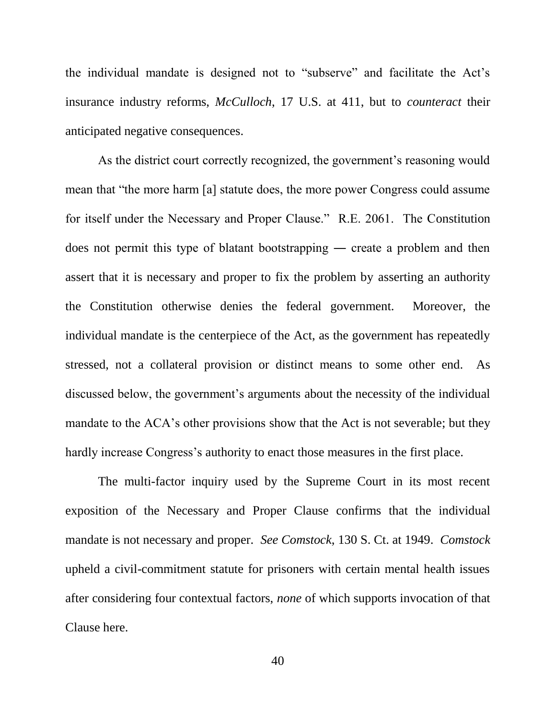the individual mandate is designed not to "subserve" and facilitate the Act's insurance industry reforms, *McCulloch*, 17 U.S. at 411, but to *counteract* their anticipated negative consequences.

As the district court correctly recognized, the government's reasoning would mean that "the more harm [a] statute does, the more power Congress could assume for itself under the Necessary and Proper Clause." R.E. 2061. The Constitution does not permit this type of blatant bootstrapping ― create a problem and then assert that it is necessary and proper to fix the problem by asserting an authority the Constitution otherwise denies the federal government.Moreover, the individual mandate is the centerpiece of the Act, as the government has repeatedly stressed, not a collateral provision or distinct means to some other end. As discussed below, the government's arguments about the necessity of the individual mandate to the ACA's other provisions show that the Act is not severable; but they hardly increase Congress's authority to enact those measures in the first place.

The multi-factor inquiry used by the Supreme Court in its most recent exposition of the Necessary and Proper Clause confirms that the individual mandate is not necessary and proper. *See Comstock*, 130 S. Ct. at 1949. *Comstock* upheld a civil-commitment statute for prisoners with certain mental health issues after considering four contextual factors, *none* of which supports invocation of that Clause here.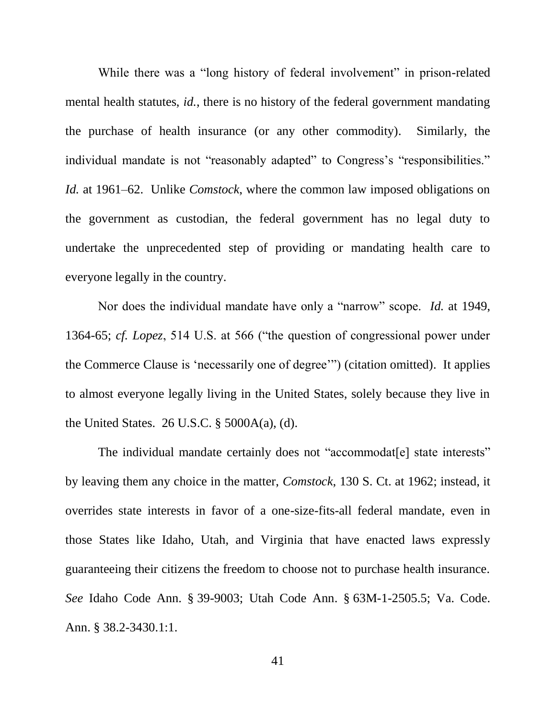While there was a "long history of federal involvement" in prison-related mental health statutes, *id.*, there is no history of the federal government mandating the purchase of health insurance (or any other commodity). Similarly, the individual mandate is not "reasonably adapted" to Congress's "responsibilities." *Id.* at 1961–62. Unlike *Comstock*, where the common law imposed obligations on the government as custodian, the federal government has no legal duty to undertake the unprecedented step of providing or mandating health care to everyone legally in the country.

Nor does the individual mandate have only a "narrow" scope. *Id.* at 1949, 1364-65; *cf. Lopez*, 514 U.S. at 566 ("the question of congressional power under the Commerce Clause is 'necessarily one of degree'") (citation omitted). It applies to almost everyone legally living in the United States, solely because they live in the United States. 26 U.S.C. § 5000A(a), (d).

The individual mandate certainly does not "accommodat[e] state interests" by leaving them any choice in the matter, *Comstock*, 130 S. Ct. at 1962; instead, it overrides state interests in favor of a one-size-fits-all federal mandate, even in those States like Idaho, Utah, and Virginia that have enacted laws expressly guaranteeing their citizens the freedom to choose not to purchase health insurance. *See* Idaho Code Ann. § 39-9003; Utah Code Ann. § 63M-1-2505.5; Va. Code. Ann. § 38.2-3430.1:1.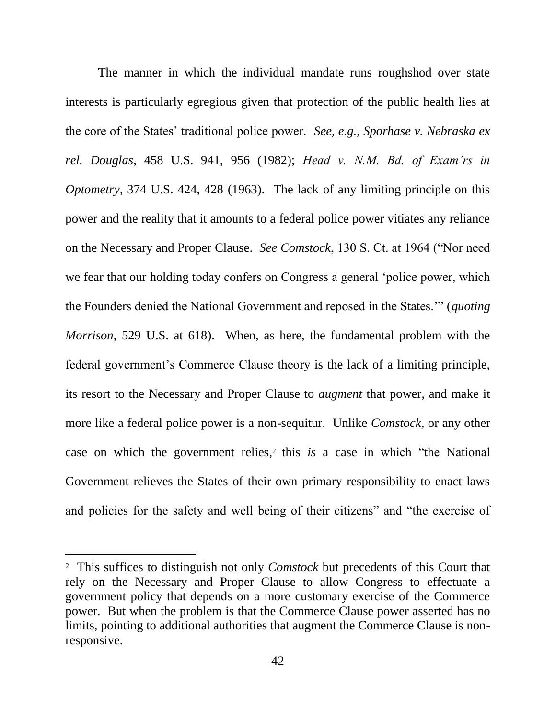The manner in which the individual mandate runs roughshod over state interests is particularly egregious given that protection of the public health lies at the core of the States' traditional police power. *See, e.g.*, *Sporhase v. Nebraska ex rel. Douglas*, 458 U.S. 941, 956 (1982); *Head v. N.M. Bd. of Exam'rs in Optometry*, 374 U.S. 424, 428 (1963). The lack of any limiting principle on this power and the reality that it amounts to a federal police power vitiates any reliance on the Necessary and Proper Clause. *See Comstock*, 130 S. Ct. at 1964 ("Nor need we fear that our holding today confers on Congress a general 'police power, which the Founders denied the National Government and reposed in the States." (*quoting Morrison*, 529 U.S. at 618).When, as here, the fundamental problem with the federal government's Commerce Clause theory is the lack of a limiting principle, its resort to the Necessary and Proper Clause to *augment* that power, and make it more like a federal police power is a non-sequitur. Unlike *Comstock*, or any other case on which the government relies,<sup>2</sup> this *is* a case in which "the National" Government relieves the States of their own primary responsibility to enact laws and policies for the safety and well being of their citizens" and "the exercise of

 $\overline{a}$ 

<sup>2</sup> This suffices to distinguish not only *Comstock* but precedents of this Court that rely on the Necessary and Proper Clause to allow Congress to effectuate a government policy that depends on a more customary exercise of the Commerce power. But when the problem is that the Commerce Clause power asserted has no limits, pointing to additional authorities that augment the Commerce Clause is nonresponsive.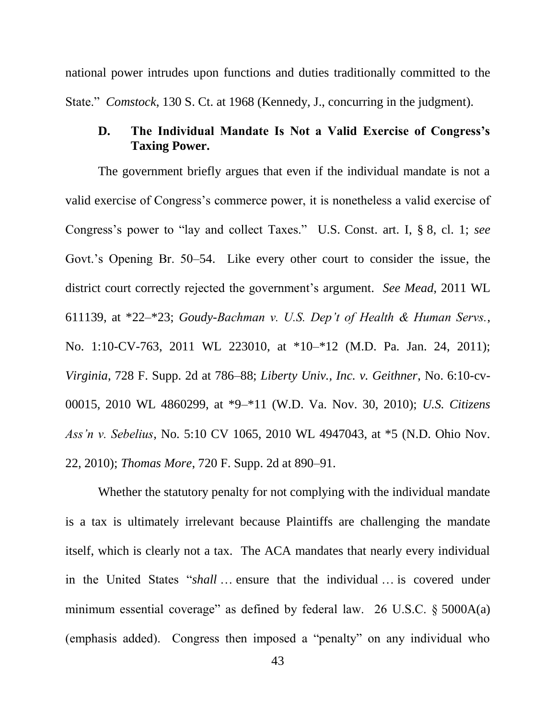national power intrudes upon functions and duties traditionally committed to the State." *Comstock*, 130 S. Ct. at 1968 (Kennedy, J., concurring in the judgment).

# **D. The Individual Mandate Is Not a Valid Exercise of Congress's Taxing Power.**

The government briefly argues that even if the individual mandate is not a valid exercise of Congress's commerce power, it is nonetheless a valid exercise of Congress's power to "lay and collect Taxes." U.S. Const. art. I, § 8, cl. 1; *see* Govt.'s Opening Br. 50–54. Like every other court to consider the issue, the district court correctly rejected the government's argument. *See Mead*, 2011 WL 611139, at \*22–\*23; *Goudy-Bachman v. U.S. Dep't of Health & Human Servs.*, No. 1:10-CV-763, 2011 WL 223010, at \*10–\*12 (M.D. Pa. Jan. 24, 2011); *Virginia*, 728 F. Supp. 2d at 786–88; *Liberty Univ., Inc. v. Geithner*, No. 6:10-cv-00015, 2010 WL 4860299, at \*9–\*11 (W.D. Va. Nov. 30, 2010); *U.S. Citizens Ass'n v. Sebelius*, No. 5:10 CV 1065, 2010 WL 4947043, at \*5 (N.D. Ohio Nov. 22, 2010); *Thomas More*, 720 F. Supp. 2d at 890–91.

Whether the statutory penalty for not complying with the individual mandate is a tax is ultimately irrelevant because Plaintiffs are challenging the mandate itself, which is clearly not a tax. The ACA mandates that nearly every individual in the United States "shall ... ensure that the individual ... is covered under minimum essential coverage" as defined by federal law. 26 U.S.C.  $\S$  5000A(a) (emphasis added). Congress then imposed a "penalty" on any individual who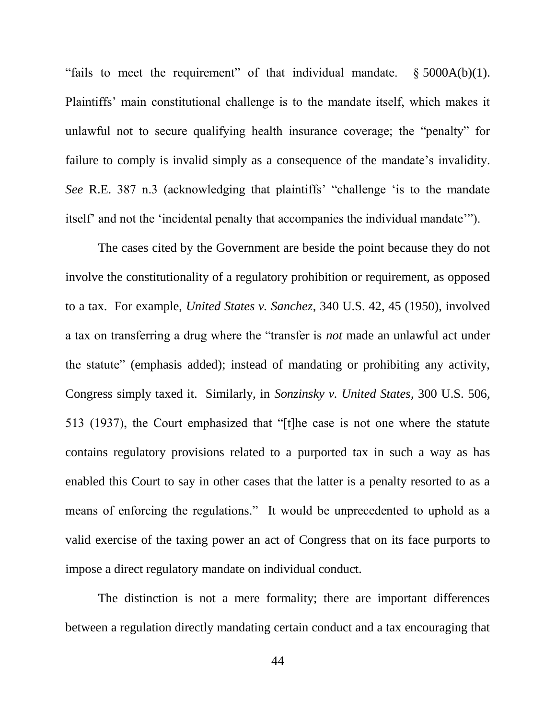"fails to meet the requirement" of that individual mandate.  $\S$  5000A(b)(1). Plaintiffs' main constitutional challenge is to the mandate itself, which makes it unlawful not to secure qualifying health insurance coverage; the "penalty" for failure to comply is invalid simply as a consequence of the mandate's invalidity. *See* R.E. 387 n.3 (acknowledging that plaintiffs' "challenge 'is to the mandate itself' and not the 'incidental penalty that accompanies the individual mandate'").

The cases cited by the Government are beside the point because they do not involve the constitutionality of a regulatory prohibition or requirement, as opposed to a tax. For example, *United States v. Sanchez*, 340 U.S. 42, 45 (1950), involved a tax on transferring a drug where the "transfer is *not* made an unlawful act under the statute" (emphasis added); instead of mandating or prohibiting any activity, Congress simply taxed it. Similarly, in *Sonzinsky v. United States*, 300 U.S. 506, 513 (1937), the Court emphasized that "[t]he case is not one where the statute contains regulatory provisions related to a purported tax in such a way as has enabled this Court to say in other cases that the latter is a penalty resorted to as a means of enforcing the regulations." It would be unprecedented to uphold as a valid exercise of the taxing power an act of Congress that on its face purports to impose a direct regulatory mandate on individual conduct.

The distinction is not a mere formality; there are important differences between a regulation directly mandating certain conduct and a tax encouraging that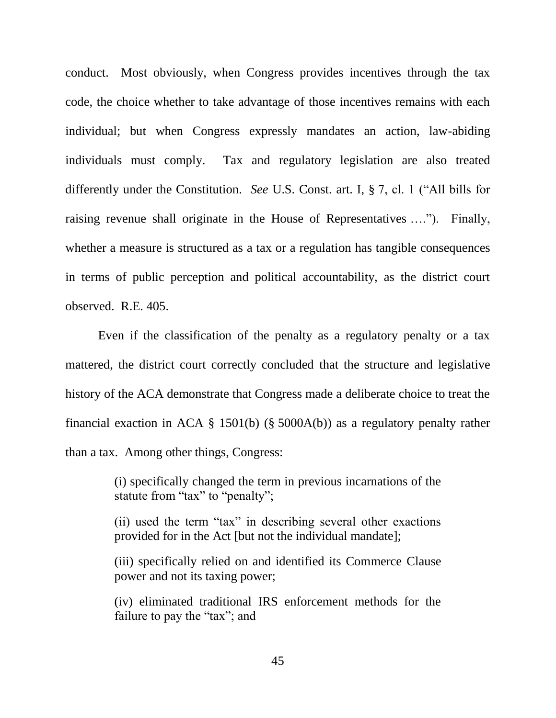conduct. Most obviously, when Congress provides incentives through the tax code, the choice whether to take advantage of those incentives remains with each individual; but when Congress expressly mandates an action, law-abiding individuals must comply. Tax and regulatory legislation are also treated differently under the Constitution. *See* U.S. Const. art. I, § 7, cl. 1 ("All bills for raising revenue shall originate in the House of Representatives ...."). Finally, whether a measure is structured as a tax or a regulation has tangible consequences in terms of public perception and political accountability, as the district court observed. R.E. 405.

Even if the classification of the penalty as a regulatory penalty or a tax mattered, the district court correctly concluded that the structure and legislative history of the ACA demonstrate that Congress made a deliberate choice to treat the financial exaction in ACA § 1501(b) (§ 5000A(b)) as a regulatory penalty rather than a tax. Among other things, Congress:

> (i) specifically changed the term in previous incarnations of the statute from "tax" to "penalty";

> (ii) used the term "tax" in describing several other exactions provided for in the Act [but not the individual mandate];

> (iii) specifically relied on and identified its Commerce Clause power and not its taxing power;

> (iv) eliminated traditional IRS enforcement methods for the failure to pay the "tax"; and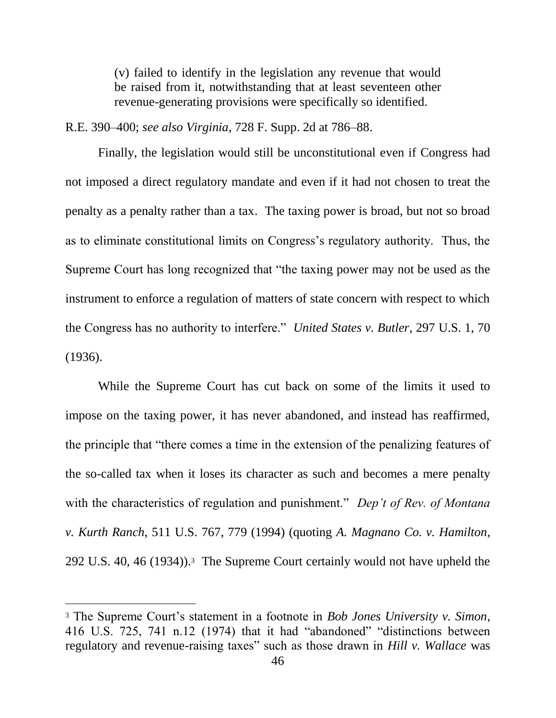(v) failed to identify in the legislation any revenue that would be raised from it, notwithstanding that at least seventeen other revenue-generating provisions were specifically so identified.

R.E. 390–400; *see also Virginia*, 728 F. Supp. 2d at 786–88.

Finally, the legislation would still be unconstitutional even if Congress had not imposed a direct regulatory mandate and even if it had not chosen to treat the penalty as a penalty rather than a tax. The taxing power is broad, but not so broad as to eliminate constitutional limits on Congress's regulatory authority. Thus, the Supreme Court has long recognized that "the taxing power may not be used as the instrument to enforce a regulation of matters of state concern with respect to which the Congress has no authority to interfere." *United States v. Butler*, 297 U.S. 1, 70 (1936).

While the Supreme Court has cut back on some of the limits it used to impose on the taxing power, it has never abandoned, and instead has reaffirmed, the principle that "there comes a time in the extension of the penalizing features of the so-called tax when it loses its character as such and becomes a mere penalty with the characteristics of regulation and punishment." *Dep't of Rev. of Montana v. Kurth Ranch*, 511 U.S. 767, 779 (1994) (quoting *A. Magnano Co. v. Hamilton*, 292 U.S. 40, 46 (1934)). <sup>3</sup> The Supreme Court certainly would not have upheld the

 $\overline{a}$ 

<sup>3</sup> The Supreme Court's statement in a footnote in *Bob Jones University v. Simon*, 416 U.S. 725, 741 n.12 (1974) that it had "abandoned" "distinctions between regulatory and revenue-raising taxes" such as those drawn in *Hill v. Wallace* was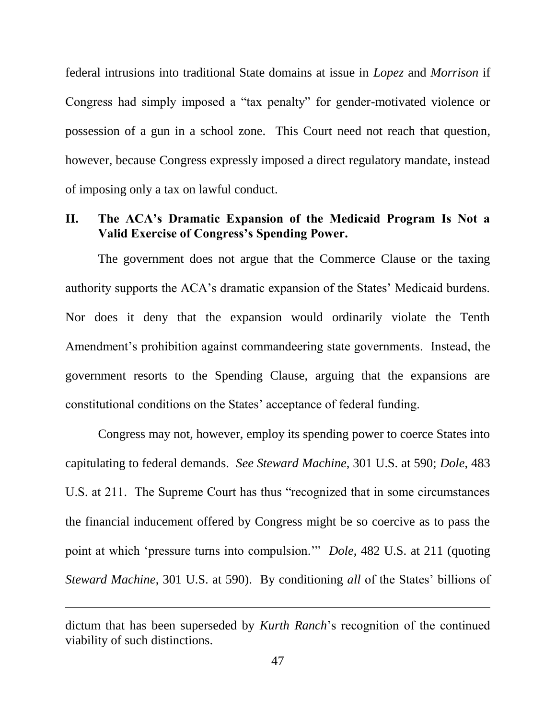federal intrusions into traditional State domains at issue in *Lopez* and *Morrison* if Congress had simply imposed a "tax penalty" for gender-motivated violence or possession of a gun in a school zone. This Court need not reach that question, however, because Congress expressly imposed a direct regulatory mandate, instead of imposing only a tax on lawful conduct.

#### **II. The ACA's Dramatic Expansion of the Medicaid Program Is Not a Valid Exercise of Congress's Spending Power.**

The government does not argue that the Commerce Clause or the taxing authority supports the ACA's dramatic expansion of the States' Medicaid burdens. Nor does it deny that the expansion would ordinarily violate the Tenth Amendment's prohibition against commandeering state governments. Instead, the government resorts to the Spending Clause, arguing that the expansions are constitutional conditions on the States' acceptance of federal funding.

Congress may not, however, employ its spending power to coerce States into capitulating to federal demands. *See Steward Machine*, 301 U.S. at 590; *Dole*, 483 U.S. at 211. The Supreme Court has thus "recognized that in some circumstances" the financial inducement offered by Congress might be so coercive as to pass the point at which 'pressure turns into compulsion.'" *Dole*, 482 U.S. at 211 (quoting *Steward Machine*, 301 U.S. at 590). By conditioning *all* of the States' billions of

 $\overline{a}$ 

dictum that has been superseded by *Kurth Ranch*'s recognition of the continued viability of such distinctions.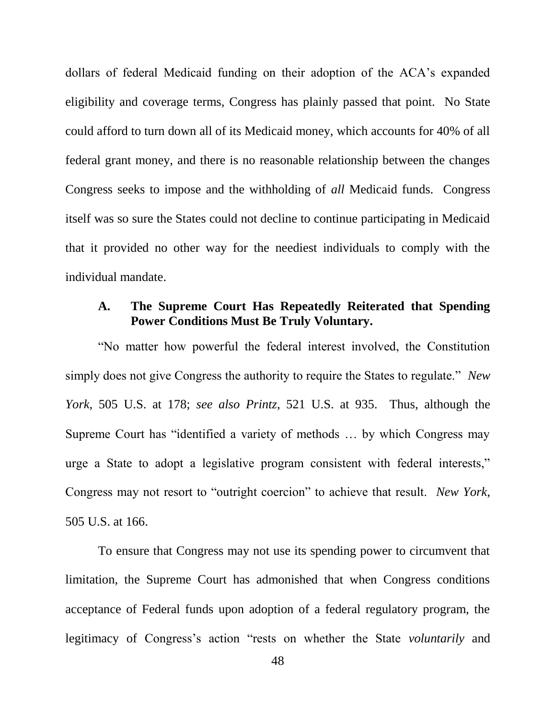dollars of federal Medicaid funding on their adoption of the ACA's expanded eligibility and coverage terms, Congress has plainly passed that point. No State could afford to turn down all of its Medicaid money, which accounts for 40% of all federal grant money, and there is no reasonable relationship between the changes Congress seeks to impose and the withholding of *all* Medicaid funds. Congress itself was so sure the States could not decline to continue participating in Medicaid that it provided no other way for the neediest individuals to comply with the individual mandate.

# **A. The Supreme Court Has Repeatedly Reiterated that Spending Power Conditions Must Be Truly Voluntary.**

―No matter how powerful the federal interest involved, the Constitution simply does not give Congress the authority to require the States to regulate." *New York*, 505 U.S. at 178; *see also Printz*, 521 U.S. at 935. Thus, although the Supreme Court has "identified a variety of methods ... by which Congress may urge a State to adopt a legislative program consistent with federal interests," Congress may not resort to "outright coercion" to achieve that result. *New York*, 505 U.S. at 166.

To ensure that Congress may not use its spending power to circumvent that limitation, the Supreme Court has admonished that when Congress conditions acceptance of Federal funds upon adoption of a federal regulatory program, the legitimacy of Congress's action "rests on whether the State *voluntarily* and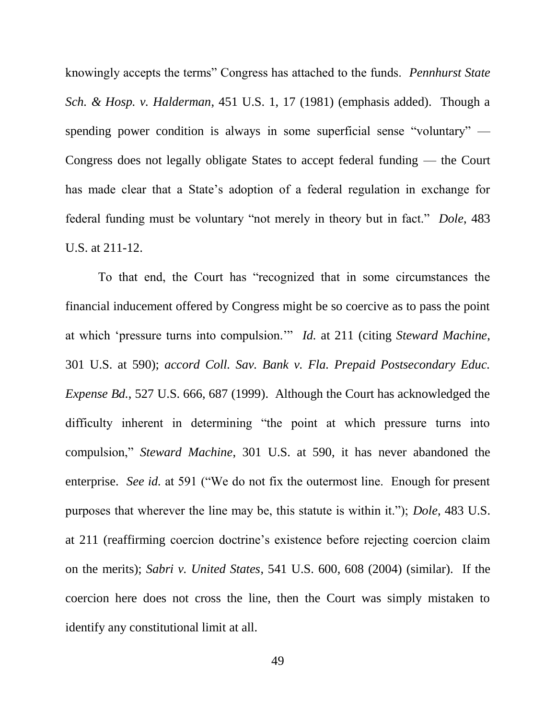knowingly accepts the terms‖ Congress has attached to the funds. *Pennhurst State Sch. & Hosp. v. Halderman*, 451 U.S. 1, 17 (1981) (emphasis added). Though a spending power condition is always in some superficial sense "voluntary" — Congress does not legally obligate States to accept federal funding — the Court has made clear that a State's adoption of a federal regulation in exchange for federal funding must be voluntary "not merely in theory but in fact." *Dole*, 483 U.S. at 211-12.

To that end, the Court has "recognized that in some circumstances the financial inducement offered by Congress might be so coercive as to pass the point at which 'pressure turns into compulsion.'" *Id.* at 211 (citing *Steward Machine*, 301 U.S. at 590); *accord Coll. Sav. Bank v. Fla. Prepaid Postsecondary Educ. Expense Bd.*, 527 U.S. 666, 687 (1999). Although the Court has acknowledged the difficulty inherent in determining "the point at which pressure turns into compulsion,‖ *Steward Machine*, 301 U.S. at 590, it has never abandoned the enterprise. *See id.* at 591 ("We do not fix the outermost line. Enough for present purposes that wherever the line may be, this statute is within it."); *Dole*, 483 U.S. at 211 (reaffirming coercion doctrine's existence before rejecting coercion claim on the merits); *Sabri v. United States*, 541 U.S. 600, 608 (2004) (similar). If the coercion here does not cross the line, then the Court was simply mistaken to identify any constitutional limit at all.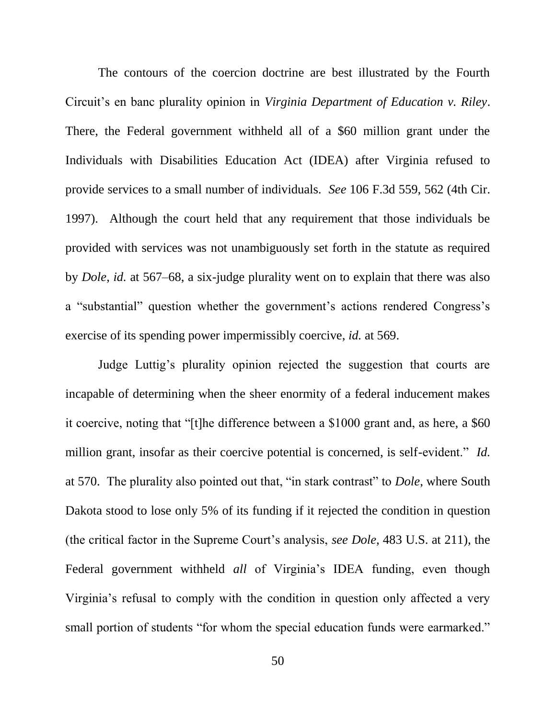The contours of the coercion doctrine are best illustrated by the Fourth Circuit's en banc plurality opinion in *Virginia Department of Education v. Riley*. There, the Federal government withheld all of a \$60 million grant under the Individuals with Disabilities Education Act (IDEA) after Virginia refused to provide services to a small number of individuals. *See* 106 F.3d 559, 562 (4th Cir. 1997). Although the court held that any requirement that those individuals be provided with services was not unambiguously set forth in the statute as required by *Dole*, *id.* at 567–68, a six-judge plurality went on to explain that there was also a "substantial" question whether the government's actions rendered Congress's exercise of its spending power impermissibly coercive, *id.* at 569.

Judge Luttig's plurality opinion rejected the suggestion that courts are incapable of determining when the sheer enormity of a federal inducement makes it coercive, noting that "[t]he difference between a  $$1000$  grant and, as here, a  $$60$ million grant, insofar as their coercive potential is concerned, is self-evident." *Id.* at 570. The plurality also pointed out that, "in stark contrast" to *Dole*, where South Dakota stood to lose only 5% of its funding if it rejected the condition in question (the critical factor in the Supreme Court's analysis, *see Dole*, 483 U.S. at 211), the Federal government withheld *all* of Virginia's IDEA funding, even though Virginia's refusal to comply with the condition in question only affected a very small portion of students "for whom the special education funds were earmarked."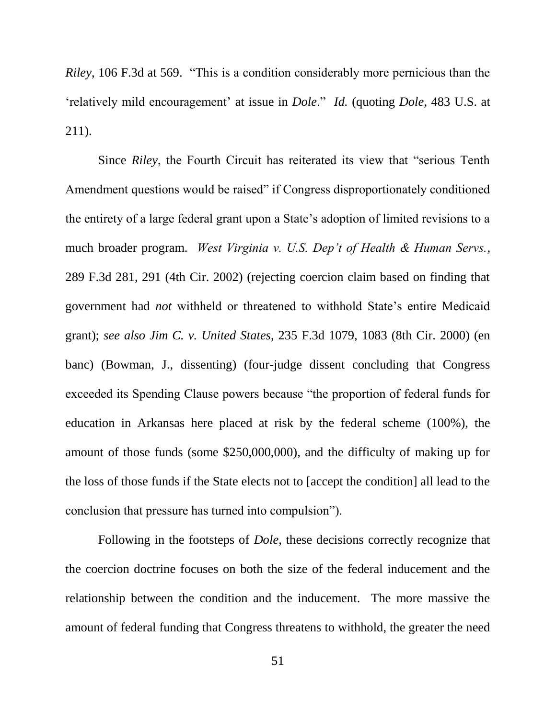*Riley*, 106 F.3d at 569. "This is a condition considerably more pernicious than the ‗relatively mild encouragement' at issue in *Dole*.‖ *Id.* (quoting *Dole*, 483 U.S. at 211).

Since *Riley*, the Fourth Circuit has reiterated its view that "serious Tenth" Amendment questions would be raised" if Congress disproportionately conditioned the entirety of a large federal grant upon a State's adoption of limited revisions to a much broader program. *West Virginia v. U.S. Dep't of Health & Human Servs.*, 289 F.3d 281, 291 (4th Cir. 2002) (rejecting coercion claim based on finding that government had *not* withheld or threatened to withhold State's entire Medicaid grant); *see also Jim C. v. United States*, 235 F.3d 1079, 1083 (8th Cir. 2000) (en banc) (Bowman, J., dissenting) (four-judge dissent concluding that Congress exceeded its Spending Clause powers because "the proportion of federal funds for education in Arkansas here placed at risk by the federal scheme (100%), the amount of those funds (some \$250,000,000), and the difficulty of making up for the loss of those funds if the State elects not to [accept the condition] all lead to the conclusion that pressure has turned into compulsion".

Following in the footsteps of *Dole*, these decisions correctly recognize that the coercion doctrine focuses on both the size of the federal inducement and the relationship between the condition and the inducement. The more massive the amount of federal funding that Congress threatens to withhold, the greater the need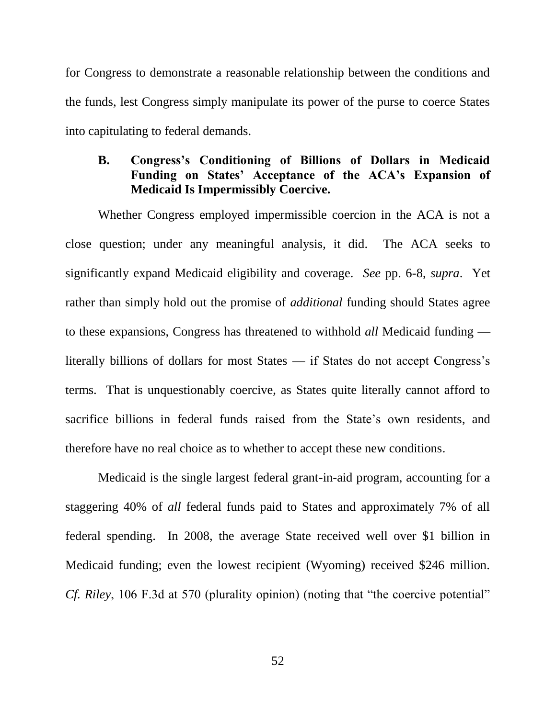for Congress to demonstrate a reasonable relationship between the conditions and the funds, lest Congress simply manipulate its power of the purse to coerce States into capitulating to federal demands.

# **B. Congress's Conditioning of Billions of Dollars in Medicaid Funding on States' Acceptance of the ACA's Expansion of Medicaid Is Impermissibly Coercive.**

Whether Congress employed impermissible coercion in the ACA is not a close question; under any meaningful analysis, it did. The ACA seeks to significantly expand Medicaid eligibility and coverage. *See* pp. 6-8, *supra*. Yet rather than simply hold out the promise of *additional* funding should States agree to these expansions, Congress has threatened to withhold *all* Medicaid funding literally billions of dollars for most States — if States do not accept Congress's terms. That is unquestionably coercive, as States quite literally cannot afford to sacrifice billions in federal funds raised from the State's own residents, and therefore have no real choice as to whether to accept these new conditions.

Medicaid is the single largest federal grant-in-aid program, accounting for a staggering 40% of *all* federal funds paid to States and approximately 7% of all federal spending. In 2008, the average State received well over \$1 billion in Medicaid funding; even the lowest recipient (Wyoming) received \$246 million. *Cf. Riley*, 106 F.3d at 570 (plurality opinion) (noting that "the coercive potential"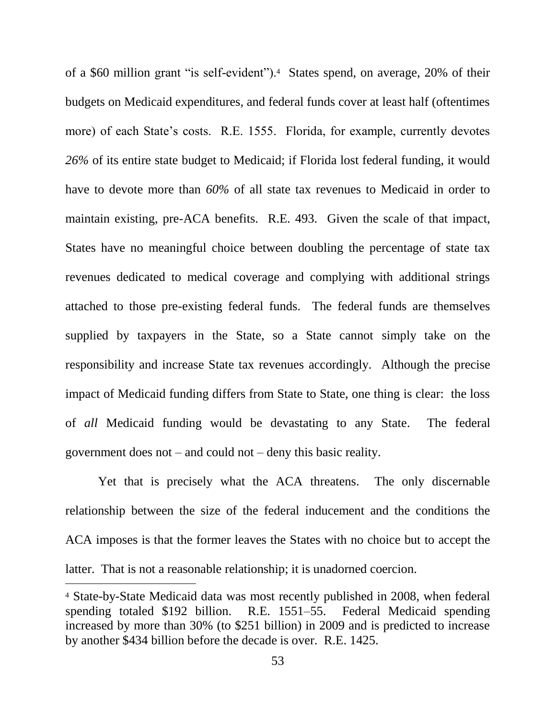of a \$60 million grant "is self-evident").<sup>4</sup> States spend, on average, 20% of their budgets on Medicaid expenditures, and federal funds cover at least half (oftentimes more) of each State's costs. R.E. 1555. Florida, for example, currently devotes *26%* of its entire state budget to Medicaid; if Florida lost federal funding, it would have to devote more than *60%* of all state tax revenues to Medicaid in order to maintain existing, pre-ACA benefits. R.E. 493. Given the scale of that impact, States have no meaningful choice between doubling the percentage of state tax revenues dedicated to medical coverage and complying with additional strings attached to those pre-existing federal funds. The federal funds are themselves supplied by taxpayers in the State, so a State cannot simply take on the responsibility and increase State tax revenues accordingly. Although the precise impact of Medicaid funding differs from State to State, one thing is clear: the loss of *all* Medicaid funding would be devastating to any State. The federal government does not – and could not – deny this basic reality.

Yet that is precisely what the ACA threatens. The only discernable relationship between the size of the federal inducement and the conditions the ACA imposes is that the former leaves the States with no choice but to accept the latter. That is not a reasonable relationship; it is unadorned coercion.

 $\overline{a}$ 

<sup>4</sup> State-by-State Medicaid data was most recently published in 2008, when federal spending totaled \$192 billion. R.E. 1551–55. Federal Medicaid spending increased by more than 30% (to \$251 billion) in 2009 and is predicted to increase by another \$434 billion before the decade is over. R.E. 1425.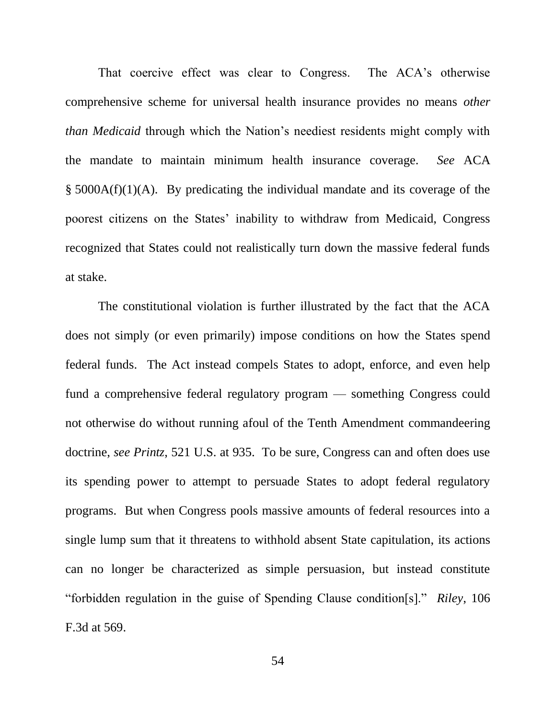That coercive effect was clear to Congress. The ACA's otherwise comprehensive scheme for universal health insurance provides no means *other than Medicaid* through which the Nation's neediest residents might comply with the mandate to maintain minimum health insurance coverage. *See* ACA § 5000A(f)(1)(A). By predicating the individual mandate and its coverage of the poorest citizens on the States' inability to withdraw from Medicaid, Congress recognized that States could not realistically turn down the massive federal funds at stake.

The constitutional violation is further illustrated by the fact that the ACA does not simply (or even primarily) impose conditions on how the States spend federal funds. The Act instead compels States to adopt, enforce, and even help fund a comprehensive federal regulatory program — something Congress could not otherwise do without running afoul of the Tenth Amendment commandeering doctrine, *see Printz*, 521 U.S. at 935. To be sure, Congress can and often does use its spending power to attempt to persuade States to adopt federal regulatory programs. But when Congress pools massive amounts of federal resources into a single lump sum that it threatens to withhold absent State capitulation, its actions can no longer be characterized as simple persuasion, but instead constitute "forbidden regulation in the guise of Spending Clause condition[s]." *Riley*, 106 F.3d at 569.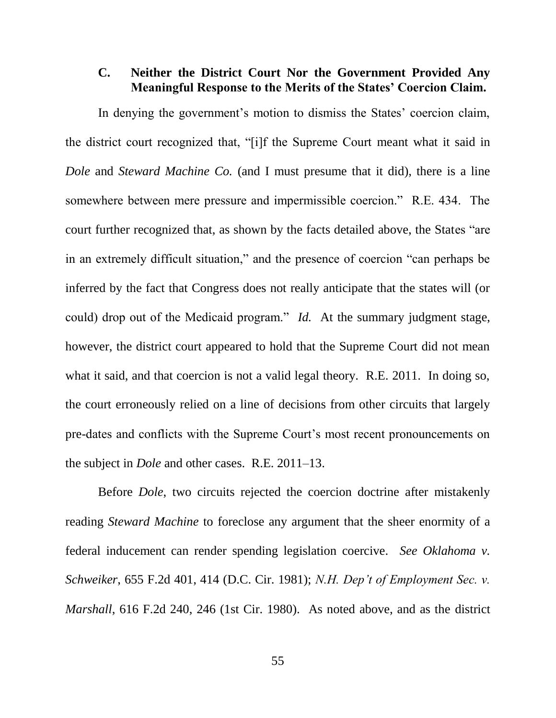# **C. Neither the District Court Nor the Government Provided Any Meaningful Response to the Merits of the States' Coercion Claim.**

In denying the government's motion to dismiss the States' coercion claim, the district court recognized that, "[i]f the Supreme Court meant what it said in *Dole* and *Steward Machine Co.* (and I must presume that it did), there is a line somewhere between mere pressure and impermissible coercion." R.E. 434. The court further recognized that, as shown by the facts detailed above, the States "are in an extremely difficult situation," and the presence of coercion "can perhaps be inferred by the fact that Congress does not really anticipate that the states will (or could) drop out of the Medicaid program." *Id.* At the summary judgment stage, however, the district court appeared to hold that the Supreme Court did not mean what it said, and that coercion is not a valid legal theory. R.E. 2011. In doing so, the court erroneously relied on a line of decisions from other circuits that largely pre-dates and conflicts with the Supreme Court's most recent pronouncements on the subject in *Dole* and other cases. R.E. 2011–13.

Before *Dole*, two circuits rejected the coercion doctrine after mistakenly reading *Steward Machine* to foreclose any argument that the sheer enormity of a federal inducement can render spending legislation coercive. *See Oklahoma v. Schweiker*, 655 F.2d 401, 414 (D.C. Cir. 1981); *N.H. Dep't of Employment Sec. v. Marshall*, 616 F.2d 240, 246 (1st Cir. 1980). As noted above, and as the district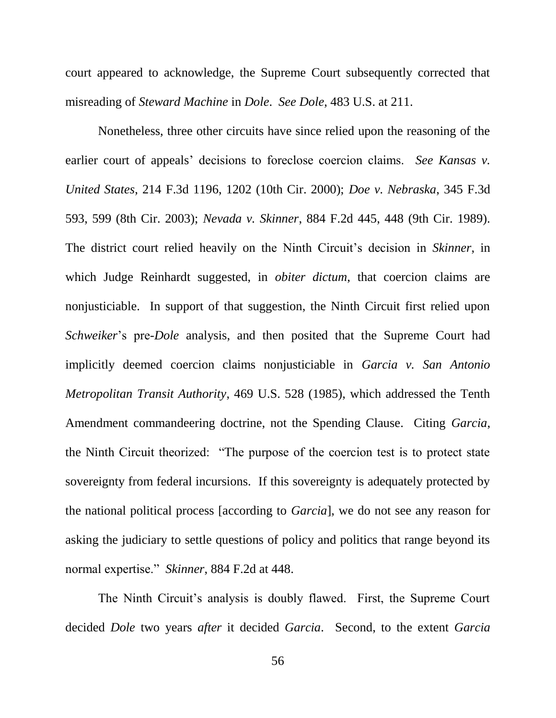court appeared to acknowledge, the Supreme Court subsequently corrected that misreading of *Steward Machine* in *Dole*. *See Dole*, 483 U.S. at 211.

Nonetheless, three other circuits have since relied upon the reasoning of the earlier court of appeals' decisions to foreclose coercion claims. *See Kansas v. United States*, 214 F.3d 1196, 1202 (10th Cir. 2000); *Doe v. Nebraska*, 345 F.3d 593, 599 (8th Cir. 2003); *Nevada v. Skinner*, 884 F.2d 445, 448 (9th Cir. 1989). The district court relied heavily on the Ninth Circuit's decision in *Skinner*, in which Judge Reinhardt suggested, in *obiter dictum*, that coercion claims are nonjusticiable. In support of that suggestion, the Ninth Circuit first relied upon *Schweiker*'s pre-*Dole* analysis, and then posited that the Supreme Court had implicitly deemed coercion claims nonjusticiable in *Garcia v. San Antonio Metropolitan Transit Authority*, 469 U.S. 528 (1985), which addressed the Tenth Amendment commandeering doctrine, not the Spending Clause. Citing *Garcia*, the Ninth Circuit theorized: "The purpose of the coercion test is to protect state sovereignty from federal incursions. If this sovereignty is adequately protected by the national political process [according to *Garcia*], we do not see any reason for asking the judiciary to settle questions of policy and politics that range beyond its normal expertise." *Skinner*, 884 F.2d at 448.

The Ninth Circuit's analysis is doubly flawed. First, the Supreme Court decided *Dole* two years *after* it decided *Garcia*. Second, to the extent *Garcia*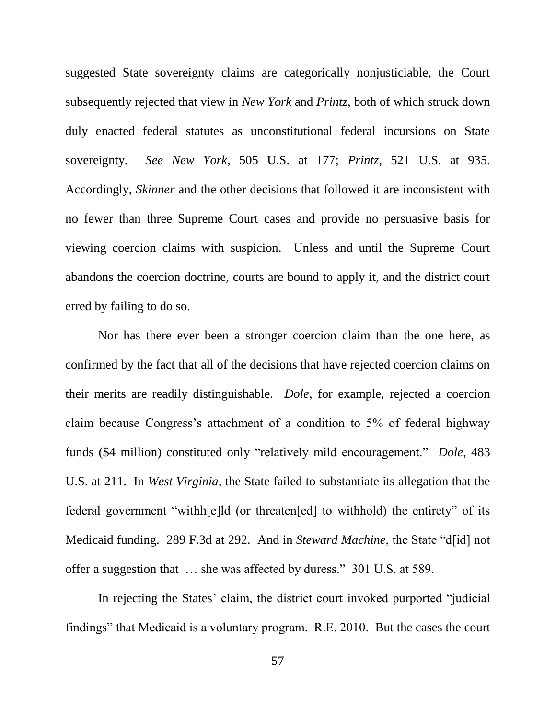suggested State sovereignty claims are categorically nonjusticiable, the Court subsequently rejected that view in *New York* and *Printz*, both of which struck down duly enacted federal statutes as unconstitutional federal incursions on State sovereignty. *See New York*, 505 U.S. at 177; *Printz*, 521 U.S. at 935. Accordingly, *Skinner* and the other decisions that followed it are inconsistent with no fewer than three Supreme Court cases and provide no persuasive basis for viewing coercion claims with suspicion. Unless and until the Supreme Court abandons the coercion doctrine, courts are bound to apply it, and the district court erred by failing to do so.

Nor has there ever been a stronger coercion claim than the one here, as confirmed by the fact that all of the decisions that have rejected coercion claims on their merits are readily distinguishable. *Dole*, for example, rejected a coercion claim because Congress's attachment of a condition to 5% of federal highway funds (\$4 million) constituted only "relatively mild encouragement." *Dole*, 483 U.S. at 211. In *West Virginia*, the State failed to substantiate its allegation that the federal government "withh $[e][d]$  (or threaten $[ed]$  to withhold) the entirety" of its Medicaid funding. 289 F.3d at 292. And in *Steward Machine*, the State "d<sup>[id]</sup> not offer a suggestion that ... she was affected by duress." 301 U.S. at 589.

In rejecting the States' claim, the district court invoked purported "judicial" findings" that Medicaid is a voluntary program. R.E. 2010. But the cases the court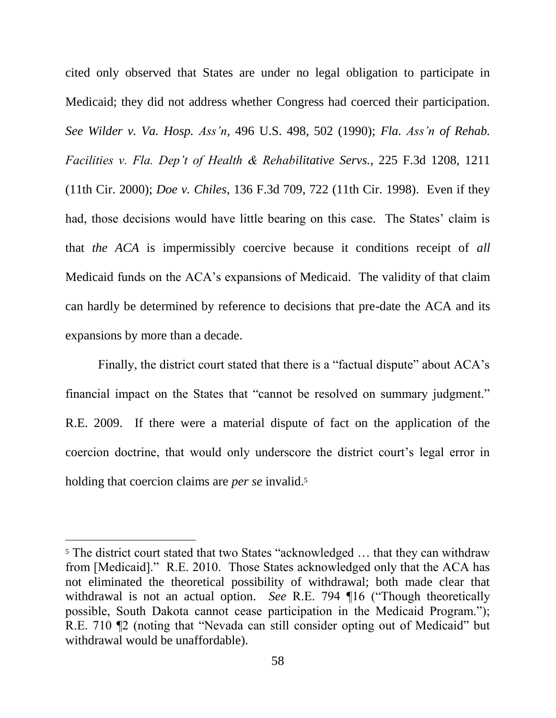cited only observed that States are under no legal obligation to participate in Medicaid; they did not address whether Congress had coerced their participation. *See Wilder v. Va. Hosp. Ass'n*, 496 U.S. 498, 502 (1990); *Fla. Ass'n of Rehab. Facilities v. Fla. Dep't of Health & Rehabilitative Servs.*, 225 F.3d 1208, 1211 (11th Cir. 2000); *Doe v. Chiles*, 136 F.3d 709, 722 (11th Cir. 1998). Even if they had, those decisions would have little bearing on this case. The States' claim is that *the ACA* is impermissibly coercive because it conditions receipt of *all* Medicaid funds on the ACA's expansions of Medicaid. The validity of that claim can hardly be determined by reference to decisions that pre-date the ACA and its expansions by more than a decade.

Finally, the district court stated that there is a "factual dispute" about ACA's financial impact on the States that "cannot be resolved on summary judgment." R.E. 2009. If there were a material dispute of fact on the application of the coercion doctrine, that would only underscore the district court's legal error in holding that coercion claims are *per se* invalid. 5

 $\overline{a}$ 

<sup>&</sup>lt;sup>5</sup> The district court stated that two States "acknowledged ... that they can withdraw from [Medicaid]." R.E. 2010. Those States acknowledged only that the ACA has not eliminated the theoretical possibility of withdrawal; both made clear that withdrawal is not an actual option. *See* R.E. 794 ¶16 ("Though theoretically possible, South Dakota cannot cease participation in the Medicaid Program."); R.E. 710 ¶2 (noting that "Nevada can still consider opting out of Medicaid" but withdrawal would be unaffordable).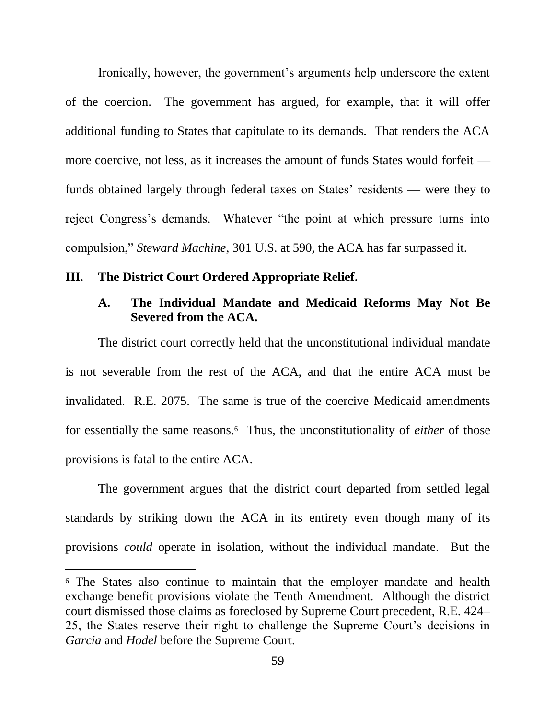Ironically, however, the government's arguments help underscore the extent of the coercion. The government has argued, for example, that it will offer additional funding to States that capitulate to its demands. That renders the ACA more coercive, not less, as it increases the amount of funds States would forfeit funds obtained largely through federal taxes on States' residents — were they to reject Congress's demands. Whatever "the point at which pressure turns into compulsion," *Steward Machine*, 301 U.S. at 590, the ACA has far surpassed it.

#### **III. The District Court Ordered Appropriate Relief.**

 $\overline{a}$ 

## **A. The Individual Mandate and Medicaid Reforms May Not Be Severed from the ACA.**

The district court correctly held that the unconstitutional individual mandate is not severable from the rest of the ACA, and that the entire ACA must be invalidated. R.E. 2075. The same is true of the coercive Medicaid amendments for essentially the same reasons.6 Thus, the unconstitutionality of *either* of those provisions is fatal to the entire ACA.

The government argues that the district court departed from settled legal standards by striking down the ACA in its entirety even though many of its provisions *could* operate in isolation, without the individual mandate. But the

<sup>6</sup> The States also continue to maintain that the employer mandate and health exchange benefit provisions violate the Tenth Amendment. Although the district court dismissed those claims as foreclosed by Supreme Court precedent, R.E. 424– 25, the States reserve their right to challenge the Supreme Court's decisions in *Garcia* and *Hodel* before the Supreme Court.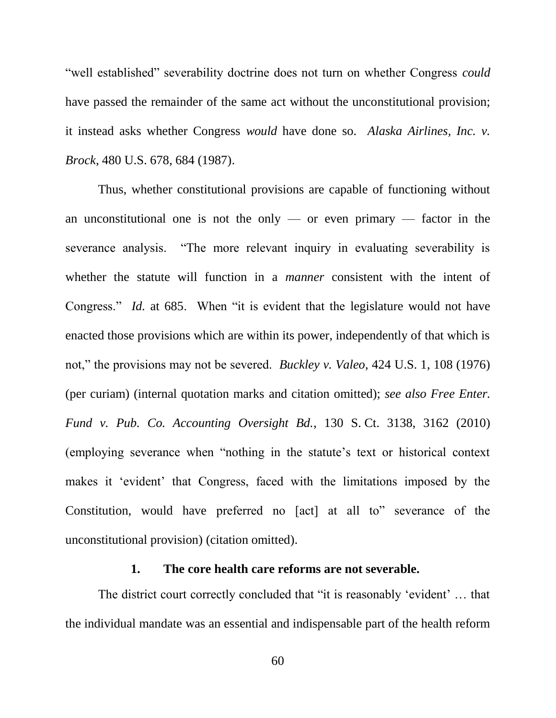"well established" severability doctrine does not turn on whether Congress *could* have passed the remainder of the same act without the unconstitutional provision; it instead asks whether Congress *would* have done so. *Alaska Airlines, Inc. v. Brock*, 480 U.S. 678, 684 (1987).

Thus, whether constitutional provisions are capable of functioning without an unconstitutional one is not the only — or even primary — factor in the severance analysis. "The more relevant inquiry in evaluating severability is whether the statute will function in a *manner* consistent with the intent of Congress." *Id.* at 685. When "it is evident that the legislature would not have enacted those provisions which are within its power, independently of that which is not," the provisions may not be severed. *Buckley v. Valeo*, 424 U.S. 1, 108 (1976) (per curiam) (internal quotation marks and citation omitted); *see also Free Enter. Fund v. Pub. Co. Accounting Oversight Bd.*, 130 S. Ct. 3138, 3162 (2010) (employing severance when "nothing in the statute's text or historical context") makes it 'evident' that Congress, faced with the limitations imposed by the Constitution, would have preferred no [act] at all to" severance of the unconstitutional provision) (citation omitted).

#### **1. The core health care reforms are not severable.**

The district court correctly concluded that "it is reasonably 'evident' ... that the individual mandate was an essential and indispensable part of the health reform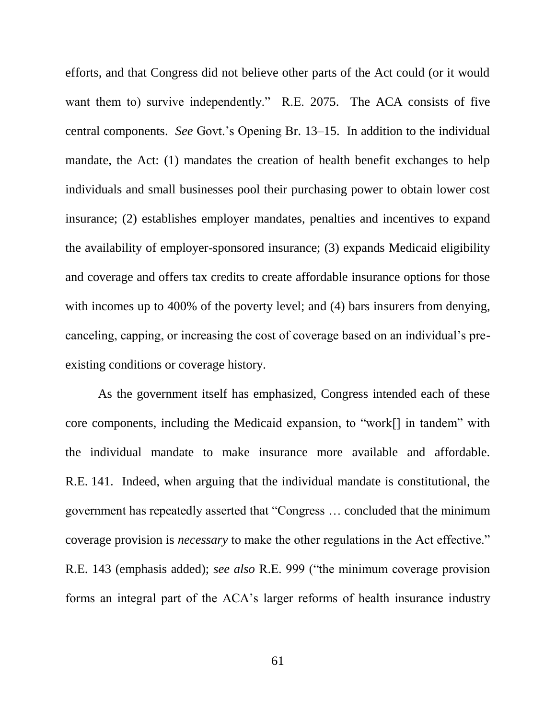efforts, and that Congress did not believe other parts of the Act could (or it would want them to) survive independently." R.E. 2075. The ACA consists of five central components. *See* Govt.'s Opening Br. 13–15. In addition to the individual mandate, the Act: (1) mandates the creation of health benefit exchanges to help individuals and small businesses pool their purchasing power to obtain lower cost insurance; (2) establishes employer mandates, penalties and incentives to expand the availability of employer-sponsored insurance; (3) expands Medicaid eligibility and coverage and offers tax credits to create affordable insurance options for those with incomes up to 400% of the poverty level; and (4) bars insurers from denying, canceling, capping, or increasing the cost of coverage based on an individual's preexisting conditions or coverage history.

As the government itself has emphasized, Congress intended each of these core components, including the Medicaid expansion, to "work[] in tandem" with the individual mandate to make insurance more available and affordable. R.E. 141. Indeed, when arguing that the individual mandate is constitutional, the government has repeatedly asserted that "Congress ... concluded that the minimum coverage provision is *necessary* to make the other regulations in the Act effective." R.E. 143 (emphasis added); *see also* R.E. 999 ("the minimum coverage provision forms an integral part of the ACA's larger reforms of health insurance industry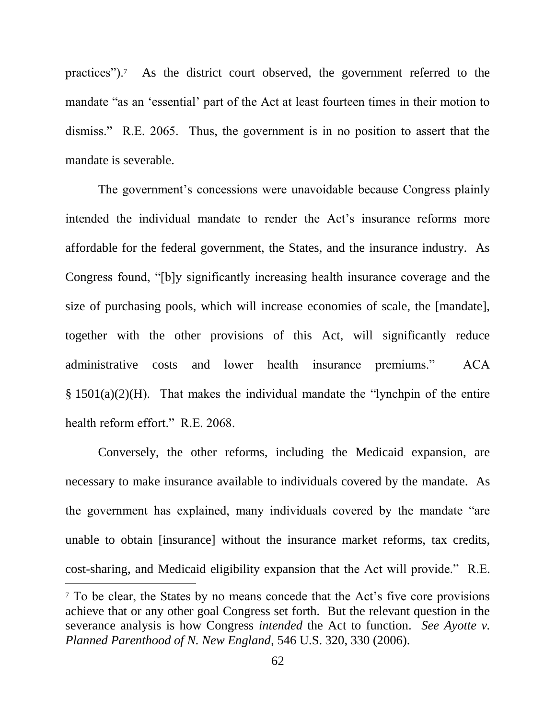practices").<sup>7</sup> As the district court observed, the government referred to the mandate "as an 'essential' part of the Act at least fourteen times in their motion to dismiss." R.E. 2065. Thus, the government is in no position to assert that the mandate is severable.

The government's concessions were unavoidable because Congress plainly intended the individual mandate to render the Act's insurance reforms more affordable for the federal government, the States, and the insurance industry. As Congress found, "[b]y significantly increasing health insurance coverage and the size of purchasing pools, which will increase economies of scale, the [mandate], together with the other provisions of this Act, will significantly reduce administrative costs and lower health insurance premiums." ACA  $\S$  1501(a)(2)(H). That makes the individual mandate the "lynchpin of the entire health reform effort." R.E. 2068.

Conversely, the other reforms, including the Medicaid expansion, are necessary to make insurance available to individuals covered by the mandate. As the government has explained, many individuals covered by the mandate "are unable to obtain [insurance] without the insurance market reforms, tax credits, cost-sharing, and Medicaid eligibility expansion that the Act will provide." R.E.

 $\overline{a}$ 

<sup>7</sup> To be clear, the States by no means concede that the Act's five core provisions achieve that or any other goal Congress set forth. But the relevant question in the severance analysis is how Congress *intended* the Act to function. *See Ayotte v. Planned Parenthood of N. New England*, 546 U.S. 320, 330 (2006).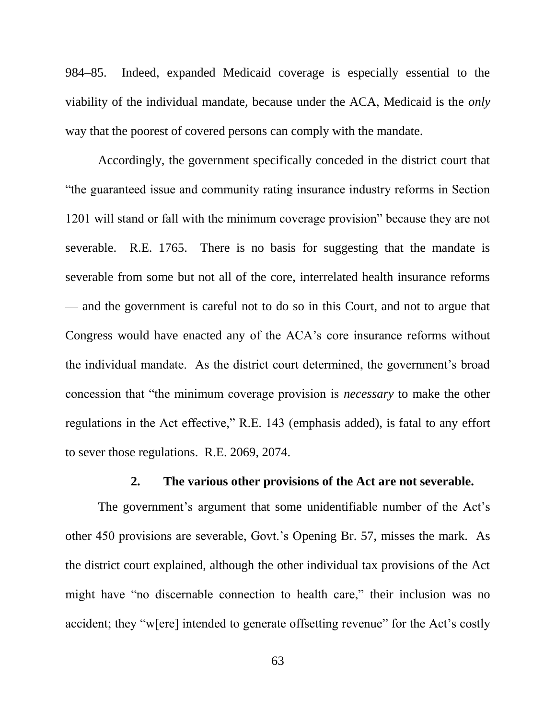984–85. Indeed, expanded Medicaid coverage is especially essential to the viability of the individual mandate, because under the ACA, Medicaid is the *only*  way that the poorest of covered persons can comply with the mandate.

Accordingly, the government specifically conceded in the district court that ―the guaranteed issue and community rating insurance industry reforms in Section 1201 will stand or fall with the minimum coverage provision" because they are not severable. R.E. 1765. There is no basis for suggesting that the mandate is severable from some but not all of the core, interrelated health insurance reforms — and the government is careful not to do so in this Court, and not to argue that Congress would have enacted any of the ACA's core insurance reforms without the individual mandate. As the district court determined, the government's broad concession that "the minimum coverage provision is *necessary* to make the other regulations in the Act effective," R.E. 143 (emphasis added), is fatal to any effort to sever those regulations. R.E. 2069, 2074.

#### **2. The various other provisions of the Act are not severable.**

The government's argument that some unidentifiable number of the Act's other 450 provisions are severable, Govt.'s Opening Br. 57, misses the mark. As the district court explained, although the other individual tax provisions of the Act might have "no discernable connection to health care," their inclusion was no accident; they "w[ere] intended to generate offsetting revenue" for the Act's costly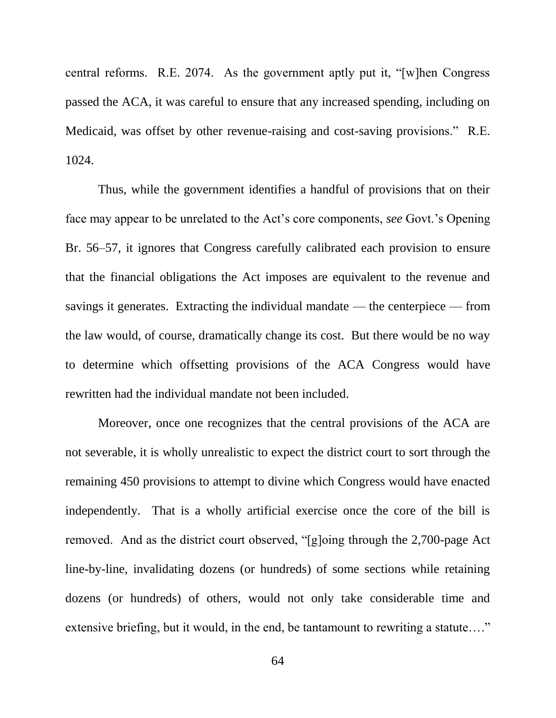central reforms. R.E. 2074. As the government aptly put it,  $\lq$  when Congress passed the ACA, it was careful to ensure that any increased spending, including on Medicaid, was offset by other revenue-raising and cost-saving provisions." R.E. 1024.

Thus, while the government identifies a handful of provisions that on their face may appear to be unrelated to the Act's core components, *see* Govt.'s Opening Br. 56–57, it ignores that Congress carefully calibrated each provision to ensure that the financial obligations the Act imposes are equivalent to the revenue and savings it generates. Extracting the individual mandate — the centerpiece — from the law would, of course, dramatically change its cost. But there would be no way to determine which offsetting provisions of the ACA Congress would have rewritten had the individual mandate not been included.

Moreover, once one recognizes that the central provisions of the ACA are not severable, it is wholly unrealistic to expect the district court to sort through the remaining 450 provisions to attempt to divine which Congress would have enacted independently. That is a wholly artificial exercise once the core of the bill is removed. And as the district court observed, "[g]oing through the 2,700-page Act line-by-line, invalidating dozens (or hundreds) of some sections while retaining dozens (or hundreds) of others, would not only take considerable time and extensive briefing, but it would, in the end, be tantamount to rewriting a statute...."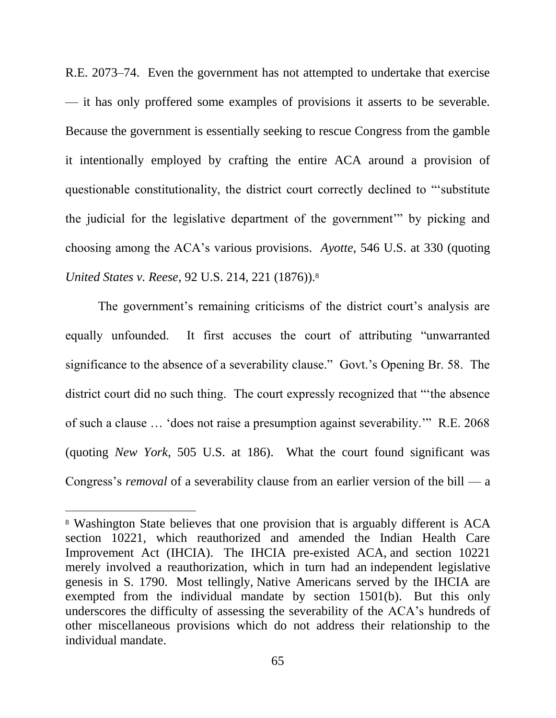R.E. 2073–74. Even the government has not attempted to undertake that exercise — it has only proffered some examples of provisions it asserts to be severable. Because the government is essentially seeking to rescue Congress from the gamble it intentionally employed by crafting the entire ACA around a provision of questionable constitutionality, the district court correctly declined to "substitute the judicial for the legislative department of the government" by picking and choosing among the ACA's various provisions. *Ayotte*, 546 U.S. at 330 (quoting *United States v. Reese*, 92 U.S. 214, 221 (1876)).<sup>8</sup>

The government's remaining criticisms of the district court's analysis are equally unfounded. It first accuses the court of attributing "unwarranted" significance to the absence of a severability clause." Govt.'s Opening Br. 58. The district court did no such thing. The court expressly recognized that "the absence" of such a clause ... 'does not raise a presumption against severability.'" R.E. 2068 (quoting *New York*, 505 U.S. at 186). What the court found significant was Congress's *removal* of a severability clause from an earlier version of the bill — a

 $\overline{a}$ 

<sup>8</sup> Washington State believes that one provision that is arguably different is ACA section 10221, which reauthorized and amended the Indian Health Care Improvement Act (IHCIA). The IHCIA pre-existed ACA, and section 10221 merely involved a reauthorization, which in turn had an independent legislative genesis in S. 1790. Most tellingly, Native Americans served by the IHCIA are exempted from the individual mandate by section 1501(b). But this only underscores the difficulty of assessing the severability of the ACA's hundreds of other miscellaneous provisions which do not address their relationship to the individual mandate.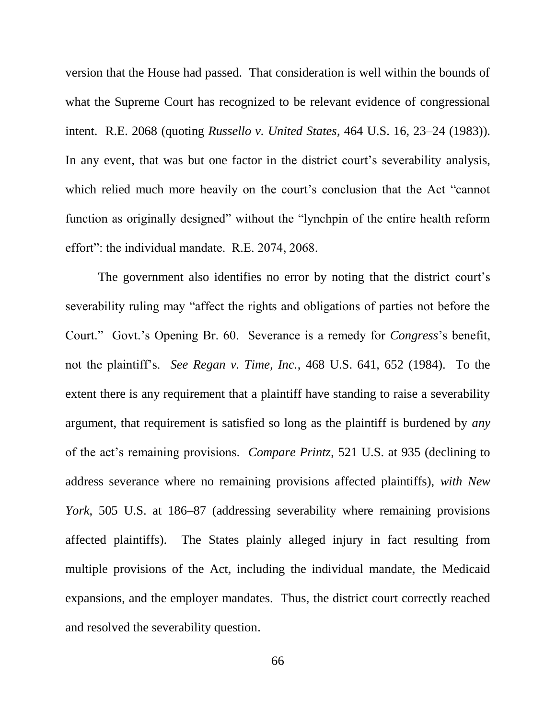version that the House had passed. That consideration is well within the bounds of what the Supreme Court has recognized to be relevant evidence of congressional intent. R.E. 2068 (quoting *Russello v. United States*, 464 U.S. 16, 23–24 (1983)). In any event, that was but one factor in the district court's severability analysis, which relied much more heavily on the court's conclusion that the Act "cannot" function as originally designed" without the "lynchpin of the entire health reform effort": the individual mandate. R.E. 2074, 2068.

The government also identifies no error by noting that the district court's severability ruling may "affect the rights and obligations of parties not before the Court." Govt.'s Opening Br. 60. Severance is a remedy for *Congress*'s benefit, not the plaintiff's. *See Regan v. Time, Inc.*, 468 U.S. 641, 652 (1984). To the extent there is any requirement that a plaintiff have standing to raise a severability argument, that requirement is satisfied so long as the plaintiff is burdened by *any*  of the act's remaining provisions. *Compare Printz*, 521 U.S. at 935 (declining to address severance where no remaining provisions affected plaintiffs), *with New York*, 505 U.S. at 186–87 (addressing severability where remaining provisions affected plaintiffs). The States plainly alleged injury in fact resulting from multiple provisions of the Act, including the individual mandate, the Medicaid expansions, and the employer mandates. Thus, the district court correctly reached and resolved the severability question.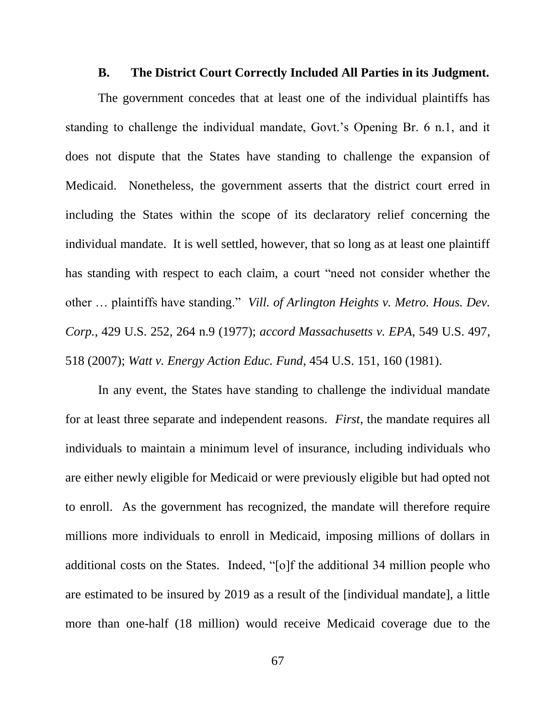#### **B. The District Court Correctly Included All Parties in its Judgment.**

The government concedes that at least one of the individual plaintiffs has standing to challenge the individual mandate, Govt.'s Opening Br. 6 n.1, and it does not dispute that the States have standing to challenge the expansion of Medicaid. Nonetheless, the government asserts that the district court erred in including the States within the scope of its declaratory relief concerning the individual mandate. It is well settled, however, that so long as at least one plaintiff has standing with respect to each claim, a court "need not consider whether the other ... plaintiffs have standing." *Vill. of Arlington Heights v. Metro. Hous. Dev. Corp.*, 429 U.S. 252, 264 n.9 (1977); *accord Massachusetts v. EPA*, 549 U.S. 497, 518 (2007); *Watt v. Energy Action Educ. Fund*, 454 U.S. 151, 160 (1981).

In any event, the States have standing to challenge the individual mandate for at least three separate and independent reasons. *First*, the mandate requires all individuals to maintain a minimum level of insurance, including individuals who are either newly eligible for Medicaid or were previously eligible but had opted not to enroll. As the government has recognized, the mandate will therefore require millions more individuals to enroll in Medicaid, imposing millions of dollars in additional costs on the States. Indeed, "[o]f the additional 34 million people who are estimated to be insured by 2019 as a result of the [individual mandate], a little more than one-half (18 million) would receive Medicaid coverage due to the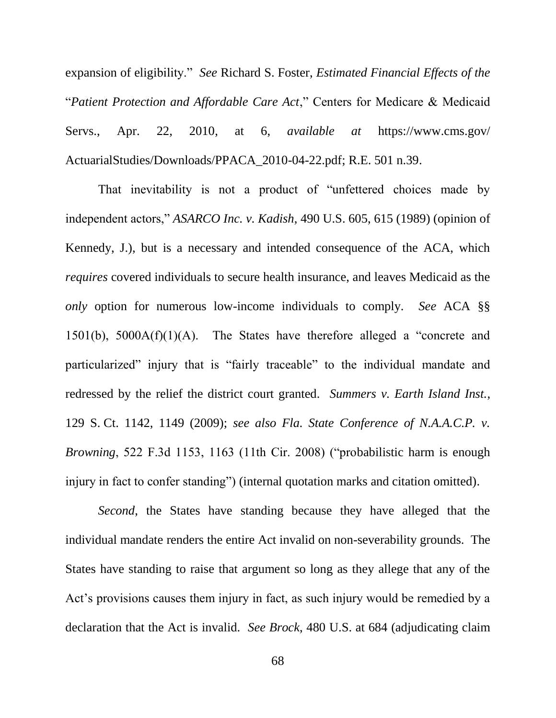expansion of eligibility." *See* Richard S. Foster, *Estimated Financial Effects of the* "Patient Protection and Affordable Care Act," Centers for Medicare & Medicaid Servs., Apr. 22, 2010, at 6, *available at* https://www.cms.gov/ ActuarialStudies/Downloads/PPACA\_2010-04-22.pdf; R.E. 501 n.39.

That inevitability is not a product of "unfettered choices made by independent actors," *ASARCO Inc. v. Kadish*, 490 U.S. 605, 615 (1989) (opinion of Kennedy, J.), but is a necessary and intended consequence of the ACA, which *requires* covered individuals to secure health insurance, and leaves Medicaid as the *only* option for numerous low-income individuals to comply. *See* ACA §§ 1501(b),  $5000A(f)(1)(A)$ . The States have therefore alleged a "concrete and particularized" injury that is "fairly traceable" to the individual mandate and redressed by the relief the district court granted. *Summers v. Earth Island Inst.*, 129 S. Ct. 1142, 1149 (2009); *see also Fla. State Conference of N.A.A.C.P. v. Browning*, 522 F.3d 1153, 1163 (11th Cir. 2008) ("probabilistic harm is enough injury in fact to confer standing") (internal quotation marks and citation omitted).

*Second*, the States have standing because they have alleged that the individual mandate renders the entire Act invalid on non-severability grounds. The States have standing to raise that argument so long as they allege that any of the Act's provisions causes them injury in fact, as such injury would be remedied by a declaration that the Act is invalid. *See Brock*, 480 U.S. at 684 (adjudicating claim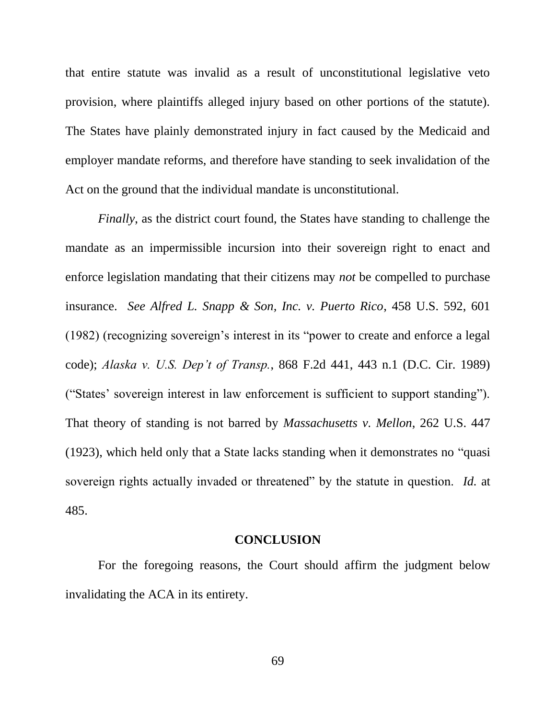that entire statute was invalid as a result of unconstitutional legislative veto provision, where plaintiffs alleged injury based on other portions of the statute). The States have plainly demonstrated injury in fact caused by the Medicaid and employer mandate reforms, and therefore have standing to seek invalidation of the Act on the ground that the individual mandate is unconstitutional.

*Finally*, as the district court found, the States have standing to challenge the mandate as an impermissible incursion into their sovereign right to enact and enforce legislation mandating that their citizens may *not* be compelled to purchase insurance. *See Alfred L. Snapp & Son, Inc. v. Puerto Rico*, 458 U.S. 592, 601 (1982) (recognizing sovereign's interest in its "power to create and enforce a legal code); *Alaska v. U.S. Dep't of Transp.*, 868 F.2d 441, 443 n.1 (D.C. Cir. 1989) ("States' sovereign interest in law enforcement is sufficient to support standing"). That theory of standing is not barred by *Massachusetts v. Mellon*, 262 U.S. 447  $(1923)$ , which held only that a State lacks standing when it demonstrates no "quasi" sovereign rights actually invaded or threatened" by the statute in question. *Id.* at 485.

#### **CONCLUSION**

For the foregoing reasons, the Court should affirm the judgment below invalidating the ACA in its entirety.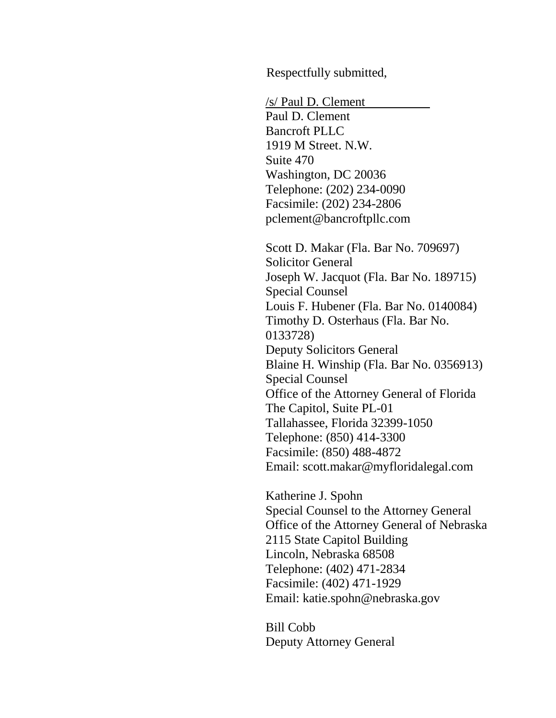Respectfully submitted,

/s/ Paul D. Clement Paul D. Clement Bancroft PLLC 1919 M Street. N.W. Suite 470 Washington, DC 20036 Telephone: (202) 234-0090 Facsimile: (202) 234-2806 pclement@bancroftpllc.com

Scott D. Makar (Fla. Bar No. 709697) Solicitor General Joseph W. Jacquot (Fla. Bar No. 189715) Special Counsel Louis F. Hubener (Fla. Bar No. 0140084) Timothy D. Osterhaus (Fla. Bar No. 0133728) Deputy Solicitors General Blaine H. Winship (Fla. Bar No. 0356913) Special Counsel Office of the Attorney General of Florida The Capitol, Suite PL-01 Tallahassee, Florida 32399-1050 Telephone: (850) 414-3300 Facsimile: (850) 488-4872 Email: scott.makar@myfloridalegal.com

Katherine J. Spohn Special Counsel to the Attorney General Office of the Attorney General of Nebraska 2115 State Capitol Building Lincoln, Nebraska 68508 Telephone: (402) 471-2834 Facsimile: (402) 471-1929 Email: katie.spohn@nebraska.gov

Bill Cobb Deputy Attorney General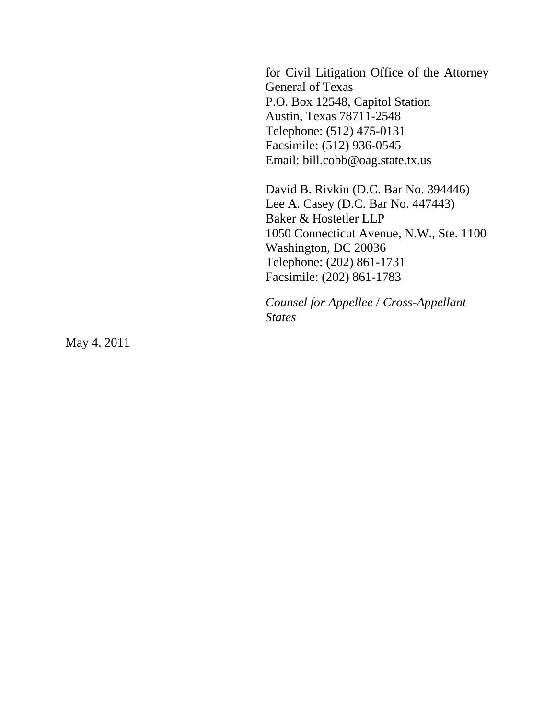for Civil Litigation Office of the Attorney General of Texas P.O. Box 12548, Capitol Station Austin, Texas 78711-2548 Telephone: (512) 475-0131 Facsimile: (512) 936-0545 Email: bill.cobb@oag.state.tx.us

David B. Rivkin (D.C. Bar No. 394446) Lee A. Casey (D.C. Bar No. 447443) Baker & Hostetler LLP 1050 Connecticut Avenue, N.W., Ste. 1100 Washington, DC 20036 Telephone: (202) 861-1731 Facsimile: (202) 861-1783

*Counsel for Appellee* / *Cross-Appellant States*

May 4, 2011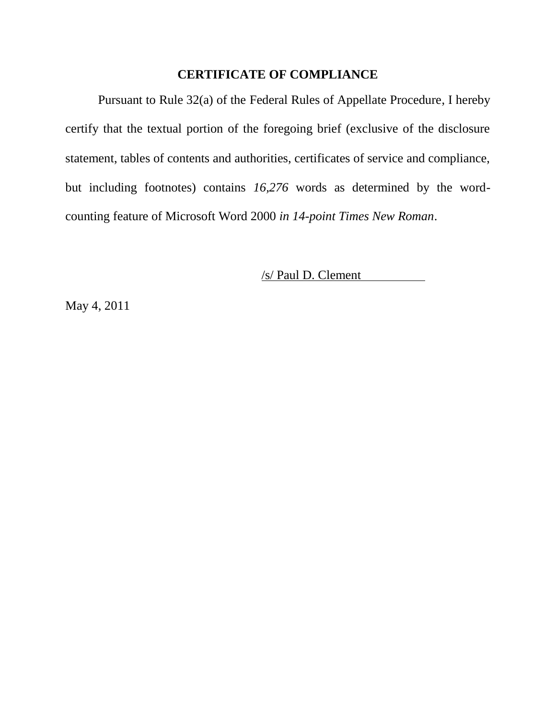# **CERTIFICATE OF COMPLIANCE**

Pursuant to Rule 32(a) of the Federal Rules of Appellate Procedure, I hereby certify that the textual portion of the foregoing brief (exclusive of the disclosure statement, tables of contents and authorities, certificates of service and compliance, but including footnotes) contains *16,276* words as determined by the wordcounting feature of Microsoft Word 2000 *in 14-point Times New Roman*.

/s/ Paul D. Clement

May 4, 2011